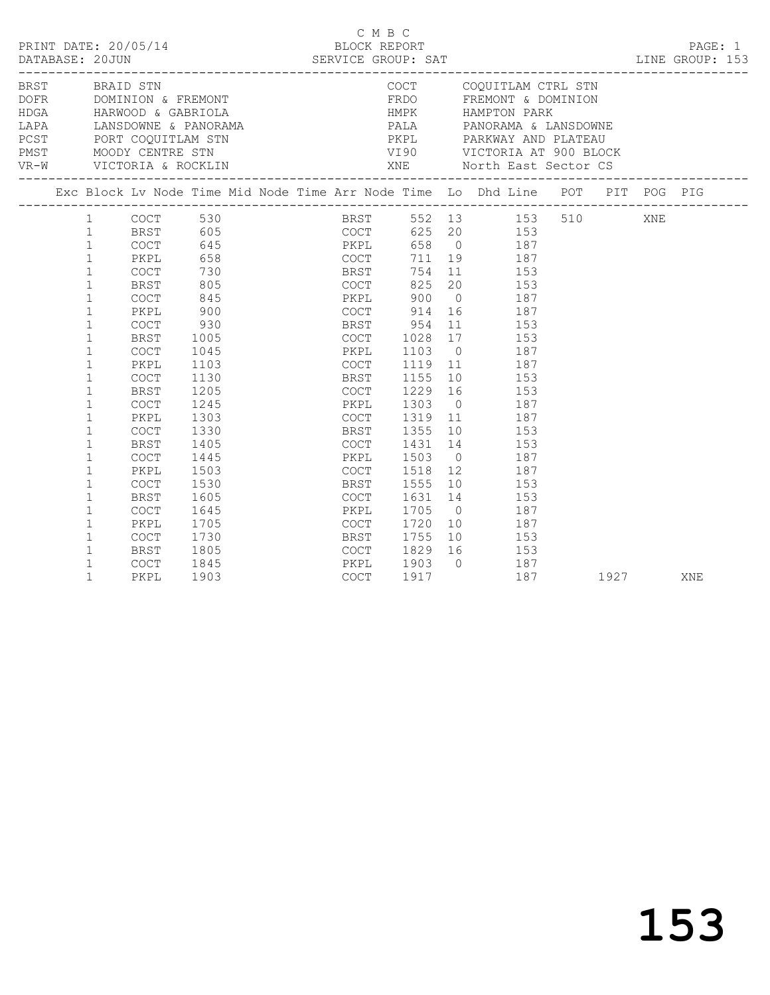|  |                                                                                                                                                                                                                                                                           | PRINT DATE: 20/05/14                                                                                                                                                                                                                                                            |                                                                                                                                         |  |              | C M B C |                                                                                |    |                                                                                                                                                                                                                                                                                                                                                                                                |     |                                                     |      |     | PAGE: 1<br>LINE GROUP: 153 |
|--|---------------------------------------------------------------------------------------------------------------------------------------------------------------------------------------------------------------------------------------------------------------------------|---------------------------------------------------------------------------------------------------------------------------------------------------------------------------------------------------------------------------------------------------------------------------------|-----------------------------------------------------------------------------------------------------------------------------------------|--|--------------|---------|--------------------------------------------------------------------------------|----|------------------------------------------------------------------------------------------------------------------------------------------------------------------------------------------------------------------------------------------------------------------------------------------------------------------------------------------------------------------------------------------------|-----|-----------------------------------------------------|------|-----|----------------------------|
|  | BRST BRAID STN                                                                                                                                                                                                                                                            | LAPA LANSDOWNE & PANORAMA<br>PCST PORT COQUITLAM STN<br>PMST MOODY CENTRE STN<br>VR-W VICTORIA & ROCKLIN                                                                                                                                                                        |                                                                                                                                         |  |              |         |                                                                                |    |                                                                                                                                                                                                                                                                                                                                                                                                |     | COCT COQUITLAM CTRL STN<br>PKPL PARKWAY AND PLATEAU |      |     |                            |
|  |                                                                                                                                                                                                                                                                           | Exc Block Lv Node Time Mid Node Time Arr Node Time Lo Dhd Line POT PIT POG PIG                                                                                                                                                                                                  |                                                                                                                                         |  |              |         |                                                                                |    |                                                                                                                                                                                                                                                                                                                                                                                                |     |                                                     |      |     |                            |
|  | $\mathbf{1}$<br>$\mathbf{1}$<br>$\mathbf{1}$<br>$\mathbf{1}$<br>$\mathbf{1}$<br>$\mathbf{1}$<br>$\mathbf{1}$<br>$\mathbf{1}$<br>$\mathbf{1}$<br>$\mathbf 1$<br>$\mathbf{1}$<br>$\mathbf 1$<br>$\mathbf{1}$<br>$\mathbf 1$<br>$\mathbf{1}$<br>$\mathbf{1}$<br>$\mathbf{1}$ | 1 COCT 530<br>1 BRST 605<br>1 COCT 625 20 153<br>1 COCT 645<br>2 PKPL 658 0 187<br>2 COCT 711 19 187<br>COCT<br>BRST<br>COCT<br>PKPL<br><b>COCT</b><br>BRST<br>COCT<br>PKPL<br>COCT<br><b>BRST</b><br>COCT<br>PKPL<br><b>COCT</b><br>BRST<br><b>COCT</b><br>PKPL<br><b>COCT</b> | 730<br>805<br>845<br>900<br>930<br>1005<br>1045<br>1045<br>1103<br>1130<br>1205<br>1245<br>1303<br>1330<br>1405<br>1445<br>1503<br>1530 |  | COCT<br>COCT |         | PKPL 900<br>BRST 954<br>BRST 1355<br><b>BRST</b> 1555                          |    | BRST 754 11 153<br>COCT 825 20 153<br>$\begin{array}{ccc} 20 & \hspace*{1.5cm} & 153 \\ \hspace*{1.5cm}0 & \hspace*{1.5cm} & 187 \end{array}$<br>COCT 914 16 187<br>11 153<br>COCT 1028 17 153<br>PKPL 1103 0 187<br>COCT 1119 11 187<br>BRST 1155 10 153<br>COCT 1229 16 153<br>PKPL 1303 0 187<br>COCT 1319 11 187<br>10 153<br>1431 14 153<br>PKPL 1503 0 187<br>COCT 1518 12 187<br>10 153 |     | BRST 552 13 153 510<br>COCT 625 20 153              |      | XNE |                            |
|  | $\mathbf{1}$<br>$\mathbf{1}$<br>$\mathbf{1}$<br>$\mathbf{1}$<br>$\mathbf{1}$<br>$\mathbf{1}$<br>$\mathbf{1}$                                                                                                                                                              | <b>BRST</b><br>COCT<br>PKPL<br>COCT<br>BRST<br><b>COCT</b><br>PKPL                                                                                                                                                                                                              | 1605<br>1645<br>1705<br>1730<br>1805<br>1845<br>1903                                                                                    |  | PKPL<br>COCT |         | COCT 1631<br>PKPL 1705 0<br>COCT 1720 10<br><b>BRST</b> 1755<br>1903 0<br>1917 | 14 | 153<br>$\begin{array}{ccc} 0 & \hspace{1.5cm} 187 \\ 10 & \hspace{1.5cm} 187 \end{array}$<br>10 153<br>COCT 1829 16 153<br>187                                                                                                                                                                                                                                                                 | 187 |                                                     | 1927 |     | XNE                        |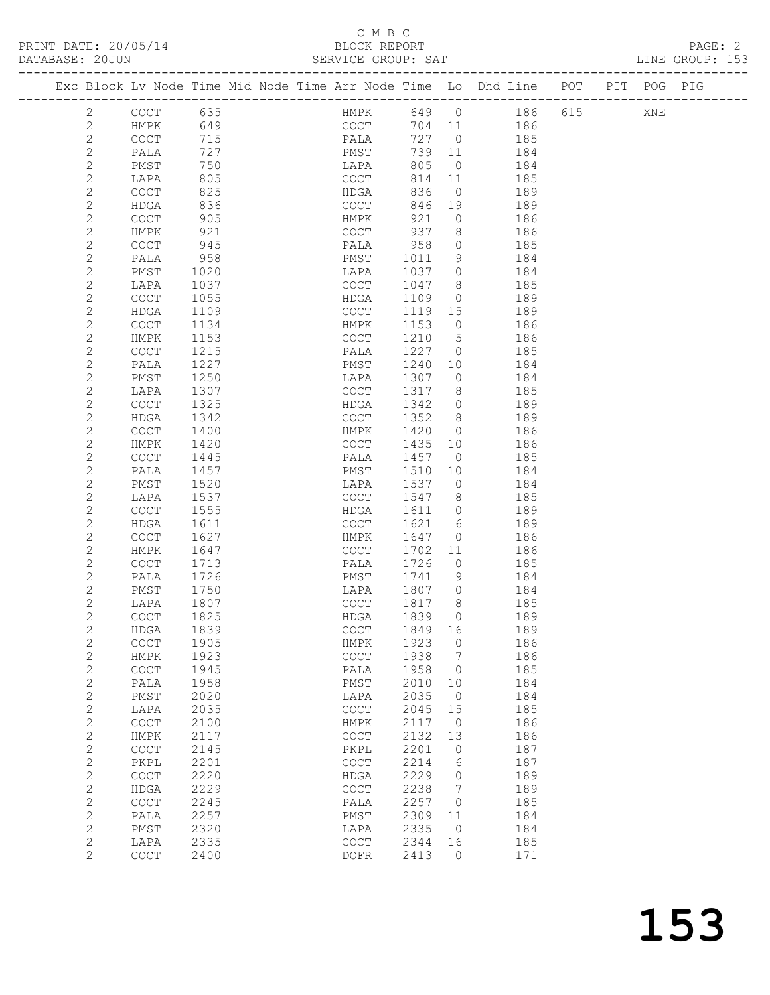#### C M B C<br>BLOCK REPORT SERVICE GROUP: SAT

PRINT DATE: 20/05/14 BLOCK REPORT PAGE: 2

|  |                              | Exc Block Lv Node Time Mid Node Time Arr Node Time Lo Dhd Line POT |              |  |              |      |              |                                  |            |     | PIT POG PIG |  |
|--|------------------------------|--------------------------------------------------------------------|--------------|--|--------------|------|--------------|----------------------------------|------------|-----|-------------|--|
|  |                              |                                                                    |              |  |              |      |              |                                  |            |     |             |  |
|  | 2                            | COCT                                                               | 635          |  |              | COCT | HMPK 649 0   |                                  | 186        | 615 | XNE         |  |
|  | $\mathbf{2}$                 | HMPK                                                               | 649          |  |              |      |              | 704 11                           | 186        |     |             |  |
|  | $\mathbf{2}$                 | $\mathtt{C}\mathtt{O}\mathtt{C}\mathtt{T}$                         | 715          |  |              | PALA | 727          | $\overline{0}$                   | 185        |     |             |  |
|  | $\mathbf{2}$                 | PALA                                                               | 727          |  | PMST         |      | 739          | 11                               | 184        |     |             |  |
|  | $\mathbf{2}$                 | PMST                                                               | 750          |  | LAPA         |      | 805          | $\overline{0}$                   | 184        |     |             |  |
|  | $\mathbf{2}$<br>$\mathbf{2}$ | LAPA                                                               | 805<br>825   |  | COCT<br>HDGA |      | 814<br>836   | 11<br>$\overline{0}$             | 185        |     |             |  |
|  | 2                            | COCT<br>HDGA                                                       | 836          |  | COCT         |      | 846          | 19                               | 189<br>189 |     |             |  |
|  | $\mathbf{2}$                 | COCT                                                               | 905          |  | HMPK         |      | 921          | $\overline{0}$                   | 186        |     |             |  |
|  | $\mathbf{2}$                 | HMPK                                                               | 921          |  | COCT         |      | 937          | 8                                | 186        |     |             |  |
|  | 2                            | COCT                                                               | 945          |  | PALA         |      | 958          | $\overline{0}$                   | 185        |     |             |  |
|  | $\mathbf{2}$                 | PALA                                                               | 958          |  | PMST         |      | 1011         | 9                                | 184        |     |             |  |
|  | $\mathbf{2}$                 | PMST                                                               | 1020         |  | LAPA         |      | 1037         | $\overline{0}$                   | 184        |     |             |  |
|  | 2                            | LAPA                                                               | 1037         |  | COCT         |      | 1047         | 8                                | 185        |     |             |  |
|  | $\mathbf{2}$                 | COCT                                                               | 1055         |  | HDGA         |      | 1109         | $\overline{0}$                   | 189        |     |             |  |
|  | $\mathbf{2}$                 | HDGA                                                               | 1109         |  | COCT         |      | 1119         | 15                               | 189        |     |             |  |
|  | $\mathbf{2}$                 | COCT                                                               | 1134         |  | HMPK         |      | 1153         | $\overline{0}$                   | 186        |     |             |  |
|  | $\mathbf{2}$                 | HMPK                                                               | 1153         |  | COCT         |      | 1210         | $5\phantom{.0}$                  | 186        |     |             |  |
|  | 2                            | COCT                                                               | 1215         |  | PALA         |      | 1227         | $\overline{0}$                   | 185        |     |             |  |
|  | 2                            | PALA                                                               | 1227         |  | PMST         |      | 1240         | 10                               | 184        |     |             |  |
|  | $\mathbf{2}$                 | PMST                                                               | 1250         |  | LAPA         |      | 1307         | $\overline{0}$                   | 184        |     |             |  |
|  | $\mathbf{2}$                 | LAPA                                                               | 1307         |  | COCT         |      | 1317         | 8                                | 185        |     |             |  |
|  | $\mathbf{2}$                 | COCT                                                               | 1325         |  | HDGA         |      | 1342         | $\overline{0}$                   | 189        |     |             |  |
|  | $\mathbf{2}$                 | HDGA                                                               | 1342         |  | COCT         |      | 1352         | 8                                | 189        |     |             |  |
|  | $\mathbf{2}$                 | $\mathtt{C}\mathtt{O}\mathtt{C}\mathtt{T}$                         | 1400         |  | HMPK         |      | 1420         | $\overline{0}$                   | 186        |     |             |  |
|  | $\mathbf{2}$                 | HMPK                                                               | 1420         |  | COCT         |      | 1435 10      |                                  | 186        |     |             |  |
|  | 2                            | COCT                                                               | 1445         |  | PALA         |      | 1457         | $\overline{0}$                   | 185        |     |             |  |
|  | 2                            | PALA                                                               | 1457         |  | PMST         |      | 1510         | 10                               | 184        |     |             |  |
|  | 2                            | PMST                                                               | 1520         |  | LAPA         |      | 1537         | $\overline{0}$                   | 184        |     |             |  |
|  | $\mathbf{2}$                 | LAPA                                                               | 1537         |  | COCT         |      | 1547         | 8                                | 185        |     |             |  |
|  | 2                            | COCT                                                               | 1555         |  | HDGA         |      | 1611         | $\overline{0}$                   | 189        |     |             |  |
|  | $\mathbf{2}$                 | HDGA                                                               | 1611         |  | COCT         |      | 1621         | 6                                | 189        |     |             |  |
|  | 2                            | COCT                                                               | 1627         |  | HMPK         |      | 1647         | $\overline{0}$                   | 186        |     |             |  |
|  | $\mathbf{2}$                 | HMPK                                                               | 1647         |  | COCT         |      | 1702         | 11                               | 186        |     |             |  |
|  | 2                            | COCT                                                               | 1713         |  | PALA         |      | 1726         | $\overline{0}$                   | 185        |     |             |  |
|  | 2                            | PALA                                                               | 1726         |  | PMST         |      | 1741         | - 9                              | 184        |     |             |  |
|  | 2<br>$\mathbf{2}$            | PMST                                                               | 1750         |  | LAPA         |      | 1807<br>1817 | $\overline{0}$<br>8 <sup>8</sup> | 184        |     |             |  |
|  | 2                            | LAPA<br>COCT                                                       | 1807<br>1825 |  | COCT<br>HDGA |      | 1839         | $\overline{0}$                   | 185<br>189 |     |             |  |
|  | 2                            | HDGA                                                               | 1839         |  |              | COCT | 1849 16      |                                  | 189        |     |             |  |
|  | 2                            | COCT                                                               | 1905         |  | HMPK         |      | 1923         | 0                                | 186        |     |             |  |
|  | $\mathbf{2}$                 | HMPK                                                               | 1923         |  | COCT         |      | 1938         | $\overline{7}$                   | 186        |     |             |  |
|  | $\mathbf{2}$                 | COCT                                                               | 1945         |  | PALA         |      | 1958         | $\overline{0}$                   | 185        |     |             |  |
|  | $\mathbf{2}$                 | PALA                                                               | 1958         |  | PMST         |      | 2010         | 10                               | 184        |     |             |  |
|  | $\mathbf{2}$                 | PMST                                                               | 2020         |  | LAPA         |      | 2035         | $\overline{0}$                   | 184        |     |             |  |
|  | $\mathbf{2}$                 | LAPA                                                               | 2035         |  | COCT         |      | 2045         | 15                               | 185        |     |             |  |
|  | $\mathbf{2}$                 | $\operatorname{COT}$                                               | 2100         |  | HMPK         |      | 2117         | $\overline{0}$                   | 186        |     |             |  |
|  | $\mathbf{2}$                 | HMPK                                                               | 2117         |  | COCT         |      | 2132         | 13                               | 186        |     |             |  |
|  | $\mathbf{2}$                 | COCT                                                               | 2145         |  | PKPL         |      | 2201         | $\mathbf{0}$                     | 187        |     |             |  |
|  | $\mathbf{2}$                 | PKPL                                                               | 2201         |  | COCT         |      | 2214         | 6                                | 187        |     |             |  |
|  | $\sqrt{2}$                   | COCT                                                               | 2220         |  | HDGA         |      | 2229         | $\mathbf{0}$                     | 189        |     |             |  |
|  | $\mathbf{2}$                 | HDGA                                                               | 2229         |  | COCT         |      | 2238         | $7\phantom{.0}$                  | 189        |     |             |  |
|  | $\mathbf{2}$                 | COCT                                                               | 2245         |  | PALA         |      | 2257         | $\circ$                          | 185        |     |             |  |
|  | $\mathbf{2}$                 | PALA                                                               | 2257         |  | PMST         |      | 2309         | 11                               | 184        |     |             |  |
|  | $\mathbf{2}$                 | PMST                                                               | 2320         |  | LAPA         |      | 2335         | $\overline{0}$                   | 184        |     |             |  |
|  | $\mathbf{2}$                 | LAPA                                                               | 2335         |  | COCT         |      | 2344         | 16                               | 185        |     |             |  |
|  | $\overline{2}$               | <b>COCT</b>                                                        | 2400         |  | DOFR         |      | 2413         | $\circ$                          | 171        |     |             |  |
|  |                              |                                                                    |              |  |              |      |              |                                  |            |     |             |  |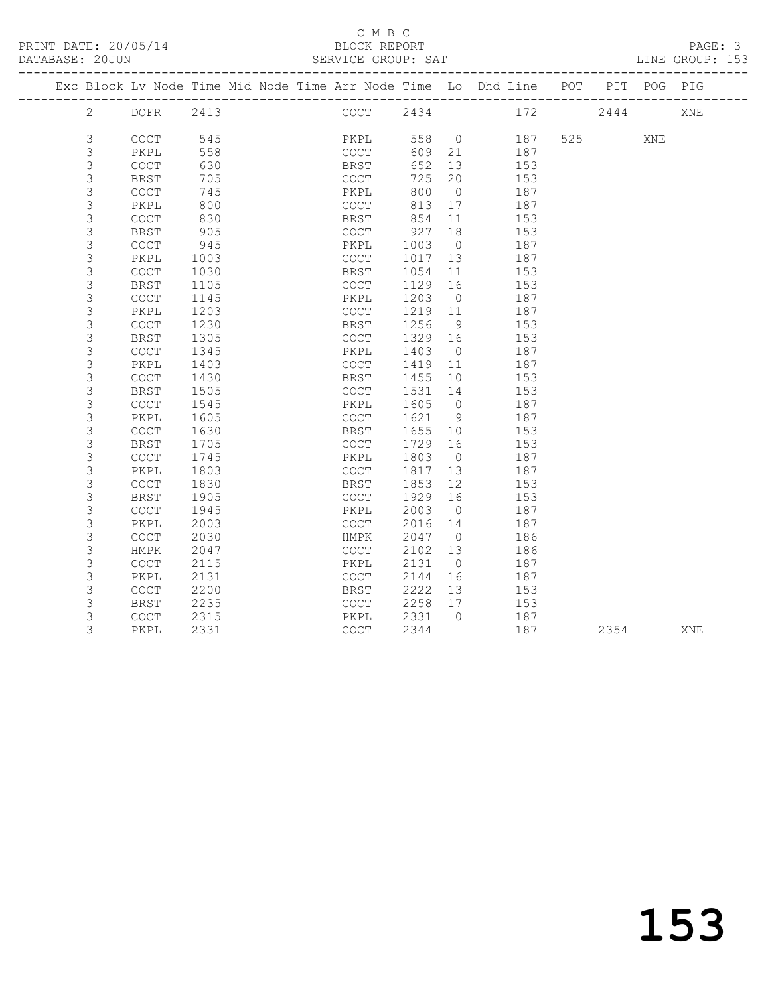#### C M B C<br>BLOCK REPORT SERVICE GROUP: SAT

|  |                |             |      |  | Exc Block Lv Node Time Mid Node Time Arr Node Time Lo Dhd Line POT PIT POG PIG |      |                |     |     |      |     |            |
|--|----------------|-------------|------|--|--------------------------------------------------------------------------------|------|----------------|-----|-----|------|-----|------------|
|  | $\overline{2}$ | DOFR        | 2413 |  | $COCT$ 2434                                                                    |      |                | 172 |     | 2444 |     | <b>XNE</b> |
|  | 3              | <b>COCT</b> | 545  |  | PKPL                                                                           | 558  | $\overline{0}$ |     | 187 | 525  | XNE |            |
|  | 3              | PKPL        | 558  |  | <b>COCT</b>                                                                    | 609  | 21             |     | 187 |      |     |            |
|  | $\mathsf 3$    | COCT        | 630  |  | <b>BRST</b>                                                                    | 652  | 13             |     | 153 |      |     |            |
|  | $\mathsf 3$    | <b>BRST</b> | 705  |  | <b>COCT</b>                                                                    | 725  | 20             |     | 153 |      |     |            |
|  | 3              | <b>COCT</b> | 745  |  | PKPL                                                                           | 800  | $\overline{0}$ |     | 187 |      |     |            |
|  | 3              | PKPL        | 800  |  | COCT                                                                           | 813  | 17             |     | 187 |      |     |            |
|  | 3              | <b>COCT</b> | 830  |  | BRST                                                                           | 854  | 11             |     | 153 |      |     |            |
|  | 3              | <b>BRST</b> | 905  |  | COCT                                                                           | 927  | 18             |     | 153 |      |     |            |
|  | 3              | <b>COCT</b> | 945  |  | PKPL                                                                           | 1003 | $\overline{0}$ |     | 187 |      |     |            |
|  | 3              | PKPL        | 1003 |  | COCT                                                                           | 1017 | 13             |     | 187 |      |     |            |
|  | 3              | <b>COCT</b> | 1030 |  | <b>BRST</b>                                                                    | 1054 | 11             |     | 153 |      |     |            |
|  | 3              | <b>BRST</b> | 1105 |  | <b>COCT</b>                                                                    | 1129 | 16             |     | 153 |      |     |            |
|  | 3              | <b>COCT</b> | 1145 |  | PKPL                                                                           | 1203 | $\overline{0}$ |     | 187 |      |     |            |
|  | $\mathsf 3$    | PKPL        | 1203 |  | <b>COCT</b>                                                                    | 1219 | 11             |     | 187 |      |     |            |
|  | 3              | COCT        | 1230 |  | <b>BRST</b>                                                                    | 1256 | 9              |     | 153 |      |     |            |
|  | 3              | BRST        | 1305 |  | <b>COCT</b>                                                                    | 1329 | 16             |     | 153 |      |     |            |
|  | 3              | <b>COCT</b> | 1345 |  | PKPL                                                                           | 1403 | $\overline{0}$ |     | 187 |      |     |            |
|  | 3              | PKPL        | 1403 |  | <b>COCT</b>                                                                    | 1419 | 11             |     | 187 |      |     |            |
|  | 3              | COCT        | 1430 |  | <b>BRST</b>                                                                    | 1455 | 10             |     | 153 |      |     |            |
|  | 3              | <b>BRST</b> | 1505 |  | <b>COCT</b>                                                                    | 1531 | 14             |     | 153 |      |     |            |
|  | 3              | <b>COCT</b> | 1545 |  | PKPL                                                                           | 1605 | $\overline{0}$ |     | 187 |      |     |            |
|  | 3              | PKPL        | 1605 |  | <b>COCT</b>                                                                    | 1621 | 9              |     | 187 |      |     |            |
|  | 3              | <b>COCT</b> | 1630 |  | BRST                                                                           | 1655 | 10             |     | 153 |      |     |            |
|  | 3              | <b>BRST</b> | 1705 |  | COCT                                                                           | 1729 | 16             |     | 153 |      |     |            |
|  | 3              | <b>COCT</b> | 1745 |  | PKPL                                                                           | 1803 | $\overline{0}$ |     | 187 |      |     |            |
|  | 3              | PKPL        | 1803 |  | <b>COCT</b>                                                                    | 1817 | 13             |     | 187 |      |     |            |
|  | 3              | <b>COCT</b> | 1830 |  | <b>BRST</b>                                                                    | 1853 | 12             |     | 153 |      |     |            |
|  | 3              | <b>BRST</b> | 1905 |  | COCT                                                                           | 1929 | 16             |     | 153 |      |     |            |
|  | 3              | COCT        | 1945 |  | PKPL                                                                           | 2003 | $\overline{0}$ |     | 187 |      |     |            |
|  | 3              | PKPL        | 2003 |  | <b>COCT</b>                                                                    | 2016 | 14             |     | 187 |      |     |            |
|  | 3              | COCT        | 2030 |  | HMPK                                                                           | 2047 | $\bigcirc$     |     | 186 |      |     |            |
|  | 3              | HMPK        | 2047 |  | COCT                                                                           | 2102 | 13             |     | 186 |      |     |            |

3 BRST 2235<br>
3 COCT 2315<br>
3 COCT 2315<br>
3 PKPL 2331 COCT 2344<br>
3 PKPL 2331 COCT 2344<br>
187 2354 XNE

 3 COCT 2115 PKPL 2131 0 187 3 PKPL 2131 COCT 2144 16 187 3 COCT 2200 BRST 2222 13 153 3 BRST 2235 COCT 2258 17 153 3 COCT 2315 PKPL 2331 0 187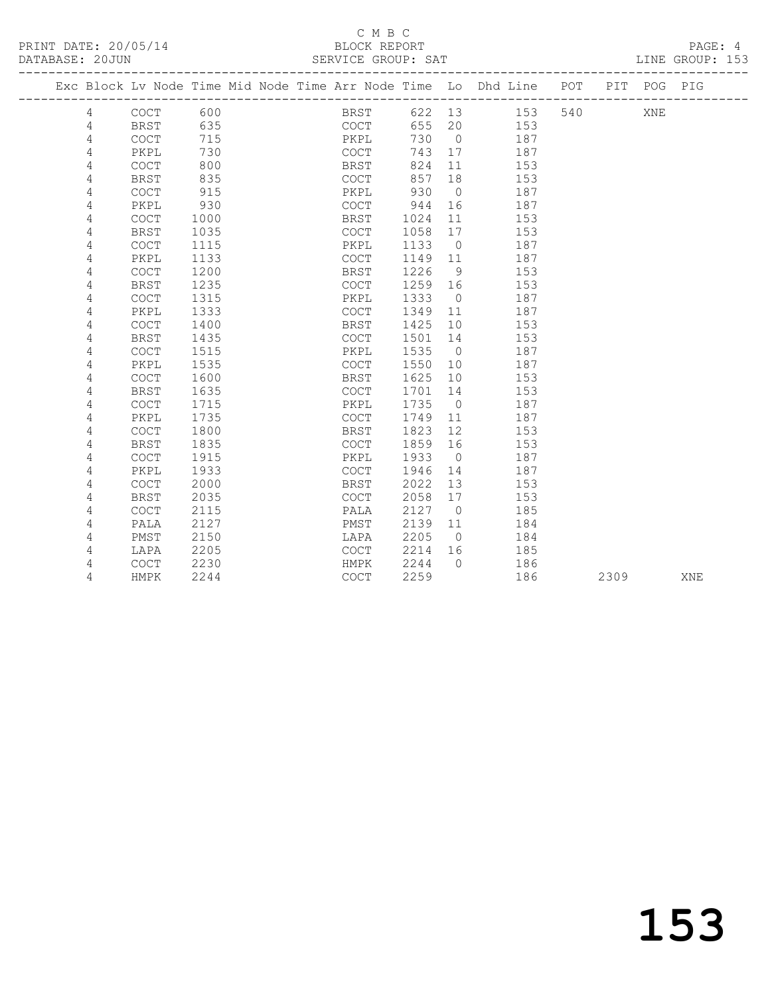#### C M B C<br>BLOCK REPORT SERVICE GROUP: SAT

|  |                | Exc Block Lv Node Time Mid Node Time Arr Node Time Lo Dhd Line POT PIT POG PIG |      |  |      |      |        |                 |            |     |     |  |
|--|----------------|--------------------------------------------------------------------------------|------|--|------|------|--------|-----------------|------------|-----|-----|--|
|  | $\overline{4}$ | COCT                                                                           | 600  |  |      | BRST |        |                 | 622 13 153 | 540 | XNE |  |
|  | $\overline{4}$ | BRST                                                                           | 635  |  | COCT |      | 655 20 |                 | 153        |     |     |  |
|  | 4              | $\mathtt{C}\mathtt{O}\mathtt{C}\mathtt{T}$                                     | 715  |  | PKPL |      | 730    | $\overline{0}$  | 187        |     |     |  |
|  | 4              | PKPL                                                                           | 730  |  | COCT |      | 743    | 17              | 187        |     |     |  |
|  | 4              | $\mathtt{C}\mathtt{O}\mathtt{C}\mathtt{T}$                                     | 800  |  | BRST |      | 824    | 11              | 153        |     |     |  |
|  | 4              | <b>BRST</b>                                                                    | 835  |  | COCT |      | 857    | 18              | 153        |     |     |  |
|  | 4              | COCT                                                                           | 915  |  | PKPL |      | 930    | $\overline{0}$  | 187        |     |     |  |
|  | 4              | PKPL                                                                           | 930  |  | COCT |      | 944    | 16              | 187        |     |     |  |
|  | 4              | COCT                                                                           | 1000 |  | BRST |      | 1024   | 11              | 153        |     |     |  |
|  | 4              | <b>BRST</b>                                                                    | 1035 |  | COCT |      | 1058   | 17              | 153        |     |     |  |
|  | 4              | <b>COCT</b>                                                                    | 1115 |  | PKPL |      | 1133   | $\overline{0}$  | 187        |     |     |  |
|  | 4              | PKPL                                                                           | 1133 |  | COCT |      | 1149   | 11              | 187        |     |     |  |
|  | 4              | <b>COCT</b>                                                                    | 1200 |  | BRST |      | 1226   | - 9             | 153        |     |     |  |
|  | 4              | <b>BRST</b>                                                                    | 1235 |  | COCT |      | 1259   | 16              | 153        |     |     |  |
|  | 4              | <b>COCT</b>                                                                    | 1315 |  | PKPL |      | 1333   | $\bigcirc$      | 187        |     |     |  |
|  | 4              | PKPL                                                                           | 1333 |  | COCT |      | 1349   | 11              | 187        |     |     |  |
|  | 4              | <b>COCT</b>                                                                    | 1400 |  | BRST |      | 1425   | 10              | 153        |     |     |  |
|  | 4              | <b>BRST</b>                                                                    | 1435 |  | COCT |      | 1501   | 14              | 153        |     |     |  |
|  | 4              | <b>COCT</b>                                                                    | 1515 |  | PKPL |      | 1535   | $\overline{0}$  | 187        |     |     |  |
|  | 4              | PKPL                                                                           | 1535 |  | COCT |      | 1550   | 10 <sup>°</sup> | 187        |     |     |  |
|  | 4              | COCT                                                                           | 1600 |  | BRST |      | 1625   | 10              | 153        |     |     |  |
|  | 4              | <b>BRST</b>                                                                    | 1635 |  | COCT |      | 1701   | 14              | 153        |     |     |  |
|  | 4              | COCT                                                                           | 1715 |  | PKPL |      | 1735   | $\overline{0}$  | 187        |     |     |  |
|  | 4              | PKPL                                                                           | 1735 |  | COCT |      | 1749   | 11              | 187        |     |     |  |
|  | 4              | COCT                                                                           | 1800 |  | BRST |      | 1823   | 12              | 153        |     |     |  |
|  | 4              | <b>BRST</b>                                                                    | 1835 |  | COCT |      | 1859   | 16              | 153        |     |     |  |
|  | 4              | COCT                                                                           | 1915 |  | PKPL |      | 1933   | $\overline{0}$  | 187        |     |     |  |
|  | 4              | PKPL                                                                           | 1933 |  | COCT |      | 1946   | 14              | 187        |     |     |  |
|  | 4              | <b>COCT</b>                                                                    | 2000 |  | BRST |      | 2022   | 13              | 153        |     |     |  |
|  | 4              | <b>BRST</b>                                                                    | 2035 |  | COCT |      | 2058   | 17              | 153        |     |     |  |
|  | 4              | <b>COCT</b>                                                                    | 2115 |  | PALA |      | 2127   | $\overline{0}$  | 185        |     |     |  |
|  | 4              | PALA                                                                           | 2127 |  | PMST |      | 2139   | 11              | 184        |     |     |  |
|  | 4              | PMST                                                                           | 2150 |  | LAPA |      | 2205   | $\overline{0}$  | 184        |     |     |  |
|  | 4              | LAPA                                                                           | 2205 |  | COCT |      | 2214   | 16              | 185        |     |     |  |
|  | 4              | <b>COCT</b>                                                                    | 2230 |  | HMPK |      | 2244   | $\bigcap$       | 186        |     |     |  |

4 HMPK 2244 COCT 2259 186 2309 XNE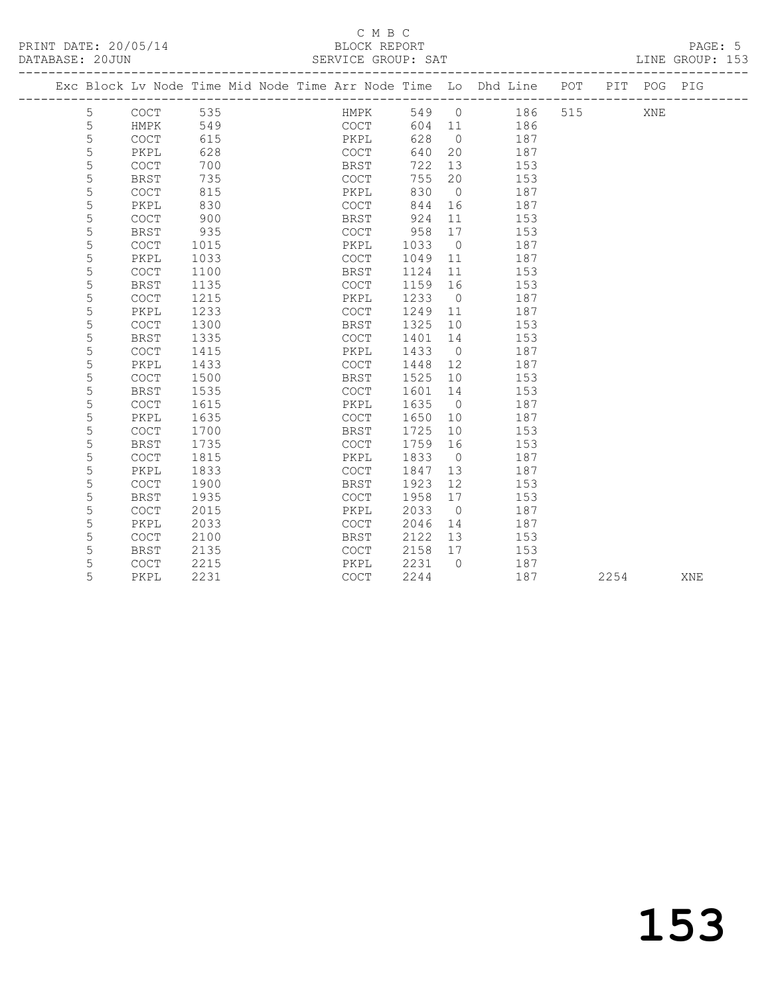### C M B C<br>BLOCK REPORT

SERVICE GROUP: SAT

|   |                                            |      | Exc Block Lv Node Time Mid Node Time Arr Node Time Lo Dhd Line POT |      |                |     |     |      | PIT POG PIG |     |
|---|--------------------------------------------|------|--------------------------------------------------------------------|------|----------------|-----|-----|------|-------------|-----|
| 5 | $\mathtt{C}\mathtt{O}\mathtt{C}\mathtt{T}$ | 535  | HMPK                                                               | 549  | $\overline{0}$ | 186 | 515 |      | XNE         |     |
| 5 | HMPK                                       | 549  | COCT                                                               | 604  | 11             | 186 |     |      |             |     |
| 5 | $\mathtt{C}\mathtt{O}\mathtt{C}\mathtt{T}$ | 615  | PKPL                                                               | 628  | $\overline{0}$ | 187 |     |      |             |     |
| 5 | PKPL                                       | 628  | COCT                                                               | 640  | 20             | 187 |     |      |             |     |
| 5 | $\mathtt{C}\mathtt{O}\mathtt{C}\mathtt{T}$ | 700  | <b>BRST</b>                                                        | 722  | 13             | 153 |     |      |             |     |
| 5 | <b>BRST</b>                                | 735  | <b>COCT</b>                                                        | 755  | 20             | 153 |     |      |             |     |
| 5 | COCT                                       | 815  | PKPL                                                               | 830  | $\overline{0}$ | 187 |     |      |             |     |
| 5 | PKPL                                       | 830  | <b>COCT</b>                                                        | 844  | 16             | 187 |     |      |             |     |
| 5 | <b>COCT</b>                                | 900  | <b>BRST</b>                                                        | 924  | 11             | 153 |     |      |             |     |
| 5 | <b>BRST</b>                                | 935  | <b>COCT</b>                                                        | 958  | 17             | 153 |     |      |             |     |
| 5 | COCT                                       | 1015 | PKPL                                                               | 1033 | $\overline{0}$ | 187 |     |      |             |     |
| 5 | PKPL                                       | 1033 | COCT                                                               | 1049 | 11             | 187 |     |      |             |     |
| 5 | <b>COCT</b>                                | 1100 | <b>BRST</b>                                                        | 1124 | 11             | 153 |     |      |             |     |
| 5 | <b>BRST</b>                                | 1135 | COCT                                                               | 1159 | 16             | 153 |     |      |             |     |
| 5 | <b>COCT</b>                                | 1215 | PKPL                                                               | 1233 | $\bigcirc$     | 187 |     |      |             |     |
| 5 | PKPL                                       | 1233 | COCT                                                               | 1249 | 11             | 187 |     |      |             |     |
| 5 | <b>COCT</b>                                | 1300 | BRST                                                               | 1325 | 10             | 153 |     |      |             |     |
| 5 | <b>BRST</b>                                | 1335 | <b>COCT</b>                                                        | 1401 | 14             | 153 |     |      |             |     |
| 5 | <b>COCT</b>                                | 1415 | PKPL                                                               | 1433 | $\overline{0}$ | 187 |     |      |             |     |
| 5 | PKPL                                       | 1433 | $\mathtt{C}\mathtt{O}\mathtt{C}\mathtt{T}$                         | 1448 | 12             | 187 |     |      |             |     |
| 5 | COCT                                       | 1500 | <b>BRST</b>                                                        | 1525 | 10             | 153 |     |      |             |     |
| 5 | <b>BRST</b>                                | 1535 | $\mathtt{C}\mathtt{O}\mathtt{C}\mathtt{T}$                         | 1601 | 14             | 153 |     |      |             |     |
| 5 | $\mathtt{C}\mathtt{O}\mathtt{C}\mathtt{T}$ | 1615 | PKPL                                                               | 1635 | $\overline{0}$ | 187 |     |      |             |     |
| 5 | PKPL                                       | 1635 | COCT                                                               | 1650 | 10             | 187 |     |      |             |     |
| 5 | <b>COCT</b>                                | 1700 | <b>BRST</b>                                                        | 1725 | 10             | 153 |     |      |             |     |
| 5 | <b>BRST</b>                                | 1735 | COCT                                                               | 1759 | 16             | 153 |     |      |             |     |
| 5 | COCT                                       | 1815 | PKPL                                                               | 1833 | $\overline{0}$ | 187 |     |      |             |     |
| 5 | PKPL                                       | 1833 | $\mathtt{C}\mathtt{O}\mathtt{C}\mathtt{T}$                         | 1847 | 13             | 187 |     |      |             |     |
| 5 | <b>COCT</b>                                | 1900 | <b>BRST</b>                                                        | 1923 | 12             | 153 |     |      |             |     |
| 5 | <b>BRST</b>                                | 1935 | <b>COCT</b>                                                        | 1958 | 17             | 153 |     |      |             |     |
| 5 | <b>COCT</b>                                | 2015 | PKPL                                                               | 2033 | $\overline{0}$ | 187 |     |      |             |     |
| 5 | PKPL                                       | 2033 | COCT                                                               | 2046 | 14             | 187 |     |      |             |     |
| 5 | <b>COCT</b>                                | 2100 | BRST                                                               | 2122 | 13             | 153 |     |      |             |     |
| 5 | BRST                                       | 2135 | COCT                                                               | 2158 | 17             | 153 |     |      |             |     |
| 5 | <b>COCT</b>                                | 2215 | PKPL                                                               | 2231 | $\Omega$       | 187 |     |      |             |     |
| 5 | PKPL                                       | 2231 | <b>COCT</b>                                                        | 2244 |                | 187 |     | 2254 |             | XNE |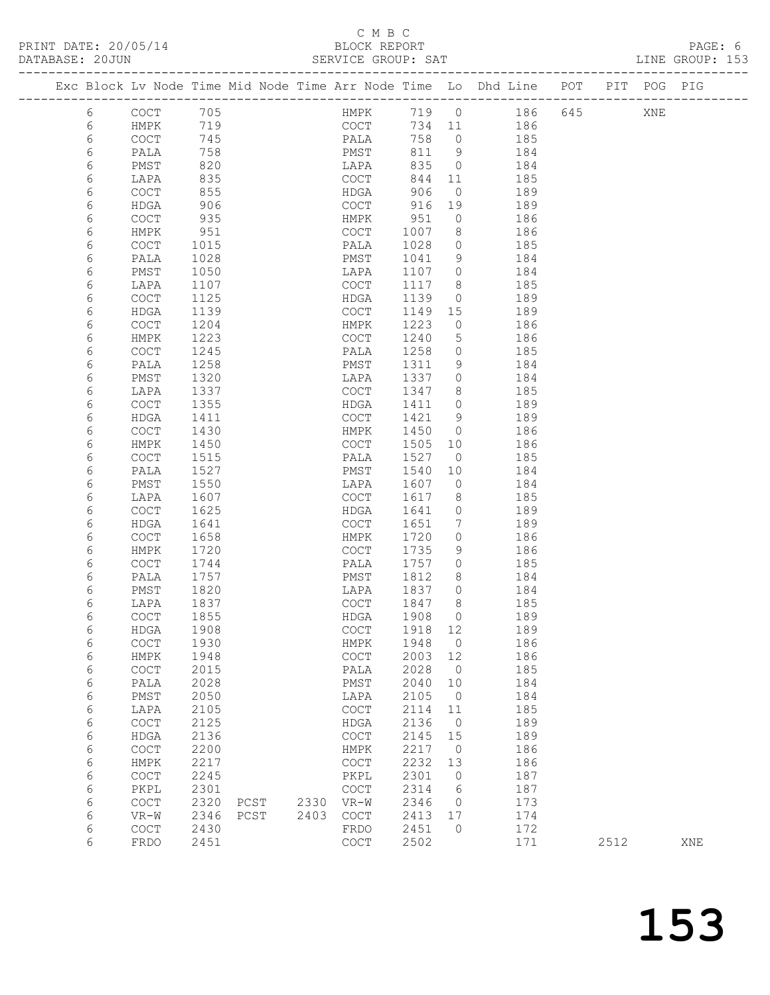### C M B C<br>BLOCK REPORT

|        |                                            |                 |      |      |                                            |                  |                                   |                                                                                |      | PAGE: 6<br>LINE GROUP: 153 |
|--------|--------------------------------------------|-----------------|------|------|--------------------------------------------|------------------|-----------------------------------|--------------------------------------------------------------------------------|------|----------------------------|
|        |                                            |                 |      |      |                                            |                  |                                   | Exc Block Lv Node Time Mid Node Time Arr Node Time Lo Dhd Line POT PIT POG PIG |      |                            |
| 6      | COCT 705                                   |                 |      |      |                                            |                  |                                   | HMPK 719 0 186 645 XNE                                                         |      |                            |
| 6      | HMPK 719                                   |                 |      |      |                                            |                  |                                   | COCT 734 11 186                                                                |      |                            |
| 6      | <b>COCT</b>                                | 745             |      |      |                                            |                  |                                   | PALA 758 0 185                                                                 |      |                            |
| 6      | PALA                                       | 758             |      |      |                                            |                  |                                   | PMST 811 9 184<br>LAPA 835 0 184                                               |      |                            |
| 6      | PMST                                       | $\frac{1}{820}$ |      |      |                                            |                  |                                   |                                                                                |      |                            |
| 6      | LAPA                                       | 835             |      |      | COCT                                       | 844 11           |                                   | 185                                                                            |      |                            |
| 6      | COCT                                       | 855             |      |      | HDGA                                       | 906              | $\overline{0}$                    | 189                                                                            |      |                            |
| 6      | HDGA                                       | 906<br>935      |      |      |                                            |                  |                                   | 189                                                                            |      |                            |
| 6      | COCT                                       |                 |      |      | COCT 916 19<br>HMPK 951 0<br>COCT 1007 8   |                  |                                   | 186                                                                            |      |                            |
| 6      | HMPK                                       | 951             |      |      |                                            |                  |                                   | 186                                                                            |      |                            |
| 6      | COCT                                       | 1015            |      |      | PALA                                       | 1028             | $\overline{0}$                    | 185                                                                            |      |                            |
| 6      | PALA                                       | 1028            |      |      | PMST 1041 9<br>LAPA 1107 0                 |                  |                                   | 184                                                                            |      |                            |
| 6      | PMST                                       | 1050            |      |      |                                            |                  |                                   | 184                                                                            |      |                            |
| 6      | LAPA                                       | 1107            |      |      | $COCT$ 1117                                |                  |                                   | 8 185                                                                          |      |                            |
| 6      | <b>COCT</b>                                | 1125            |      |      | HDGA                                       | 1139             | $\overline{0}$                    | 189                                                                            |      |                            |
| 6      | HDGA                                       | 1139            |      |      | COCT                                       | 1149             | 15                                | 189                                                                            |      |                            |
| 6      | COCT                                       | 1204            |      |      | HMPK                                       | 1223<br>1240     | $\overline{0}$                    | 186<br>186                                                                     |      |                            |
| 6<br>6 | HMPK<br><b>COCT</b>                        | 1223            |      |      | COCT                                       |                  | $5\overline{)}$<br>$\overline{0}$ | 185                                                                            |      |                            |
| 6      | PALA                                       | 1245<br>1258    |      |      | PALA<br>PMST                               | 1258<br>1311     | 9                                 | 184                                                                            |      |                            |
| 6      | PMST                                       | 1320            |      |      | LAPA                                       | 1337             | $\overline{0}$                    | 184                                                                            |      |                            |
| 6      | LAPA                                       | 1337            |      |      | $COCT$ 1347                                |                  | 8                                 | 185                                                                            |      |                            |
| 6      | <b>COCT</b>                                | 1355            |      |      | HDGA 1411                                  |                  | $\overline{0}$                    | 189                                                                            |      |                            |
| 6      | HDGA                                       | 1411            |      |      | COCT                                       | 1421             | 9                                 | 189                                                                            |      |                            |
| 6      | COCT                                       | 1430            |      |      | HMPK                                       | 1450             | $\overline{0}$                    | 186                                                                            |      |                            |
| 6      | HMPK                                       | 1450            |      |      | COCT                                       | 1505 10          |                                   | 186                                                                            |      |                            |
| 6      | <b>COCT</b>                                | 1515            |      |      | PALA 1527                                  |                  | $\overline{0}$                    | 185                                                                            |      |                            |
| 6      | PALA                                       | 1527            |      |      | PMST                                       | 1540             | 10                                | 184                                                                            |      |                            |
| 6      | PMST                                       | 1550            |      |      | LAPA                                       | 1607             | $\overline{0}$                    | 184                                                                            |      |                            |
| 6      | LAPA                                       | 1607            |      |      | COCT                                       | 1617             | 8                                 | $\frac{1}{185}$                                                                |      |                            |
| 6      | <b>COCT</b>                                | 1625            |      |      | HDGA                                       | 1641             | $\overline{0}$                    | 189                                                                            |      |                            |
| 6      | HDGA                                       | 1641            |      |      | COCT                                       | 1651             | $7\overline{ }$                   | 189                                                                            |      |                            |
| 6      | COCT                                       | 1658            |      |      | HMPK                                       | 1720             | $\overline{0}$                    | 186                                                                            |      |                            |
| 6      | HMPK                                       | 1720            |      |      | COCT                                       | $\frac{1}{1735}$ | 9                                 | 186                                                                            |      |                            |
| 6      | COCT                                       | 1744            |      |      |                                            |                  |                                   | PALA 1757 0 185                                                                |      |                            |
| 6      | PALA                                       | 1757            |      |      | PMST                                       | 1812             | 8 <sup>8</sup>                    | 184                                                                            |      |                            |
| 6      | PMST                                       | 1820            |      |      | LAPA                                       | 1837             | $\overline{0}$                    | 184                                                                            |      |                            |
| 6      | LAPA 1837                                  |                 |      |      | COCT 1847 8                                |                  |                                   | 185                                                                            |      |                            |
| 6      | COCT                                       | 1855            |      |      | HDGA                                       | 1908             | 0                                 | 189                                                                            |      |                            |
| 6      | HDGA                                       | 1908            |      |      | $\mathtt{C}\mathtt{O}\mathtt{C}\mathtt{T}$ | 1918             | 12                                | 189                                                                            |      |                            |
| 6      | COCT                                       | 1930            |      |      | HMPK                                       | 1948             | $\circ$                           | 186                                                                            |      |                            |
| 6      | HMPK                                       | 1948            |      |      | COCT                                       | 2003             | 12                                | 186                                                                            |      |                            |
| 6      | $\mathtt{C}\mathtt{O}\mathtt{C}\mathtt{T}$ | 2015            |      |      | PALA                                       | 2028             | 0                                 | 185                                                                            |      |                            |
| 6      | PALA                                       | 2028            |      |      | PMST                                       | 2040             | 10                                | 184                                                                            |      |                            |
| 6      | ${\tt PMST}$                               | 2050            |      |      | LAPA                                       | 2105             | 0                                 | 184                                                                            |      |                            |
| 6      | LAPA                                       | 2105            |      |      | $\mathtt{C}\mathtt{O}\mathtt{C}\mathtt{T}$ | 2114             | 11                                | 185                                                                            |      |                            |
| 6      | COCT                                       | 2125            |      |      | HDGA                                       | 2136             | 0                                 | 189                                                                            |      |                            |
| 6      | HDGA                                       | 2136            |      |      | COCT                                       | 2145             | 15                                | 189                                                                            |      |                            |
| 6      | COCT                                       | 2200            |      |      | HMPK                                       | 2217             | 0                                 | 186                                                                            |      |                            |
| 6      | HMPK                                       | 2217            |      |      | COCT                                       | 2232             | 13                                | 186                                                                            |      |                            |
| 6      | COCT                                       | 2245            |      |      | PKPL                                       | 2301             | 0                                 | 187                                                                            |      |                            |
| 6      | PKPL                                       | 2301            |      |      | $\mathtt{C}\mathtt{O}\mathtt{C}\mathtt{T}$ | 2314             | 6                                 | 187                                                                            |      |                            |
| 6      | COCT                                       | 2320            | PCST | 2330 | $VR-W$                                     | 2346             | 0                                 | 173                                                                            |      |                            |
| 6      | $VR-W$                                     | 2346            | PCST | 2403 | COCT                                       | 2413             | 17                                | 174                                                                            |      |                            |
| 6      | COCT                                       | 2430            |      |      | FRDO                                       | 2451             | $\mathbf{0}$                      | 172                                                                            |      |                            |
| 6      | <b>FRDO</b>                                | 2451            |      |      | $\mathtt{C}\mathtt{O}\mathtt{C}\mathtt{T}$ | 2502             |                                   | 171                                                                            | 2512 | XNE                        |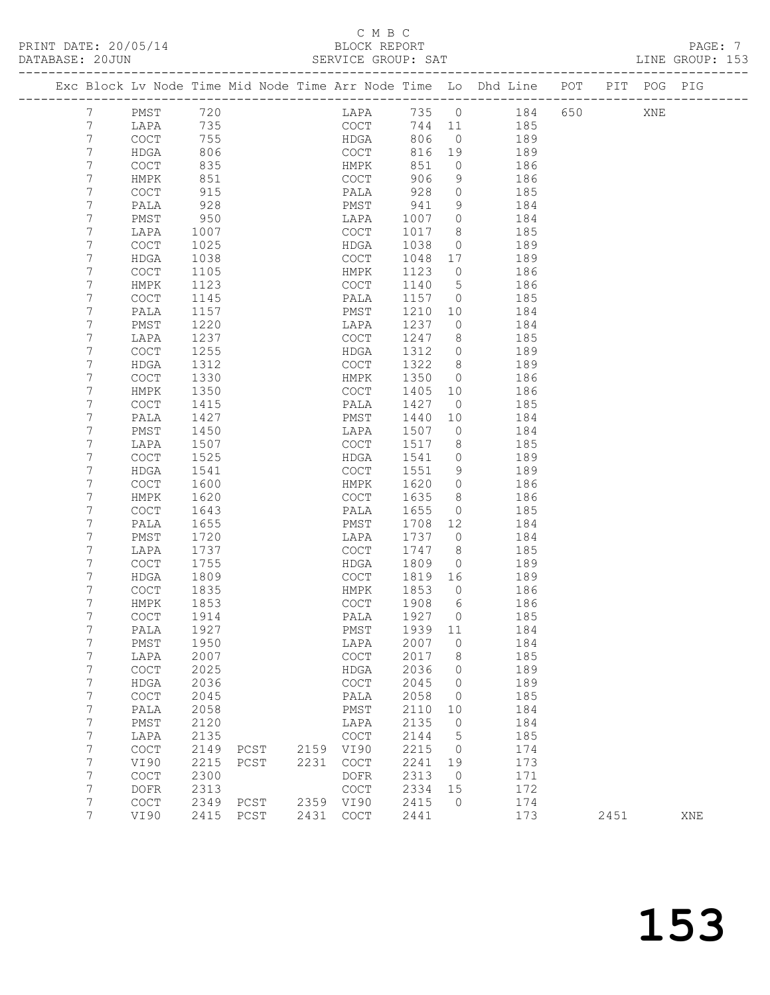## C M B C

|                  |                                            |      |        |      |                                            |            |                | PRINT DATE: 20/05/14<br>BLOCK REPORT BLOCK PRESSERIE BATABASE: 20JUN SERVICE GROUP: SAT LINE GROUP: 153 |      |     |     |  |
|------------------|--------------------------------------------|------|--------|------|--------------------------------------------|------------|----------------|---------------------------------------------------------------------------------------------------------|------|-----|-----|--|
|                  |                                            |      |        |      |                                            |            |                | Exc Block Lv Node Time Mid Node Time Arr Node Time Lo Dhd Line POT PIT POG PIG                          |      |     |     |  |
|                  |                                            |      |        |      |                                            |            |                |                                                                                                         |      |     |     |  |
| 7                | PMST                                       | 720  |        |      |                                            |            |                | LAPA 735 0 184 650                                                                                      |      | XNE |     |  |
| 7                | LAPA                                       |      |        |      |                                            |            |                |                                                                                                         |      |     |     |  |
| 7                | COCT                                       |      |        |      |                                            |            |                |                                                                                                         |      |     |     |  |
| $7\phantom{.0}$  | HDGA                                       |      |        |      |                                            |            |                |                                                                                                         |      |     |     |  |
| 7                | <b>COCT</b>                                |      |        |      |                                            |            |                |                                                                                                         |      |     |     |  |
| 7                | HMPK                                       | 851  |        |      | COCT                                       | 906        | 9              | 186                                                                                                     |      |     |     |  |
| 7                | COCT                                       | 915  |        |      | PALA                                       | 928<br>941 |                | $\begin{array}{ccc} 0 & \hspace{1.5cm} & 185 \\ 9 & \hspace{1.5cm} & 184 \end{array}$                   |      |     |     |  |
| 7                | PALA                                       | 928  |        |      | PMST                                       |            |                |                                                                                                         |      |     |     |  |
| 7                | PMST                                       | 950  |        |      | LAPA                                       | 1007       |                | $0$ 184                                                                                                 |      |     |     |  |
| 7                | LAPA                                       | 1007 |        |      | COCT                                       | 1017       | 8 <sup>8</sup> | 185                                                                                                     |      |     |     |  |
| 7                | COCT                                       | 1025 |        |      | HDGA                                       | 1038       | $\overline{O}$ | 189                                                                                                     |      |     |     |  |
| 7                | HDGA                                       | 1038 |        |      | COCT                                       | 1048 17    |                | 189                                                                                                     |      |     |     |  |
| 7                | COCT                                       | 1105 |        |      | HMPK                                       | 1123       |                | $0$ 186                                                                                                 |      |     |     |  |
| 7                | HMPK                                       | 1123 |        |      | COCT                                       | 1140       | 5 <sup>5</sup> | 186                                                                                                     |      |     |     |  |
| 7                | COCT                                       | 1145 |        |      | PALA                                       | 1157       |                | $0$ 185                                                                                                 |      |     |     |  |
| 7                | PALA                                       | 1157 |        |      | PMST                                       | 1210       | 10             | 184                                                                                                     |      |     |     |  |
| 7                | PMST                                       | 1220 |        |      | LAPA                                       | 1237       |                | $\overline{0}$ 184                                                                                      |      |     |     |  |
| 7                | LAPA                                       | 1237 |        |      | COCT                                       | 1247       |                | 8 185                                                                                                   |      |     |     |  |
| 7                | COCT                                       | 1255 |        |      | HDGA                                       | 1312       |                | $\frac{0}{2}$ 189                                                                                       |      |     |     |  |
| 7                | HDGA                                       | 1312 |        |      | COCT                                       | 1322       | 8 <sup>8</sup> | 189                                                                                                     |      |     |     |  |
| 7                | <b>COCT</b>                                | 1330 |        |      | HMPK                                       | 1350       |                | $\overline{0}$ 186                                                                                      |      |     |     |  |
| 7                | HMPK                                       | 1350 |        |      | COCT                                       | 1405       |                | 10 186                                                                                                  |      |     |     |  |
| 7                | <b>COCT</b>                                | 1415 |        |      | PALA                                       | 1427       | $\overline{0}$ | 185                                                                                                     |      |     |     |  |
| 7                | PALA                                       | 1427 |        |      | PMST                                       | 1440       | 10             | 184                                                                                                     |      |     |     |  |
| 7                | PMST                                       | 1450 |        |      | LAPA                                       | 1507       | $\overline{0}$ | 184                                                                                                     |      |     |     |  |
| 7                | LAPA                                       | 1507 |        |      | COCT                                       | 1517       |                | 8 185                                                                                                   |      |     |     |  |
| 7                | <b>COCT</b>                                | 1525 |        |      | HDGA                                       | 1541       | $\overline{0}$ | 189                                                                                                     |      |     |     |  |
| 7                | <b>HDGA</b>                                | 1541 |        |      | COCT                                       | 1551       |                | 189                                                                                                     |      |     |     |  |
| 7                | COCT                                       | 1600 |        |      | HMPK                                       | 1620       |                | $\frac{9}{0}$<br>186                                                                                    |      |     |     |  |
| 7                | HMPK                                       | 1620 |        |      | COCT                                       | 1635       |                | 8 186                                                                                                   |      |     |     |  |
| 7                | <b>COCT</b>                                | 1643 |        |      | PALA                                       | 1655       |                | $0$ 185                                                                                                 |      |     |     |  |
| 7                | PALA                                       | 1655 |        |      | PMST                                       | 1708       | 12             | 184                                                                                                     |      |     |     |  |
| 7                | PMST                                       | 1720 |        |      | LAPA                                       | 1737       | $\overline{0}$ | 184                                                                                                     |      |     |     |  |
| 7                | LAPA                                       | 1737 |        |      | COCT                                       | 1747       |                | 8 185                                                                                                   |      |     |     |  |
| 7                | COCT                                       | 1755 |        |      | HDGA                                       | 1809       |                | 0 189                                                                                                   |      |     |     |  |
| 7                | HDGA                                       | 1809 |        |      | COCT                                       | 1819 16    |                | 189                                                                                                     |      |     |     |  |
| 7                | COCT                                       | 1835 |        |      | HMPK                                       | 1853       | $\bigcirc$     | 186                                                                                                     |      |     |     |  |
| 7                | HMPK                                       | 1853 |        |      | $\mathtt{C}\mathtt{O}\mathtt{C}\mathtt{T}$ | 1908       | 6              | 186                                                                                                     |      |     |     |  |
| 7                | COCT                                       | 1914 |        |      | PALA                                       | 1927       | 0              | 185                                                                                                     |      |     |     |  |
| 7                | PALA                                       | 1927 |        |      | PMST                                       | 1939       | 11             | 184                                                                                                     |      |     |     |  |
| 7                | PMST                                       | 1950 |        |      | LAPA                                       | 2007       | 0              | 184                                                                                                     |      |     |     |  |
| 7                | LAPA                                       | 2007 |        |      | $\mathtt{C}\mathtt{O}\mathtt{C}\mathtt{T}$ | 2017       | 8              | 185                                                                                                     |      |     |     |  |
| 7                | COCT                                       | 2025 |        |      | HDGA                                       | 2036       | 0              | 189                                                                                                     |      |     |     |  |
| 7                | HDGA                                       | 2036 |        |      | COCT                                       | 2045       | 0              | 189                                                                                                     |      |     |     |  |
| 7                | COCT                                       | 2045 |        |      | PALA                                       | 2058       | 0              | 185                                                                                                     |      |     |     |  |
| $\boldsymbol{7}$ | PALA                                       | 2058 |        |      | ${\tt PMST}$                               | 2110       | 10             | 184                                                                                                     |      |     |     |  |
| 7                | PMST                                       | 2120 |        |      | LAPA                                       | 2135       | 0              | 184                                                                                                     |      |     |     |  |
| 7                | LAPA                                       | 2135 |        |      | $\mathtt{C}\mathtt{O}\mathtt{C}\mathtt{T}$ | 2144       | 5              | 185                                                                                                     |      |     |     |  |
| 7                | COCT                                       | 2149 | PCST   | 2159 | VI90                                       | 2215       | 0              | 174                                                                                                     |      |     |     |  |
| 7                | VI90                                       | 2215 | PCST   | 2231 | $\mathtt{C}\mathtt{O}\mathtt{C}\mathtt{T}$ | 2241       | 19             | 173                                                                                                     |      |     |     |  |
| 7                | COCT                                       | 2300 |        |      | DOFR                                       | 2313       | 0              | 171                                                                                                     |      |     |     |  |
| 7                | DOFR                                       | 2313 |        |      | $\mathtt{C}\mathtt{O}\mathtt{C}\mathtt{T}$ | 2334       | 15             | 172                                                                                                     |      |     |     |  |
| 7                | $\mathtt{C}\mathtt{O}\mathtt{C}\mathtt{T}$ | 2349 |        | 2359 | VI90                                       | 2415       | $\circ$        | 174                                                                                                     |      |     |     |  |
| 7                | VI90                                       | 2415 | PCST   | 2431 | $\mathtt{C}\mathtt{O}\mathtt{C}\mathtt{T}$ | 2441       |                | 173                                                                                                     | 2451 |     | XNE |  |
|                  |                                            |      | $PCST$ |      |                                            |            |                |                                                                                                         |      |     |     |  |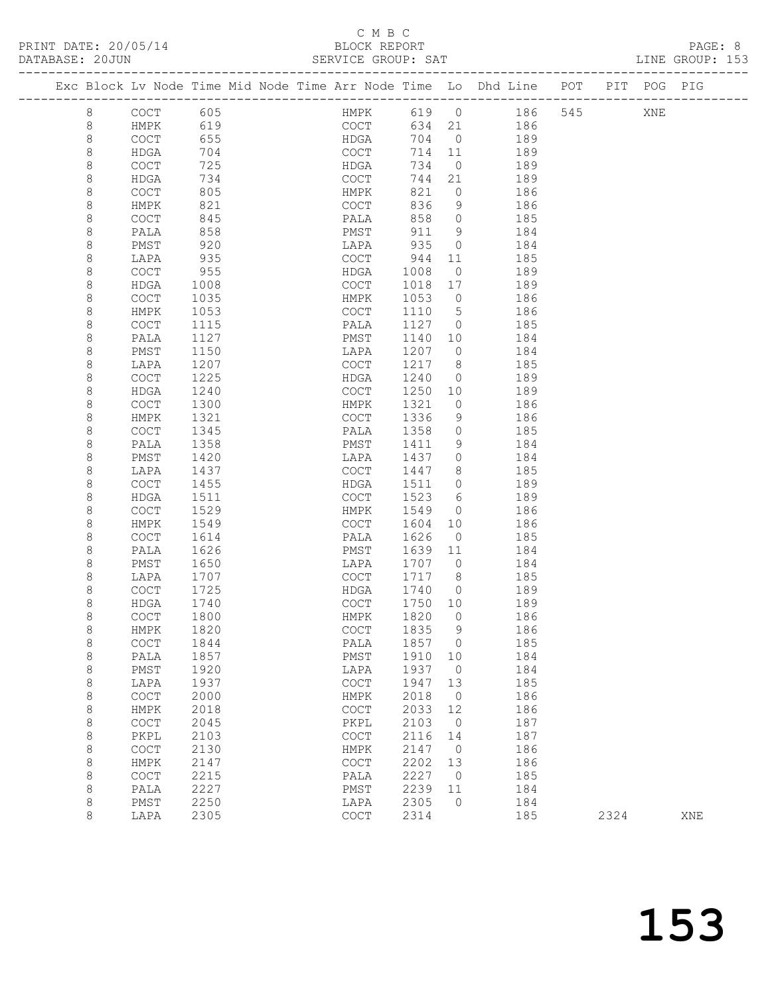PRINT DATE: 20/05/14 BLOCK REPORT BLOCK REPORT DATABASE: 20J

### C M B C<br>BLOCK REPORT

|  | DATABASE: 20JUN |             |      |                                                                |             | SERVICE GROUP: SAT |                |     |     |     |     | LINE GROUP: 153 |  |
|--|-----------------|-------------|------|----------------------------------------------------------------|-------------|--------------------|----------------|-----|-----|-----|-----|-----------------|--|
|  |                 |             |      | Exc Block Lv Node Time Mid Node Time Arr Node Time Lo Dhd Line |             |                    |                |     | POT | PIT | POG | PIG             |  |
|  | 8               | <b>COCT</b> | 605  |                                                                | HMPK        | 619                | $\bigcirc$     | 186 | 545 |     | XNE |                 |  |
|  | 8               | HMPK        | 619  |                                                                | <b>COCT</b> | 634                | 21             | 186 |     |     |     |                 |  |
|  | 8               | <b>COCT</b> | 655  |                                                                | HDGA        | 704                | $\bigcirc$     | 189 |     |     |     |                 |  |
|  | 8               | HDGA        | 704  |                                                                | <b>COCT</b> | 714                | 11             | 189 |     |     |     |                 |  |
|  | 8               | <b>COCT</b> | 725  |                                                                | <b>HDGA</b> | 734                | $\overline{0}$ | 189 |     |     |     |                 |  |
|  | 8               | HDGA        | 734  |                                                                | COCT        | 744                | 21             | 189 |     |     |     |                 |  |
|  | 8               | <b>COCT</b> | 805  |                                                                | HMPK        | 821                | $\Omega$       | 186 |     |     |     |                 |  |
|  | 8               | HMPK        | 821  |                                                                | <b>COCT</b> | 836                | 9              | 186 |     |     |     |                 |  |
|  | 8               | COCT        | 845  |                                                                | PALA        | 858                | 0              | 185 |     |     |     |                 |  |
|  | 8               | PALA        | 858  |                                                                | PMST        | 911                | 9              | 184 |     |     |     |                 |  |
|  | 8               | PMST        | 920  |                                                                | LAPA        | 935                | $\Omega$       | 184 |     |     |     |                 |  |
|  | 8               | LAPA        | 935  |                                                                | <b>COCT</b> | 944                | 11             | 185 |     |     |     |                 |  |
|  | 8               | <b>COCT</b> | 955  |                                                                | <b>HDGA</b> | 1008               | $\Omega$       | 189 |     |     |     |                 |  |
|  | 8               | HDGA        | 1008 |                                                                | <b>COCT</b> | 1018               | 17             | 189 |     |     |     |                 |  |
|  | 8               | <b>COCT</b> | 1035 |                                                                | HMPK        | 1053               | $\Omega$       | 186 |     |     |     |                 |  |
|  |                 |             |      |                                                                |             |                    |                |     |     |     |     |                 |  |

|         | <b>TRIPITI</b>                             | ンシン  | $\sim$ $\sim$ $\sim$ $\sim$                | レエユ  | <b>++</b>      | ∸∪∽ |      |     |  |
|---------|--------------------------------------------|------|--------------------------------------------|------|----------------|-----|------|-----|--|
| 8       | COCT                                       | 955  | <b>HDGA</b>                                | 1008 | $\overline{0}$ | 189 |      |     |  |
| 8       | HDGA                                       | 1008 | COCT                                       | 1018 | 17             | 189 |      |     |  |
| $\,8\,$ | COCT                                       | 1035 | <b>HMPK</b>                                | 1053 | $\circ$        | 186 |      |     |  |
| $\,8\,$ | HMPK                                       | 1053 | $\mathtt{C}\mathtt{O}\mathtt{C}\mathtt{T}$ | 1110 | $\mathsf S$    | 186 |      |     |  |
| 8       | COCT                                       | 1115 | PALA                                       | 1127 | $\mathbf 0$    | 185 |      |     |  |
| $\,8\,$ | PALA                                       | 1127 | PMST                                       | 1140 | 10             | 184 |      |     |  |
| $\,8\,$ | PMST                                       | 1150 | LAPA                                       | 1207 | $\mathbf 0$    | 184 |      |     |  |
| $\,8\,$ | LAPA                                       | 1207 | $\mathtt{C}\mathtt{O}\mathtt{C}\mathtt{T}$ | 1217 | 8              | 185 |      |     |  |
| 8       | $\mathtt{C}\mathtt{O}\mathtt{C}\mathtt{T}$ | 1225 | HDGA                                       | 1240 | $\mathbf{0}$   | 189 |      |     |  |
| 8       | <b>HDGA</b>                                | 1240 | COCT                                       | 1250 | 10             | 189 |      |     |  |
| 8       | $\mathtt{C}\mathtt{O}\mathtt{C}\mathtt{T}$ | 1300 | HMPK                                       | 1321 | $\circ$        | 186 |      |     |  |
| 8       | HMPK                                       | 1321 | $\mathtt{C}\mathtt{O}\mathtt{C}\mathtt{T}$ | 1336 | 9              | 186 |      |     |  |
| 8       | $\mathtt{C}\mathtt{O}\mathtt{C}\mathtt{T}$ | 1345 | PALA                                       | 1358 | $\circ$        | 185 |      |     |  |
| 8       | PALA                                       | 1358 | PMST                                       | 1411 | 9              | 184 |      |     |  |
| 8       | PMST                                       | 1420 | LAPA                                       | 1437 | $\circ$        | 184 |      |     |  |
| $\,8\,$ | LAPA                                       | 1437 | $\mathtt{C}\mathtt{O}\mathtt{C}\mathtt{T}$ | 1447 | 8              | 185 |      |     |  |
| 8       | COCT                                       | 1455 | HDGA                                       | 1511 | $\mathbf{0}$   | 189 |      |     |  |
| 8       | <b>HDGA</b>                                | 1511 | COCT                                       | 1523 | 6              | 189 |      |     |  |
| 8       | $\mathtt{C}\mathtt{O}\mathtt{C}\mathtt{T}$ | 1529 | HMPK                                       | 1549 | $\mathbf{0}$   | 186 |      |     |  |
| $\,8\,$ | HMPK                                       | 1549 | $\mathtt{C}\mathtt{O}\mathtt{C}\mathtt{T}$ | 1604 | 10             | 186 |      |     |  |
| 8       | $\mathtt{C}\mathtt{O}\mathtt{C}\mathtt{T}$ | 1614 | PALA                                       | 1626 | $\circ$        | 185 |      |     |  |
| 8       | PALA                                       | 1626 | PMST                                       | 1639 | 11             | 184 |      |     |  |
| 8       | PMST                                       | 1650 | LAPA                                       | 1707 | $\Omega$       | 184 |      |     |  |
| $\,8\,$ | LAPA                                       | 1707 | $\mathtt{C}\mathtt{O}\mathtt{C}\mathtt{T}$ | 1717 | 8              | 185 |      |     |  |
| $\,8\,$ | $\mathtt{C}\mathtt{O}\mathtt{C}\mathtt{T}$ | 1725 | HDGA                                       | 1740 | $\overline{0}$ | 189 |      |     |  |
| 8       | <b>HDGA</b>                                | 1740 | $\mathtt{C}\mathtt{O}\mathtt{C}\mathtt{T}$ | 1750 | 10             | 189 |      |     |  |
| 8       | $\mathtt{C}\mathtt{O}\mathtt{C}\mathtt{T}$ | 1800 | HMPK                                       | 1820 | $\circ$        | 186 |      |     |  |
| $\,8\,$ | HMPK                                       | 1820 | $\mathtt{C}\mathtt{O}\mathtt{C}\mathtt{T}$ | 1835 | 9              | 186 |      |     |  |
| $\,8\,$ | $\mathtt{C}\mathtt{O}\mathtt{C}\mathtt{T}$ | 1844 | PALA                                       | 1857 | $\overline{0}$ | 185 |      |     |  |
| 8       | PALA                                       | 1857 | PMST                                       | 1910 | 10             | 184 |      |     |  |
| 8       | PMST                                       | 1920 | LAPA                                       | 1937 | $\overline{0}$ | 184 |      |     |  |
| 8       | LAPA                                       | 1937 | <b>COCT</b>                                | 1947 | 13             | 185 |      |     |  |
| $\,8\,$ | $\mathtt{C}\mathtt{O}\mathtt{C}\mathtt{T}$ | 2000 | HMPK                                       | 2018 | $\overline{0}$ | 186 |      |     |  |
| $\,8\,$ | HMPK                                       | 2018 | $\mathtt{C}\mathtt{O}\mathtt{C}\mathtt{T}$ | 2033 | 12             | 186 |      |     |  |
| $\,8\,$ | COCT                                       | 2045 | PKPL                                       | 2103 | $\overline{0}$ | 187 |      |     |  |
| 8       | PKPL                                       | 2103 | COCT                                       | 2116 | 14             | 187 |      |     |  |
| $\,8\,$ | $\mathtt{C}\mathtt{O}\mathtt{C}\mathtt{T}$ | 2130 | HMPK                                       | 2147 | $\overline{0}$ | 186 |      |     |  |
| 8       | HMPK                                       | 2147 | $\mathtt{C}\mathtt{O}\mathtt{C}\mathtt{T}$ | 2202 | 13             | 186 |      |     |  |
| 8       | $\mathtt{C}\mathtt{O}\mathtt{C}\mathtt{T}$ | 2215 | PALA                                       | 2227 | $\overline{0}$ | 185 |      |     |  |
| 8       | PALA                                       | 2227 | PMST                                       | 2239 | 11             | 184 |      |     |  |
| 8       | PMST                                       | 2250 | LAPA                                       | 2305 | $\Omega$       | 184 |      |     |  |
| 8       | LAPA                                       | 2305 | $\mathtt{C}\mathtt{O}\mathtt{C}\mathtt{T}$ | 2314 |                | 185 | 2324 | XNE |  |
|         |                                            |      |                                            |      |                |     |      |     |  |

153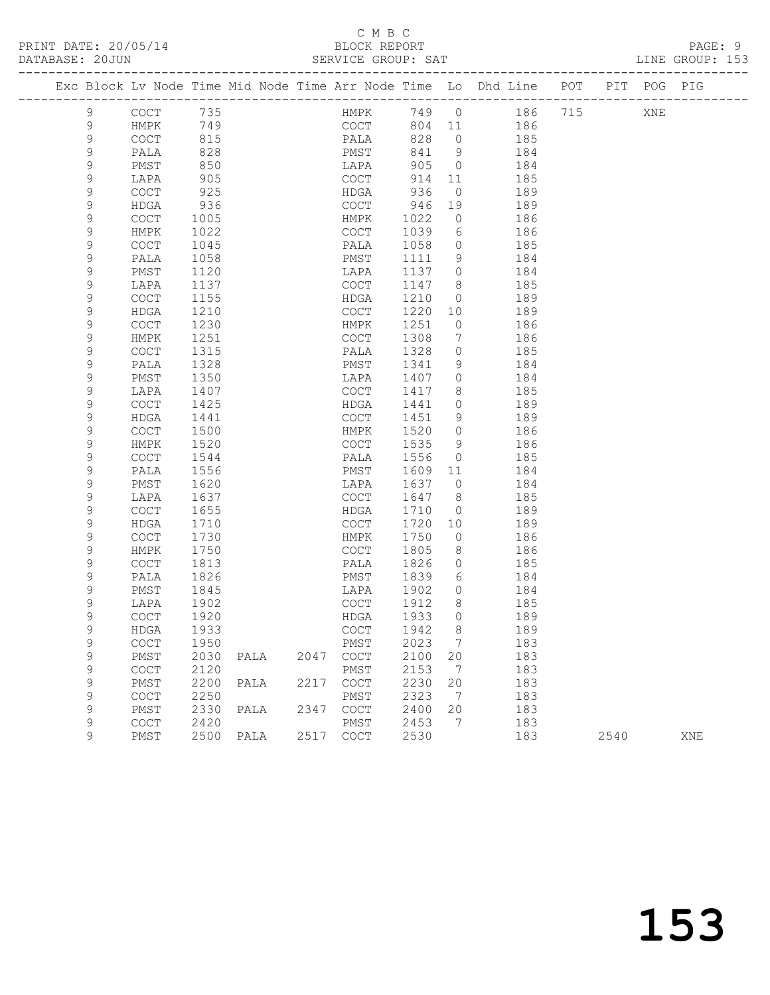### C M B C<br>BLOCK REPORT

|  | DATABASE: 20JUN |                     |              |      |      | SERVICE GROUP: SAT |              |                      |                                                                                |      | LINE GROUP: 153 |  |
|--|-----------------|---------------------|--------------|------|------|--------------------|--------------|----------------------|--------------------------------------------------------------------------------|------|-----------------|--|
|  |                 |                     |              |      |      |                    |              |                      | Exc Block Lv Node Time Mid Node Time Arr Node Time Lo Dhd Line POT PIT POG PIG |      |                 |  |
|  | 9               | COCT 735            |              |      |      |                    |              |                      | HMPK 749 0 186 715 XNE                                                         |      |                 |  |
|  | 9               | HMPK                | 749          |      |      |                    |              |                      | COCT 804 11 186                                                                |      |                 |  |
|  | 9               | COCT                | 815          |      |      | PALA 828           |              | $\overline{0}$       | 185                                                                            |      |                 |  |
|  | 9               | PALA                | 828          |      |      | PMST               | 841 9        |                      | 184                                                                            |      |                 |  |
|  | 9               | PMST                | 850          |      |      | LAPA               | 905          | $\overline{0}$       | 184                                                                            |      |                 |  |
|  | 9               | LAPA                | 905          |      |      | COCT               | 914          | 11                   | 185                                                                            |      |                 |  |
|  | 9               | COCT                | 925          |      |      | HDGA               | 936          | $\overline{0}$       | 189                                                                            |      |                 |  |
|  | 9               | HDGA                | 936          |      |      | COCT               | 946          | 19                   | 189                                                                            |      |                 |  |
|  | $\mathsf 9$     | COCT                | 1005         |      |      | HMPK               | 1022         | $\overline{0}$       | 186                                                                            |      |                 |  |
|  | 9               | HMPK                | 1022         |      |      | COCT               | 1039         | 6                    | 186                                                                            |      |                 |  |
|  | 9               | COCT                | 1045         |      |      | PALA               | 1058         | $\circ$              | 185                                                                            |      |                 |  |
|  | 9               | PALA                | 1058         |      |      | PMST               | 1111         | 9                    | 184                                                                            |      |                 |  |
|  | 9               | PMST                | 1120         |      |      | LAPA               | 1137         | $\overline{0}$       | 184                                                                            |      |                 |  |
|  | 9               | LAPA                | 1137         |      |      | COCT               | 1147         | 8 <sup>8</sup>       | 185                                                                            |      |                 |  |
|  | 9               | COCT                | 1155         |      |      | HDGA               | 1210         | $\overline{0}$       | 189                                                                            |      |                 |  |
|  | 9               | HDGA                | 1210         |      |      | COCT               | 1220         | 10                   | 189                                                                            |      |                 |  |
|  | 9               | COCT                | 1230         |      |      | HMPK               | 1251         | $\overline{0}$       | 186                                                                            |      |                 |  |
|  | 9               | HMPK                | 1251         |      |      | COCT               | 1308         | $7\phantom{.0}$      | 186                                                                            |      |                 |  |
|  | 9               | COCT                | 1315         |      |      | PALA               | 1328         | $\circ$              | 185                                                                            |      |                 |  |
|  | 9               | PALA                | 1328         |      |      | PMST               | 1341         | 9                    | 184                                                                            |      |                 |  |
|  | 9               | PMST                | 1350         |      |      | LAPA               | 1407         | $\circ$              | 184                                                                            |      |                 |  |
|  | 9               | LAPA                | 1407         |      |      | COCT               | 1417         | 8                    | 185                                                                            |      |                 |  |
|  | 9               | COCT                | 1425         |      |      | HDGA               | 1441         | $\overline{0}$       | 189                                                                            |      |                 |  |
|  | 9               | HDGA                | 1441         |      |      | COCT               | 1451         | 9                    | 189                                                                            |      |                 |  |
|  | 9               | COCT                | 1500<br>1520 |      |      | HMPK               | 1520         | $\overline{0}$       | 186                                                                            |      |                 |  |
|  | 9               | HMPK                |              |      |      | COCT               | 1535         | 9                    | 186                                                                            |      |                 |  |
|  | 9               | <b>COCT</b>         | 1544         |      |      | PALA               | 1556         | $\overline{0}$       | 185                                                                            |      |                 |  |
|  | 9               | PALA                | 1556<br>1620 |      |      | PMST               | 1609<br>1637 | 11<br>$\overline{0}$ | 184<br>184                                                                     |      |                 |  |
|  | 9<br>9          | PMST                |              |      |      | LAPA               | 1647         | 8 <sup>8</sup>       |                                                                                |      |                 |  |
|  | 9               | LAPA<br><b>COCT</b> | 1637<br>1655 |      |      | COCT<br>HDGA       | 1710         | $\overline{0}$       | 185<br>189                                                                     |      |                 |  |
|  | 9               | HDGA                | 1710         |      |      | COCT               | 1720         | 10                   | 189                                                                            |      |                 |  |
|  | 9               | COCT                | 1730         |      |      | HMPK               | 1750         | $\overline{0}$       | 186                                                                            |      |                 |  |
|  | 9               | HMPK                | 1750         |      |      | COCT               | 1805         | 8 <sup>8</sup>       | 186                                                                            |      |                 |  |
|  | 9               | COCT                | 1813         |      |      | PALA               | 1826         | $\overline{0}$       | 185                                                                            |      |                 |  |
|  | 9               | PALA                | 1826         |      |      | PMST               | 1839         | 6                    | 184                                                                            |      |                 |  |
|  | 9               | PMST                | 1845         |      |      | LAPA               | 1902         | $\overline{0}$       | 184                                                                            |      |                 |  |
|  | 9               | LAPA                | 1902         |      |      | COCT               | 1912         | 8                    | 185                                                                            |      |                 |  |
|  | $\Omega$        | $COCT$ 1920         |              |      |      | HDGA 1933 0        |              |                      | 189                                                                            |      |                 |  |
|  | 9               | HDGA                | 1933         |      |      | COCT               | 1942         | 8 <sup>8</sup>       | 189                                                                            |      |                 |  |
|  | 9               | COCT                | 1950         |      |      | PMST               | 2023         | $\overline{7}$       | 183                                                                            |      |                 |  |
|  | 9               | PMST                | 2030         | PALA |      | 2047 COCT          | 2100         | 20                   | 183                                                                            |      |                 |  |
|  | 9               | COCT                | 2120         |      |      | PMST               | 2153         | $\overline{7}$       | 183                                                                            |      |                 |  |
|  | 9               | PMST                | 2200         | PALA | 2217 | COCT               | 2230         | 20                   | 183                                                                            |      |                 |  |
|  | 9               | COCT                | 2250         |      |      | PMST               | 2323         | $\overline{7}$       | 183                                                                            |      |                 |  |
|  | $\mathsf 9$     | PMST                | 2330         | PALA |      | 2347 COCT          | 2400         | 20                   | 183                                                                            |      |                 |  |
|  | 9               | COCT                | 2420         |      |      | PMST               | 2453         | 7                    | 183                                                                            |      |                 |  |
|  | 9               | PMST                | 2500         | PALA |      | 2517 COCT          | 2530         |                      | 183                                                                            | 2540 | XNE             |  |
|  |                 |                     |              |      |      |                    |              |                      |                                                                                |      |                 |  |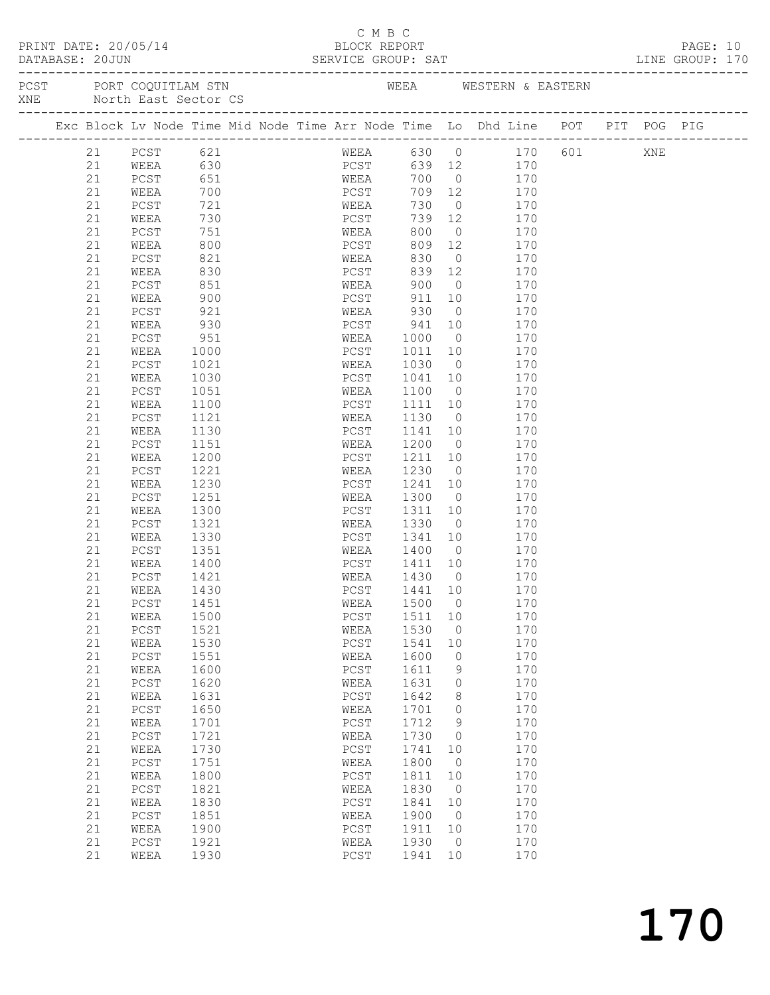| _________ | $\sim$ $\sim$ $\sim$ $\sim$ $\sim$                                                                                                      | ___                   |       | $\sim$ $\sim$ $\sim$ |
|-----------|-----------------------------------------------------------------------------------------------------------------------------------------|-----------------------|-------|----------------------|
|           | PRINT DATE: 20/05/14<br>the contract of the contract of the contract of the contract of the contract of the contract of the contract of | BLOCK REPORT<br>カレリしい | PAGE: |                      |

## C M B C<br>BLOCK REPORT

| DATABASE: 20JUN |    |           |      |  | SERVICE GROUP: SAT |              |                |                                                                                |         |     | LINE GROUP: 170 |  |
|-----------------|----|-----------|------|--|--------------------|--------------|----------------|--------------------------------------------------------------------------------|---------|-----|-----------------|--|
|                 |    |           |      |  |                    |              |                |                                                                                |         |     |                 |  |
|                 |    |           |      |  |                    |              |                | Exc Block Lv Node Time Mid Node Time Arr Node Time Lo Dhd Line POT PIT POG PIG |         |     |                 |  |
|                 | 21 | PCST      | 621  |  | WEEA               | 630 0        |                |                                                                                | 170 601 | XNE |                 |  |
|                 | 21 | WEEA      | 630  |  | PCST               | 639 12       |                | 170                                                                            |         |     |                 |  |
|                 | 21 | PCST      | 651  |  | WEEA               | 700          | $\overline{0}$ | 170                                                                            |         |     |                 |  |
|                 | 21 | WEEA      | 700  |  | PCST               | 709          | 12             | 170                                                                            |         |     |                 |  |
|                 | 21 | PCST      | 721  |  | WEEA               | 730          | $\overline{0}$ | 170                                                                            |         |     |                 |  |
|                 | 21 | WEEA      | 730  |  | PCST               | 739          | 12             | 170                                                                            |         |     |                 |  |
|                 | 21 | PCST      | 751  |  | WEEA               | 800          | $\overline{0}$ | 170                                                                            |         |     |                 |  |
|                 | 21 | WEEA      | 800  |  | PCST               | 809          | 12             | 170                                                                            |         |     |                 |  |
|                 | 21 | PCST      | 821  |  | WEEA               | 830          | $\overline{0}$ | 170                                                                            |         |     |                 |  |
|                 | 21 | WEEA      | 830  |  | PCST               | 839          | 12             | 170                                                                            |         |     |                 |  |
|                 | 21 | PCST      | 851  |  | WEEA               | 900          | $\overline{0}$ | 170                                                                            |         |     |                 |  |
|                 | 21 | WEEA      | 900  |  | PCST               | 911          | 10             | 170                                                                            |         |     |                 |  |
|                 | 21 | PCST      | 921  |  | WEEA               | 930          | $\overline{0}$ | 170                                                                            |         |     |                 |  |
|                 | 21 | WEEA      | 930  |  | PCST               | 941          | 10             | 170                                                                            |         |     |                 |  |
|                 | 21 | PCST      | 951  |  | WEEA               | 1000         | $\overline{0}$ | 170                                                                            |         |     |                 |  |
|                 | 21 | WEEA      | 1000 |  | PCST               | 1011         | 10             | 170                                                                            |         |     |                 |  |
|                 | 21 | PCST      | 1021 |  | WEEA               | 1030         | $\overline{0}$ | 170                                                                            |         |     |                 |  |
|                 | 21 | WEEA      | 1030 |  | PCST               | 1041         | 10             | 170                                                                            |         |     |                 |  |
|                 | 21 |           |      |  |                    |              | $\overline{0}$ | 170                                                                            |         |     |                 |  |
|                 | 21 | PCST      | 1051 |  | WEEA<br>PCST       | 1100<br>1111 | 10             | 170                                                                            |         |     |                 |  |
|                 |    | WEEA      | 1100 |  |                    |              |                |                                                                                |         |     |                 |  |
|                 | 21 | PCST      | 1121 |  | WEEA               | 1130         | $\overline{0}$ | 170                                                                            |         |     |                 |  |
|                 | 21 | WEEA      | 1130 |  | PCST               | 1141         | 10             | 170                                                                            |         |     |                 |  |
|                 | 21 | PCST      | 1151 |  | WEEA               | 1200         | $\overline{0}$ | 170                                                                            |         |     |                 |  |
|                 | 21 | WEEA      | 1200 |  | PCST               | 1211         | 10             | 170                                                                            |         |     |                 |  |
|                 | 21 | PCST      | 1221 |  | WEEA               | 1230         | $\overline{0}$ | 170                                                                            |         |     |                 |  |
|                 | 21 | WEEA      | 1230 |  | PCST               | 1241         | 10             | 170                                                                            |         |     |                 |  |
|                 | 21 | PCST      | 1251 |  | WEEA               | 1300         | $\overline{0}$ | 170                                                                            |         |     |                 |  |
|                 | 21 | WEEA      | 1300 |  | PCST               | 1311         | 10             | 170                                                                            |         |     |                 |  |
|                 | 21 | PCST      | 1321 |  | WEEA               | 1330         | $\overline{0}$ | 170                                                                            |         |     |                 |  |
|                 | 21 | WEEA      | 1330 |  | PCST               | 1341         | 10             | 170                                                                            |         |     |                 |  |
|                 | 21 | PCST      | 1351 |  | WEEA               | 1400         | $\overline{0}$ | 170                                                                            |         |     |                 |  |
|                 | 21 | WEEA      | 1400 |  | PCST               | 1411         | 10             | 170                                                                            |         |     |                 |  |
|                 | 21 | PCST      | 1421 |  | WEEA               | 1430         | $\overline{0}$ | 170                                                                            |         |     |                 |  |
|                 | 21 | WEEA      | 1430 |  | PCST               | 1441         | 10             | 170                                                                            |         |     |                 |  |
|                 | 21 | PCST      | 1451 |  | WEEA               | 1500         | $\bigcirc$     | 170                                                                            |         |     |                 |  |
|                 | 21 | WEEA 1500 |      |  | PCST               | 1511 10      |                | 170                                                                            |         |     |                 |  |
|                 | 21 | PCST      | 1521 |  | WEEA               | 1530         | $\circ$        | 170                                                                            |         |     |                 |  |
|                 | 21 | WEEA      | 1530 |  | PCST               | 1541         | 10             | 170                                                                            |         |     |                 |  |
|                 | 21 | PCST      | 1551 |  | WEEA               | 1600         | $\circ$        | 170                                                                            |         |     |                 |  |
|                 | 21 | WEEA      | 1600 |  | PCST               | 1611         | 9              | 170                                                                            |         |     |                 |  |
|                 | 21 | PCST      | 1620 |  | WEEA               | 1631         | 0              | 170                                                                            |         |     |                 |  |
|                 | 21 | WEEA      | 1631 |  | PCST               | 1642         | 8              | 170                                                                            |         |     |                 |  |
|                 | 21 | $PCST$    | 1650 |  | WEEA               | 1701         | $\circ$        | 170                                                                            |         |     |                 |  |
|                 | 21 | WEEA      | 1701 |  | PCST               | 1712         | 9              | 170                                                                            |         |     |                 |  |
|                 | 21 | PCST      | 1721 |  | WEEA               | 1730         | $\circ$        | 170                                                                            |         |     |                 |  |
|                 | 21 | WEEA      | 1730 |  | PCST               | 1741         | 10             | 170                                                                            |         |     |                 |  |
|                 | 21 | PCST      | 1751 |  | WEEA               | 1800         | $\overline{0}$ | 170                                                                            |         |     |                 |  |
|                 | 21 | WEEA      | 1800 |  | PCST               | 1811         | 10             | 170                                                                            |         |     |                 |  |
|                 | 21 | PCST      | 1821 |  | WEEA               | 1830         | $\overline{0}$ | 170                                                                            |         |     |                 |  |
|                 | 21 | WEEA      | 1830 |  | PCST               | 1841         | 10             | 170                                                                            |         |     |                 |  |
|                 | 21 | PCST      | 1851 |  | WEEA               | 1900         | $\overline{0}$ | 170                                                                            |         |     |                 |  |
|                 | 21 | WEEA      | 1900 |  | PCST               | 1911         | 10             | 170                                                                            |         |     |                 |  |
|                 | 21 | PCST      | 1921 |  | WEEA               | 1930         | $\overline{0}$ | 170                                                                            |         |     |                 |  |
|                 | 21 | WEEA      | 1930 |  | PCST               | 1941         | 10             | 170                                                                            |         |     |                 |  |
|                 |    |           |      |  |                    |              |                |                                                                                |         |     |                 |  |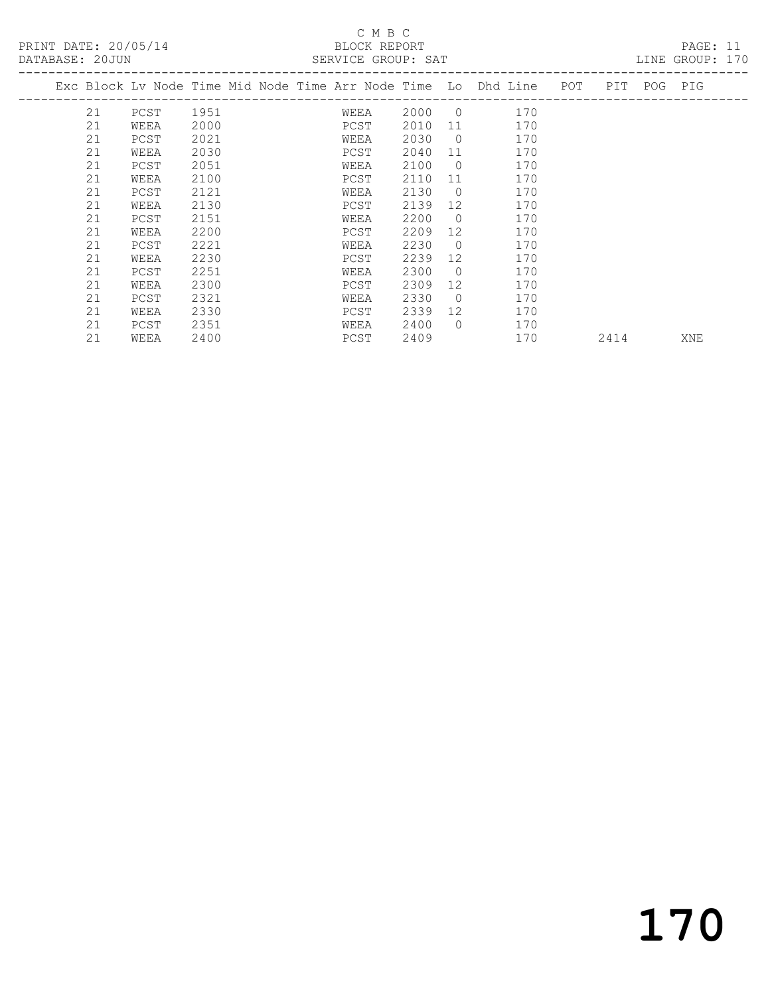### C M B C<br>BLOCK REPORT

| DATABASE: 20JUN |    |      |      |  | SERVICE GROUP: SAT |      |                 |                                                                    |      |             | LINE GROUP: 170 |  |
|-----------------|----|------|------|--|--------------------|------|-----------------|--------------------------------------------------------------------|------|-------------|-----------------|--|
|                 |    |      |      |  |                    |      |                 | Exc Block Lv Node Time Mid Node Time Arr Node Time Lo Dhd Line POT |      | PIT POG PIG |                 |  |
|                 | 21 | PCST | 1951 |  | WEEA               | 2000 | $\overline{0}$  | 170                                                                |      |             |                 |  |
|                 | 21 | WEEA | 2000 |  | PCST               | 2010 | 11              | 170                                                                |      |             |                 |  |
|                 | 21 | PCST | 2021 |  | WEEA               | 2030 | $\overline{0}$  | 170                                                                |      |             |                 |  |
|                 | 21 | WEEA | 2030 |  | PCST               | 2040 | 11              | 170                                                                |      |             |                 |  |
|                 | 21 | PCST | 2051 |  | WEEA               | 2100 | $\overline{0}$  | 170                                                                |      |             |                 |  |
|                 | 21 | WEEA | 2100 |  | PCST               | 2110 | 11              | 170                                                                |      |             |                 |  |
|                 | 21 | PCST | 2121 |  | WEEA               | 2130 | $\overline{0}$  | 170                                                                |      |             |                 |  |
|                 | 21 | WEEA | 2130 |  | PCST               | 2139 | 12              | 170                                                                |      |             |                 |  |
|                 | 21 | PCST | 2151 |  | WEEA               | 2200 | $\Omega$        | 170                                                                |      |             |                 |  |
|                 | 21 | WEEA | 2200 |  | PCST               | 2209 | 12 <sup>°</sup> | 170                                                                |      |             |                 |  |
|                 | 21 | PCST | 2221 |  | WEEA               | 2230 | $\overline{0}$  | 170                                                                |      |             |                 |  |
|                 | 21 | WEEA | 2230 |  | PCST               | 2239 | 12              | 170                                                                |      |             |                 |  |
|                 | 21 | PCST | 2251 |  | WEEA               | 2300 | $\overline{0}$  | 170                                                                |      |             |                 |  |
|                 | 21 | WEEA | 2300 |  | PCST               | 2309 | 12              | 170                                                                |      |             |                 |  |
|                 | 21 | PCST | 2321 |  | WEEA               | 2330 | $\overline{0}$  | 170                                                                |      |             |                 |  |
|                 | 21 | WEEA | 2330 |  | PCST               | 2339 | 12              | 170                                                                |      |             |                 |  |
|                 | 21 | PCST | 2351 |  | WEEA               | 2400 | $\Omega$        | 170                                                                |      |             |                 |  |
|                 | 21 | WEEA | 2400 |  | PCST               | 2409 |                 | 170                                                                | 2414 |             | XNE             |  |

170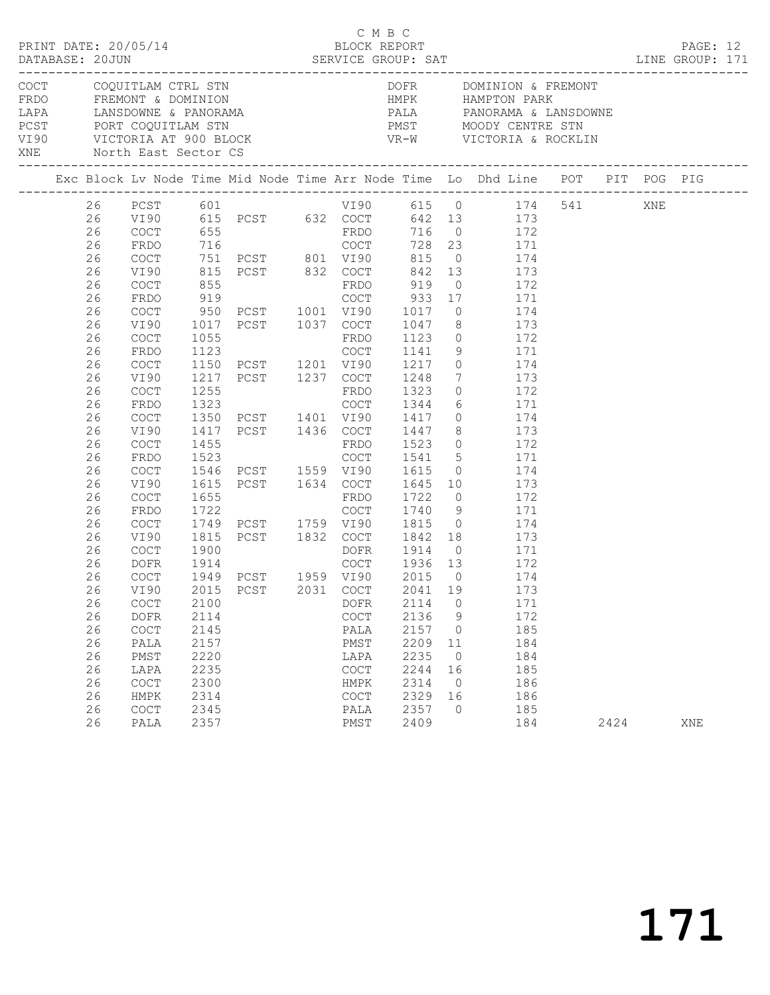|  |          | PRINT DATE: 20/05/14     |              |                          | C M B C<br>BLOCK REPORT |              |                | DATABASE: 20JUN SERVICE GROUP: SAT LINE GROUP: 171                                                                             |      | PAGE: 12 |  |
|--|----------|--------------------------|--------------|--------------------------|-------------------------|--------------|----------------|--------------------------------------------------------------------------------------------------------------------------------|------|----------|--|
|  |          | XNE North East Sector CS |              |                          |                         |              |                |                                                                                                                                |      |          |  |
|  |          |                          |              |                          |                         |              |                |                                                                                                                                |      |          |  |
|  | 26<br>26 |                          |              |                          |                         |              |                | 26 PCST 601 VI90 615 0 174 541 XNE<br>VI90 615 PCST 632 COCT 642 13 173<br>COCT 655 FRDO 716 0 172<br>FRDO 716 COCT 728 23 171 |      |          |  |
|  | 26<br>26 | COCT                     |              |                          |                         |              |                | 751 PCST 801 VI90 815 0 174                                                                                                    |      |          |  |
|  | 26       | VI90                     |              |                          |                         |              |                | 815 PCST 832 COCT 842 13 173                                                                                                   |      |          |  |
|  | 26       | COCT                     |              |                          |                         |              |                |                                                                                                                                |      |          |  |
|  | 26       | FRDO                     |              |                          |                         |              |                |                                                                                                                                |      |          |  |
|  | 26       | COCT                     |              |                          |                         |              |                | 950 PCST 1001 VI90 1017 0 174                                                                                                  |      |          |  |
|  | 26       | VI90                     |              |                          |                         |              |                | 1017 PCST 1037 COCT 1047 8 173                                                                                                 |      |          |  |
|  | 26       | COCT                     |              |                          |                         |              |                |                                                                                                                                |      |          |  |
|  | 26       | FRDO                     |              |                          |                         |              |                | FRDO 1123 0 172<br>COCT 1141 9 171                                                                                             |      |          |  |
|  | 26       | COCT                     |              |                          |                         |              |                | 1150 PCST 1201 VI90 1217 0 174                                                                                                 |      |          |  |
|  | 26       | VI90                     |              | 1217 PCST 1237 COCT 1248 |                         |              |                | 7 173                                                                                                                          |      |          |  |
|  | 26       | COCT                     |              |                          |                         |              |                |                                                                                                                                |      |          |  |
|  | 26       | FRDO                     |              |                          |                         |              |                |                                                                                                                                |      |          |  |
|  | 26       | COCT                     |              |                          |                         |              |                |                                                                                                                                |      |          |  |
|  | 26       | VI90                     |              |                          |                         |              |                | 1417 PCST 1436 COCT 1447 8 173                                                                                                 |      |          |  |
|  | 26       | COCT                     | 1455         |                          | FRDO                    | 1523         |                | $\frac{172}{172}$                                                                                                              |      |          |  |
|  | 26       | FRDO                     |              |                          |                         |              |                |                                                                                                                                |      |          |  |
|  | 26       | COCT                     |              |                          |                         |              |                |                                                                                                                                |      |          |  |
|  | 26       | VI90                     |              |                          |                         |              |                | 1615 PCST 1634 COCT 1645 10 173                                                                                                |      |          |  |
|  | 26<br>26 | COCT<br>FRDO             | 1655         |                          |                         | 1722         |                |                                                                                                                                |      |          |  |
|  | 26       | COCT                     |              |                          |                         |              |                |                                                                                                                                |      |          |  |
|  | 26       | VI90                     |              |                          |                         |              |                | 1815 PCST 1832 COCT 1842 18 173                                                                                                |      |          |  |
|  | 26       | COCT                     | 1900         |                          | DOFR 1914               |              |                | $0$ 171                                                                                                                        |      |          |  |
|  | 26       | DOFR                     |              |                          |                         |              |                |                                                                                                                                |      |          |  |
|  | 26       | COCT                     |              |                          |                         |              |                | $\begin{array}{c} 172 \\ 174 \end{array}$                                                                                      |      |          |  |
|  |          |                          |              |                          |                         |              |                | 26 VI90 2015 PCST 2031 COCT 2041 19 173                                                                                        |      |          |  |
|  | 26       | COCT                     | 2100         |                          | DOFR                    | 2114         | $\circ$        | 171                                                                                                                            |      |          |  |
|  | 26       | <b>DOFR</b>              | 2114         |                          | COCT                    | 2136         | 9              | 172                                                                                                                            |      |          |  |
|  | 26       | $\operatorname{COT}$     | 2145         |                          | PALA                    | 2157         | $\circ$        | 185                                                                                                                            |      |          |  |
|  | 26       | PALA                     | 2157         |                          | PMST                    | 2209         | 11             | 184                                                                                                                            |      |          |  |
|  | 26       | PMST                     | 2220         |                          | LAPA                    | 2235         | $\overline{0}$ | 184                                                                                                                            |      |          |  |
|  | 26       | LAPA                     | 2235         |                          | COCT                    | 2244         | 16             | 185                                                                                                                            |      |          |  |
|  | 26       | COCT                     | 2300         |                          | HMPK                    | 2314         | $\overline{0}$ | 186                                                                                                                            |      |          |  |
|  | 26       | HMPK                     | 2314         |                          | COCT                    | 2329         | 16             | 186                                                                                                                            |      |          |  |
|  | 26<br>26 | <b>COCT</b><br>PALA      | 2345<br>2357 |                          | PALA<br>PMST            | 2357<br>2409 | $\Omega$       | 185<br>184                                                                                                                     | 2424 | XNE      |  |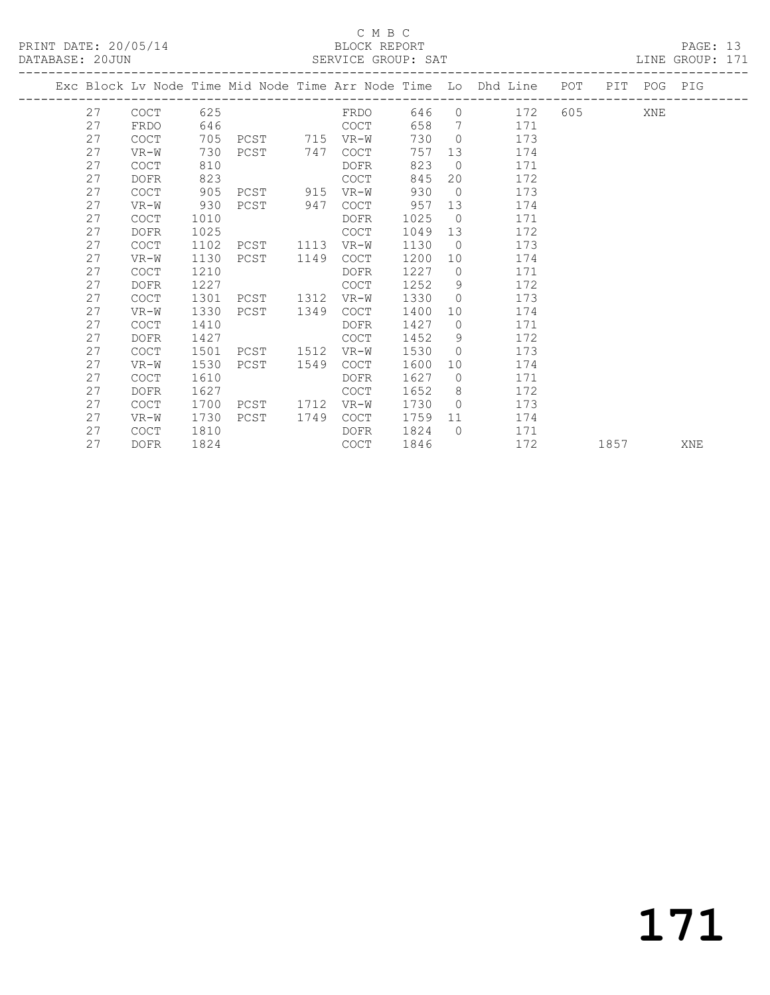PRINT DATE: 20/05/14 BLOCK REPORT<br>DATABASE: 20JUN SERVICE GROUP: SAT

### C M B C<br>BLOCK REPORT

PAGE: 13<br>LINE GROUP: 171

| PHILIPING . 2000N |    |             |      |               |      | CHILATOR GILOUI . DIII |      |                 |                                                                |     |            |             | THIAT ATIONT . TIT |
|-------------------|----|-------------|------|---------------|------|------------------------|------|-----------------|----------------------------------------------------------------|-----|------------|-------------|--------------------|
|                   |    |             |      |               |      |                        |      |                 | Exc Block Lv Node Time Mid Node Time Arr Node Time Lo Dhd Line | POT |            | PIT POG PIG |                    |
|                   | 27 | COCT        | 625  |               |      | FRDO                   | 646  | $\Omega$        | 172                                                            | 605 |            | XNE         |                    |
|                   | 27 | <b>FRDO</b> | 646  |               |      | COCT                   | 658  | 7               | 171                                                            |     |            |             |                    |
|                   | 27 | <b>COCT</b> | 705  | PCST 715 VR-W |      |                        | 730  | $\overline{0}$  | 173                                                            |     |            |             |                    |
|                   | 27 | $VR-W$      | 730  | PCST          | 747  | COCT                   | 757  | 13              | 174                                                            |     |            |             |                    |
|                   | 27 | COCT        | 810  |               |      | DOFR                   | 823  | $\bigcirc$      | 171                                                            |     |            |             |                    |
|                   | 27 | <b>DOFR</b> | 823  |               |      | <b>COCT</b>            | 845  | 20              | 172                                                            |     |            |             |                    |
|                   | 27 | COCT        | 905  | PCST          | 915  | VR-W                   | 930  | $\overline{0}$  | 173                                                            |     |            |             |                    |
|                   | 27 | VR-W        | 930  | PCST          | 947  | COCT                   | 957  | 13              | 174                                                            |     |            |             |                    |
|                   | 27 | <b>COCT</b> | 1010 |               |      | <b>DOFR</b>            | 1025 | $\Omega$        | 171                                                            |     |            |             |                    |
|                   | 27 | DOFR        | 1025 |               |      | <b>COCT</b>            | 1049 | 13 <sup>°</sup> | 172                                                            |     |            |             |                    |
|                   | 27 | <b>COCT</b> | 1102 | PCST          | 1113 | VR-W                   | 1130 | $\circ$         | 173                                                            |     |            |             |                    |
|                   | 27 | $VR-W$      | 1130 | PCST          | 1149 | COCT                   | 1200 | 10              | 174                                                            |     |            |             |                    |
|                   | 27 | <b>COCT</b> | 1210 |               |      | <b>DOFR</b>            | 1227 | $\Omega$        | 171                                                            |     |            |             |                    |
|                   | 27 | <b>DOFR</b> | 1227 |               |      | <b>COCT</b>            | 1252 | 9               | 172                                                            |     |            |             |                    |
|                   | 27 | <b>COCT</b> | 1301 | PCST          | 1312 | VR-W                   | 1330 | $\Omega$        | 173                                                            |     |            |             |                    |
|                   | 27 | $VR-W$      | 1330 | PCST          | 1349 | COCT                   | 1400 | 10              | 174                                                            |     |            |             |                    |
|                   | 27 | <b>COCT</b> | 1410 |               |      | DOFR                   | 1427 | $\circ$         | 171                                                            |     |            |             |                    |
|                   | 27 | <b>DOFR</b> | 1427 |               |      | <b>COCT</b>            | 1452 | 9               | 172                                                            |     |            |             |                    |
|                   | 27 | <b>COCT</b> | 1501 | PCST          | 1512 | VR-W                   | 1530 | $\Omega$        | 173                                                            |     |            |             |                    |
|                   | 27 | $VR-W$      | 1530 | PCST          | 1549 | <b>COCT</b>            | 1600 | 10              | 174                                                            |     |            |             |                    |
|                   | 27 | <b>COCT</b> | 1610 |               |      | DOFR                   | 1627 | $\circ$         | 171                                                            |     |            |             |                    |
|                   | 27 | <b>DOFR</b> | 1627 |               |      | <b>COCT</b>            | 1652 | 8               | 172                                                            |     |            |             |                    |
|                   | 27 | <b>COCT</b> | 1700 | PCST          | 1712 | VR-W                   | 1730 | $\overline{0}$  | 173                                                            |     |            |             |                    |
|                   | 27 | $VR-W$      | 1730 | PCST          | 1749 | COCT                   | 1759 | 11              | 174                                                            |     |            |             |                    |
|                   | 27 | <b>COCT</b> | 1810 |               |      | DOFR                   | 1824 | $\overline{0}$  | 171                                                            |     |            |             |                    |
|                   | 27 | <b>DOFR</b> | 1824 |               |      | <b>COCT</b>            | 1846 |                 | 172                                                            |     | 1857 — 187 |             | XNE                |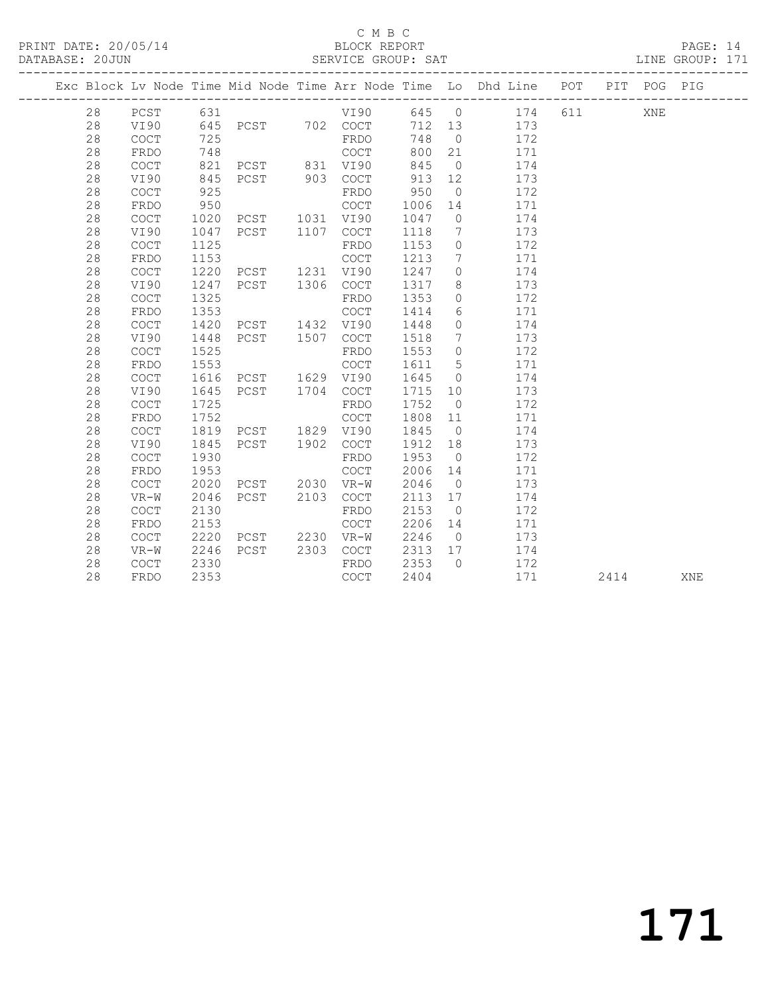#### C M B C<br>BLOCK REPORT

PAGE: 14<br>LINE GROUP: 171

|  |    |                                            |      |                |      |                                            |      |                 | Exc Block Lv Node Time Mid Node Time Arr Node Time Lo Dhd Line POT |           |      | PIT POG PIG |     |
|--|----|--------------------------------------------|------|----------------|------|--------------------------------------------|------|-----------------|--------------------------------------------------------------------|-----------|------|-------------|-----|
|  | 28 | PCST                                       | 631  |                |      | <b>VI90</b>                                |      |                 | 645 0 174                                                          | 611 — 100 |      | XNE         |     |
|  | 28 | VI90                                       |      |                |      | 645 PCST 702 COCT                          |      |                 | 712 13 173                                                         |           |      |             |     |
|  | 28 | <b>COCT</b>                                | 725  |                |      | FRDO                                       | 748  | $\overline{0}$  | 172                                                                |           |      |             |     |
|  | 28 | FRDO                                       | 748  |                |      | COCT                                       | 800  | 21              | 171                                                                |           |      |             |     |
|  | 28 | $\mathtt{C}\mathtt{O}\mathtt{C}\mathtt{T}$ | 821  | PCST 831 VI90  |      |                                            | 845  | $\overline{0}$  | 174                                                                |           |      |             |     |
|  | 28 | VI90                                       | 845  | PCST 903 COCT  |      |                                            | 913  | 12              | 173                                                                |           |      |             |     |
|  | 28 | COCT                                       | 925  |                |      | FRDO                                       | 950  | $\overline{0}$  | 172                                                                |           |      |             |     |
|  | 28 | FRDO                                       | 950  |                |      | <b>COCT</b>                                | 1006 | 14              | 171                                                                |           |      |             |     |
|  | 28 | COCT                                       | 1020 | PCST 1031 VI90 |      |                                            | 1047 | $\overline{0}$  | 174                                                                |           |      |             |     |
|  | 28 | VI90                                       | 1047 | PCST 1107 COCT |      |                                            | 1118 | $\overline{7}$  | 173                                                                |           |      |             |     |
|  | 28 | COCT                                       | 1125 |                |      | FRDO                                       | 1153 | $\overline{0}$  | 172                                                                |           |      |             |     |
|  | 28 | FRDO                                       | 1153 |                |      | <b>COCT</b>                                | 1213 | 7               | 171                                                                |           |      |             |     |
|  | 28 | <b>COCT</b>                                | 1220 | PCST 1231 VI90 |      |                                            | 1247 | $\circ$         | 174                                                                |           |      |             |     |
|  | 28 | VI90                                       | 1247 | PCST 1306 COCT |      |                                            | 1317 | 8               | 173                                                                |           |      |             |     |
|  | 28 | COCT                                       | 1325 |                |      | FRDO                                       | 1353 | $\circ$         | 172                                                                |           |      |             |     |
|  | 28 | FRDO                                       | 1353 |                |      | COCT                                       | 1414 | 6               | 171                                                                |           |      |             |     |
|  | 28 | COCT                                       | 1420 | PCST 1432 VI90 |      |                                            | 1448 | $\circ$         | 174                                                                |           |      |             |     |
|  | 28 | VI90                                       | 1448 | PCST 1507      |      | COCT                                       | 1518 | $7\overline{ }$ | 173                                                                |           |      |             |     |
|  | 28 | COCT                                       | 1525 |                |      | FRDO                                       | 1553 | $\circ$         | 172                                                                |           |      |             |     |
|  | 28 | FRDO                                       | 1553 |                |      | <b>COCT</b>                                | 1611 | 5               | 171                                                                |           |      |             |     |
|  | 28 | COCT                                       | 1616 | PCST 1629 VI90 |      |                                            | 1645 | $\overline{0}$  | 174                                                                |           |      |             |     |
|  | 28 | VI90                                       | 1645 | PCST 1704 COCT |      |                                            | 1715 | 10              | 173                                                                |           |      |             |     |
|  | 28 | COCT                                       | 1725 |                |      | FRDO                                       | 1752 | $\overline{0}$  | 172                                                                |           |      |             |     |
|  | 28 | FRDO                                       | 1752 |                |      | <b>COCT</b>                                | 1808 | 11              | 171                                                                |           |      |             |     |
|  | 28 | COCT                                       | 1819 | PCST 1829 VI90 |      |                                            | 1845 | $\overline{0}$  | 174                                                                |           |      |             |     |
|  | 28 | VI90                                       | 1845 | PCST           | 1902 | COCT                                       | 1912 | 18              | 173                                                                |           |      |             |     |
|  | 28 | COCT                                       | 1930 |                |      | FRDO                                       | 1953 | $\overline{0}$  | 172                                                                |           |      |             |     |
|  | 28 | FRDO                                       | 1953 |                |      | <b>COCT</b>                                | 2006 | 14              | 171                                                                |           |      |             |     |
|  | 28 | COCT                                       | 2020 | PCST           | 2030 | VR-W                                       | 2046 | $\overline{0}$  | 173                                                                |           |      |             |     |
|  | 28 | $VR-W$                                     | 2046 | PCST           | 2103 | $\mathtt{C}\mathtt{O}\mathtt{C}\mathtt{T}$ | 2113 | 17              | 174                                                                |           |      |             |     |
|  | 28 | COCT                                       | 2130 |                |      | FRDO                                       | 2153 | $\overline{0}$  | 172                                                                |           |      |             |     |
|  | 28 | FRDO                                       | 2153 |                |      | $\mathtt{C}\mathtt{O}\mathtt{C}\mathtt{T}$ | 2206 | 14              | 171                                                                |           |      |             |     |
|  | 28 | <b>COCT</b>                                | 2220 | PCST 2230 VR-W |      |                                            | 2246 | $\overline{0}$  | 173                                                                |           |      |             |     |
|  | 28 | $VR-W$                                     | 2246 | PCST           |      | 2303 COCT                                  | 2313 | 17              | 174                                                                |           |      |             |     |
|  | 28 | <b>COCT</b>                                | 2330 |                |      | FRDO                                       | 2353 | $\bigcirc$      | 172                                                                |           |      |             |     |
|  | 28 | FRDO                                       | 2353 |                |      | <b>COCT</b>                                | 2404 |                 | 171                                                                |           | 2414 |             | XNE |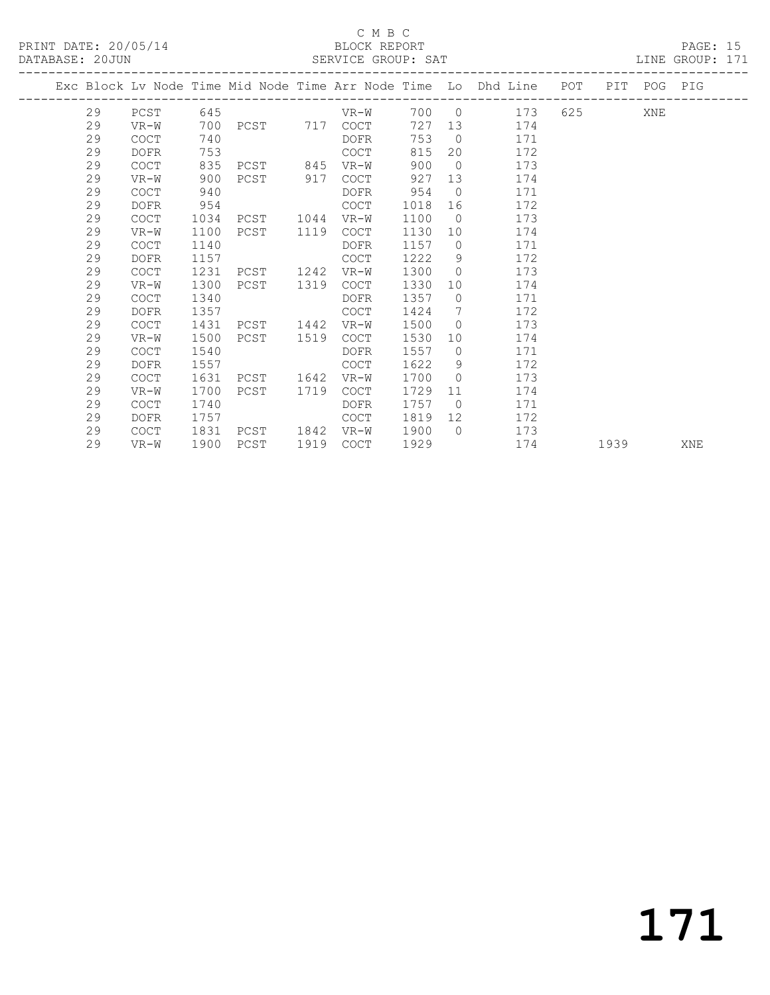#### C M B C<br>BLOCK REPORT

PAGE: 15<br>LINE GROUP: 171

|    |                                    |      |          |      |             |      |                | Exc Block Lv Node Time Mid Node Time Arr Node Time Lo Dhd Line | POT | PIT  | POG PIG |     |
|----|------------------------------------|------|----------|------|-------------|------|----------------|----------------------------------------------------------------|-----|------|---------|-----|
| 29 | --------------------------<br>PCST | 645  |          |      | VR-W        |      |                | 700 0<br>173                                                   | 625 |      | XNE     |     |
| 29 | VR-W                               | 700  | PCST     |      | 717 COCT    | 727  | 13             | 174                                                            |     |      |         |     |
| 29 | <b>COCT</b>                        | 740  |          |      | DOFR        | 753  | $\bigcirc$     | 171                                                            |     |      |         |     |
| 29 | <b>DOFR</b>                        | 753  |          |      | COCT        | 815  | 20             | 172                                                            |     |      |         |     |
| 29 | <b>COCT</b>                        | 835  | PCST 845 |      | VR-W        | 900  | $\overline{0}$ | 173                                                            |     |      |         |     |
| 29 | $VR-W$                             | 900  | PCST     | 917  | COCT        | 927  | 13             | 174                                                            |     |      |         |     |
| 29 | <b>COCT</b>                        | 940  |          |      | DOFR        | 954  | $\bigcirc$     | 171                                                            |     |      |         |     |
| 29 | <b>DOFR</b>                        | 954  |          |      | <b>COCT</b> | 1018 | 16             | 172                                                            |     |      |         |     |
| 29 | <b>COCT</b>                        | 1034 | PCST     | 1044 | $VR-W$      | 1100 | $\bigcirc$     | 173                                                            |     |      |         |     |
| 29 | $VR-W$                             | 1100 | PCST     | 1119 | <b>COCT</b> | 1130 | 10             | 174                                                            |     |      |         |     |
| 29 | <b>COCT</b>                        | 1140 |          |      | DOFR        | 1157 | $\bigcirc$     | 171                                                            |     |      |         |     |
| 29 | <b>DOFR</b>                        | 1157 |          |      | <b>COCT</b> | 1222 | - 9            | 172                                                            |     |      |         |     |
| 29 | <b>COCT</b>                        | 1231 | PCST     | 1242 | VR-W        | 1300 | $\bigcirc$     | 173                                                            |     |      |         |     |
| 29 | $VR-W$                             | 1300 | PCST     | 1319 | <b>COCT</b> | 1330 | 10             | 174                                                            |     |      |         |     |
| 29 | <b>COCT</b>                        | 1340 |          |      | DOFR        | 1357 | $\bigcirc$     | 171                                                            |     |      |         |     |
| 29 | <b>DOFR</b>                        | 1357 |          |      | <b>COCT</b> | 1424 | $\overline{7}$ | 172                                                            |     |      |         |     |
| 29 | <b>COCT</b>                        | 1431 | PCST     | 1442 | $VR-W$      | 1500 | $\bigcirc$     | 173                                                            |     |      |         |     |
| 29 | $VR-W$                             | 1500 | PCST     | 1519 | COCT        | 1530 | 10             | 174                                                            |     |      |         |     |
| 29 | <b>COCT</b>                        | 1540 |          |      | DOFR        | 1557 | $\overline{0}$ | 171                                                            |     |      |         |     |
| 29 | <b>DOFR</b>                        | 1557 |          |      | <b>COCT</b> | 1622 | - 9            | 172                                                            |     |      |         |     |
| 29 | <b>COCT</b>                        | 1631 | PCST     | 1642 | VR-W        | 1700 | $\overline{0}$ | 173                                                            |     |      |         |     |
| 29 | $VR-W$                             | 1700 | PCST     | 1719 | <b>COCT</b> | 1729 | 11             | 174                                                            |     |      |         |     |
| 29 | <b>COCT</b>                        | 1740 |          |      | DOFR        | 1757 | $\bigcirc$     | 171                                                            |     |      |         |     |
| 29 | <b>DOFR</b>                        | 1757 |          |      | <b>COCT</b> | 1819 | 12             | 172                                                            |     |      |         |     |
| 29 | <b>COCT</b>                        | 1831 | PCST     | 1842 | VR-W        | 1900 | $\bigcap$      | 173                                                            |     |      |         |     |
| 29 | $VR-W$                             | 1900 | PCST     | 1919 | COCT        | 1929 |                | 174                                                            |     | 1939 |         | XNE |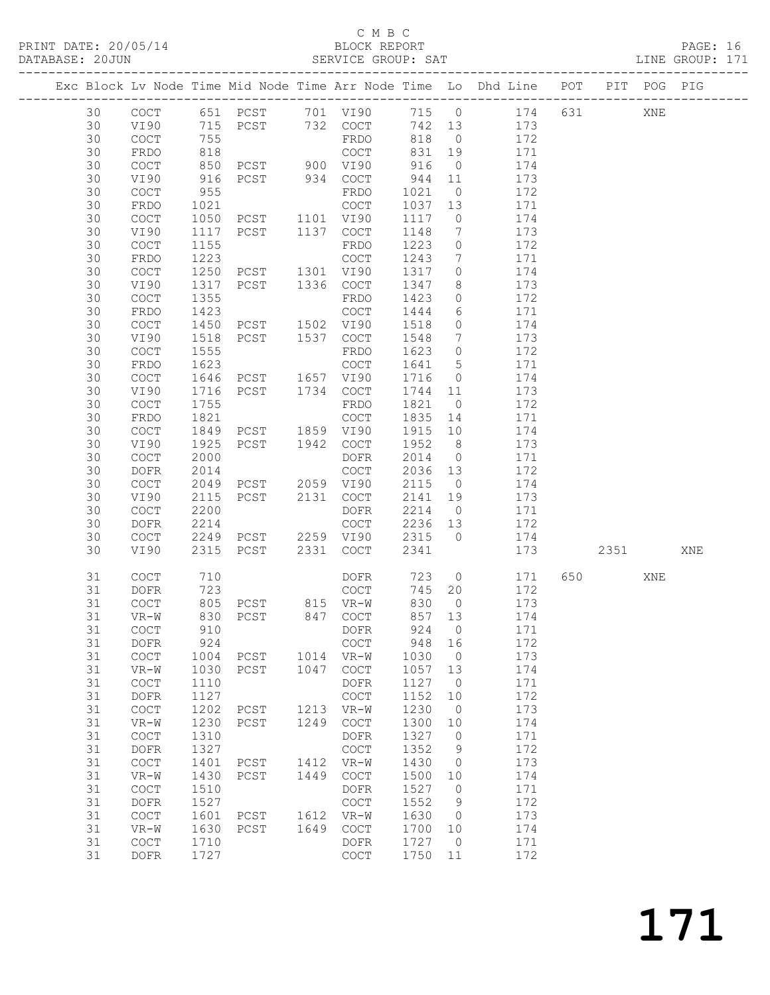#### C M B C<br>BLOCK REPORT

PAGE: 16<br>LINE GROUP: 171

|  |          |                                            |              |                                  |      |                                                    |                 |                               | Exc Block Lv Node Time Mid Node Time Arr Node Time Lo Dhd Line POT PIT POG PIG |         |     |     |
|--|----------|--------------------------------------------|--------------|----------------------------------|------|----------------------------------------------------|-----------------|-------------------------------|--------------------------------------------------------------------------------|---------|-----|-----|
|  | 30       | $\mathtt{C}\mathtt{O}\mathtt{C}\mathtt{T}$ |              | 651 PCST 701 VI90                |      |                                                    |                 |                               | 715 0 174                                                                      | 631 000 | XNE |     |
|  | 30       | VI90                                       | 715          | PCST 732 COCT                    |      |                                                    | 742 13          |                               | 173                                                                            |         |     |     |
|  | 30       | $\mathtt{C}\mathtt{O}\mathtt{C}\mathtt{T}$ | 755          |                                  |      | FRDO                                               | 818             | $\overline{0}$                | 172                                                                            |         |     |     |
|  | 30       | FRDO                                       | 818          |                                  |      | COCT                                               | 831             | 19                            | 171                                                                            |         |     |     |
|  | 30       | COCT                                       | 850          | PCST 900 VI90                    |      |                                                    | 916             | $\overline{0}$                | 174                                                                            |         |     |     |
|  | 30       | VI90                                       | 916          | PCST 934 COCT                    |      |                                                    | 944             | 11                            | 173                                                                            |         |     |     |
|  | 30       | COCT                                       | 955          |                                  |      | FRDO                                               | 1021            | $\overline{0}$                | 172                                                                            |         |     |     |
|  | 30       | FRDO                                       | 1021         |                                  |      | COCT                                               | 1037            | 13                            | 171                                                                            |         |     |     |
|  | 30<br>30 | COCT                                       | 1050         | PCST 1101 VI90<br>PCST 1137 COCT |      |                                                    | 1117<br>1148    | $\overline{0}$                | 174<br>173                                                                     |         |     |     |
|  | 30       | VI90<br>COCT                               | 1117<br>1155 |                                  |      | FRDO                                               | 1223            | $7\phantom{.0}$<br>$\circ$    | 172                                                                            |         |     |     |
|  | 30       | FRDO                                       | 1223         |                                  |      | $\mathtt{C}\mathtt{O}\mathtt{C}\mathtt{T}$         | 1243            | 7                             | 171                                                                            |         |     |     |
|  | 30       | COCT                                       | 1250         | PCST 1301 VI90                   |      |                                                    | 1317            | $\circ$                       | 174                                                                            |         |     |     |
|  | 30       | VI90                                       | 1317         | PCST 1336 COCT                   |      |                                                    | 1347            | 8                             | 173                                                                            |         |     |     |
|  | 30       | $\mathtt{C}\mathtt{O}\mathtt{C}\mathtt{T}$ | 1355         |                                  |      | FRDO                                               | 1423            | $\circ$                       | 172                                                                            |         |     |     |
|  | 30       | FRDO                                       | 1423         |                                  |      | $\mathtt{C}\mathtt{O}\mathtt{C}\mathtt{T}$         | 1444            | 6                             | 171                                                                            |         |     |     |
|  | 30       | COCT                                       | 1450         | PCST                             |      | 1502 VI90                                          | 1518            | $\circ$                       | 174                                                                            |         |     |     |
|  | 30       | VI90                                       | 1518         | PCST 1537 COCT                   |      |                                                    | 1548            | $7\overline{ }$               | 173                                                                            |         |     |     |
|  | 30       | COCT                                       | 1555         |                                  |      | FRDO                                               | 1623            | $\circ$                       | 172                                                                            |         |     |     |
|  | 30       | FRDO                                       | 1623         |                                  |      | COCT                                               | 1641            | $5\overline{)}$               | 171                                                                            |         |     |     |
|  | 30       | COCT                                       | 1646         | PCST 1657 VI90                   |      |                                                    | 1716            | $\overline{0}$                | 174                                                                            |         |     |     |
|  | 30       | VI90                                       | 1716         | PCST                             |      | 1734 COCT                                          | 1744            | 11                            | 173                                                                            |         |     |     |
|  | 30<br>30 | COCT                                       | 1755<br>1821 |                                  |      | FRDO                                               | 1821<br>1835    | $\overline{0}$<br>14          | 172<br>171                                                                     |         |     |     |
|  | 30       | FRDO<br>COCT                               | 1849         | PCST                             |      | COCT<br>1859 VI90                                  | 1915            | 10                            | 174                                                                            |         |     |     |
|  | 30       | VI90                                       | 1925         | PCST                             | 1942 | COCT                                               | 1952            | 8 <sup>8</sup>                | 173                                                                            |         |     |     |
|  | 30       | COCT                                       | 2000         |                                  |      | DOFR                                               | 2014            | $\overline{0}$                | 171                                                                            |         |     |     |
|  | 30       | DOFR                                       | 2014         |                                  |      | COCT                                               | 2036            | 13                            | 172                                                                            |         |     |     |
|  | 30       | COCT                                       | 2049         | PCST 2059 VI90                   |      |                                                    | 2115            | $\overline{0}$                | 174                                                                            |         |     |     |
|  | 30       | VI90                                       | 2115         | PCST 2131                        |      | COCT                                               | 2141            | 19                            | 173                                                                            |         |     |     |
|  | 30       | COCT                                       | 2200         |                                  |      | DOFR                                               | 2214            | $\overline{0}$                | 171                                                                            |         |     |     |
|  | 30       | DOFR                                       | 2214         |                                  |      | COCT                                               | 2236            | 13                            | 172                                                                            |         |     |     |
|  | 30       | COCT                                       | 2249         | PCST                             |      | 2259 VI90                                          | 2315            | $\overline{0}$                | 174                                                                            |         |     |     |
|  | 30       | VI90                                       | 2315         | PCST                             | 2331 | COCT                                               | 2341            |                               | 173                                                                            | 2351    |     | XNE |
|  | 31       | COCT                                       | 710          |                                  |      | DOFR                                               | 723             | $\overline{0}$                | 171                                                                            | 650 700 | XNE |     |
|  | 31       | DOFR                                       | 723          |                                  |      | COCT                                               | 745             | 20                            | 172                                                                            |         |     |     |
|  | 31       | $\mathtt{C}\mathtt{O}\mathtt{C}\mathtt{T}$ | 805          | PCST 815 VR-W                    |      |                                                    | 830             | $\overline{0}$                | 173                                                                            |         |     |     |
|  | 31<br>31 | $VR-W$<br>COCT                             | 830<br>910   | PCST 847 COCT                    |      |                                                    | 857 13<br>924 0 |                               | 174                                                                            |         |     |     |
|  | 31       | <b>DOFR</b>                                | 924          |                                  |      | DOFR<br>COCT                                       | 948             | 16                            | 171<br>172                                                                     |         |     |     |
|  | 31       | $\mathtt{C}\mathtt{O}\mathtt{C}\mathtt{T}$ | 1004         | PCST                             | 1014 | $VR-W$                                             | 1030            | $\overline{0}$                | 173                                                                            |         |     |     |
|  | 31       | $VR-W$                                     | 1030         | PCST                             | 1047 | $\mathtt{C}\mathtt{O}\mathtt{C}\mathtt{T}$         | 1057            | 13                            | 174                                                                            |         |     |     |
|  | 31       | $\mathtt{C}\mathtt{O}\mathtt{C}\mathtt{T}$ | 1110         |                                  |      | DOFR                                               | 1127            | $\overline{0}$                | 171                                                                            |         |     |     |
|  | 31       | <b>DOFR</b>                                | 1127         |                                  |      | $\mathtt{C}\mathtt{O}\mathtt{C}\mathtt{T}$         | 1152            | 10                            | 172                                                                            |         |     |     |
|  | 31       | COCT                                       | 1202         | PCST                             | 1213 | $VR-W$                                             | 1230            | $\overline{0}$                | 173                                                                            |         |     |     |
|  | 31       | $VR-W$                                     | 1230         | PCST                             | 1249 | $\mathtt{C}\mathtt{O}\mathtt{C}\mathtt{T}$         | 1300            | 10                            | 174                                                                            |         |     |     |
|  | 31       | COCT                                       | 1310         |                                  |      | DOFR                                               | 1327            | $\overline{0}$                | 171                                                                            |         |     |     |
|  | 31       | DOFR                                       | 1327         |                                  |      | $\mathtt{C}\mathtt{O}\mathtt{C}\mathtt{T}$         | 1352            | 9                             | 172                                                                            |         |     |     |
|  | 31       | COCT                                       | 1401         | PCST                             | 1412 | $VR-W$                                             | 1430            | $\overline{0}$                | 173                                                                            |         |     |     |
|  | 31       | $VR-W$                                     | 1430         | PCST                             | 1449 | $\mathtt{C}\mathtt{O}\mathtt{C}\mathtt{T}$         | 1500            | 10                            | 174                                                                            |         |     |     |
|  | 31       | COCT                                       | 1510         |                                  |      | DOFR                                               | 1527            | $\overline{0}$                | 171                                                                            |         |     |     |
|  | 31<br>31 | <b>DOFR</b><br>$\operatorname{COCT}$       | 1527<br>1601 | PCST                             | 1612 | $\mathtt{C}\mathtt{O}\mathtt{C}\mathtt{T}$<br>VR-W | 1552<br>1630    | 9<br>$\overline{\phantom{0}}$ | 172<br>173                                                                     |         |     |     |
|  | 31       | $VR-W$                                     | 1630         | PCST                             | 1649 | $\mathtt{C}\mathtt{O}\mathtt{C}\mathtt{T}$         | 1700            | 10                            | 174                                                                            |         |     |     |
|  | 31       | COCT                                       | 1710         |                                  |      | DOFR                                               | 1727            | $\overline{0}$                | 171                                                                            |         |     |     |
|  | 31       | DOFR                                       | 1727         |                                  |      | $\mathtt{C}\mathtt{O}\mathtt{C}\mathtt{T}$         | 1750            | 11                            | 172                                                                            |         |     |     |
|  |          |                                            |              |                                  |      |                                                    |                 |                               |                                                                                |         |     |     |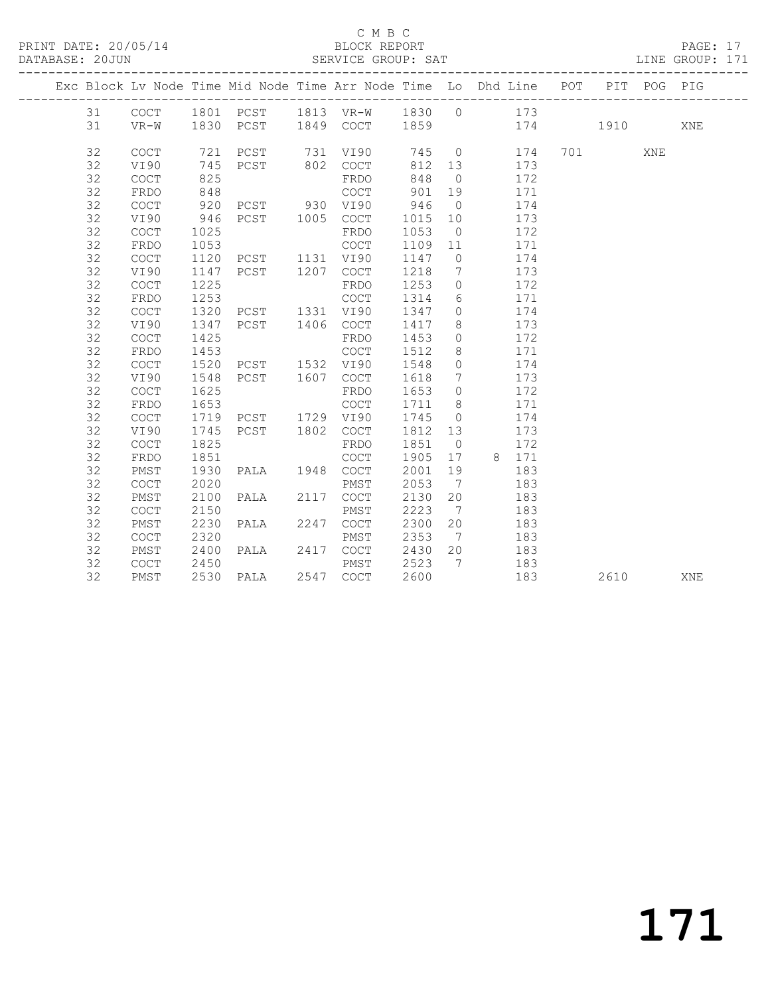#### C M B C<br>BLOCK REPORT

PAGE: 17<br>LINE GROUP: 171

|  |    |                                            |            |                                  |           |         |                 | Exc Block Lv Node Time Mid Node Time Arr Node Time Lo Dhd Line POT |      | PIT POG PIG |     |
|--|----|--------------------------------------------|------------|----------------------------------|-----------|---------|-----------------|--------------------------------------------------------------------|------|-------------|-----|
|  | 31 |                                            |            |                                  |           |         |                 | COCT 1801 PCST 1813 VR-W 1830 0 173                                |      |             |     |
|  | 31 | VR-W                                       |            |                                  |           |         |                 | 1830 PCST 1849 COCT 1859 174 1910                                  |      |             | XNE |
|  | 32 | COCT                                       |            | 721 PCST 731 VI90                |           |         |                 | 745 0 174                                                          | 701  | XNE         |     |
|  | 32 | VI90                                       | 745        | PCST 802 COCT                    |           | 812     |                 | 13 173                                                             |      |             |     |
|  | 32 | COCT                                       | 825        |                                  | FRDO      | 848     | $\overline{0}$  | 172                                                                |      |             |     |
|  | 32 | FRDO                                       | 848        |                                  | COCT      | 901     | 19              | 171                                                                |      |             |     |
|  | 32 | <b>COCT</b>                                | 848<br>920 |                                  |           | 946     | $\overline{0}$  | 174                                                                |      |             |     |
|  | 32 | VI90                                       | 946        | PCST 930 VI90<br>PCST 1005 COCT  |           | 1015 10 |                 | 173                                                                |      |             |     |
|  | 32 | COCT                                       | 1025       |                                  | FRDO      | 1053    | $\overline{0}$  | 172                                                                |      |             |     |
|  | 32 | FRDO                                       | 1053       |                                  | COCT      | 1109 11 |                 | 171                                                                |      |             |     |
|  | 32 | COCT                                       | 1120       | PCST 1131 VI90                   |           | 1147    | $\overline{0}$  | 174                                                                |      |             |     |
|  | 32 | VI90                                       | 1147       | PCST 1207 COCT                   |           | 1218    | $\overline{7}$  | 173                                                                |      |             |     |
|  | 32 | <b>COCT</b>                                | 1225       |                                  | FRDO      | 1253    | $\overline{0}$  | 172                                                                |      |             |     |
|  | 32 | FRDO                                       | 1253       |                                  | COCT      | 1314    |                 | 6 171                                                              |      |             |     |
|  | 32 | <b>COCT</b>                                | 1320       | PCST 1331 VI90                   |           | 1347    |                 | $\overline{0}$<br>174                                              |      |             |     |
|  | 32 | VI90                                       | 1347       | PCST 1406 COCT                   |           | 1417    |                 | 8 173                                                              |      |             |     |
|  | 32 | $\mathtt{C}\mathtt{O}\mathtt{C}\mathtt{T}$ | 1425       |                                  | FRDO      | 1453    |                 | $0$ 172                                                            |      |             |     |
|  | 32 | FRDO                                       | 1453       |                                  | COCT      | 1512    | 8 <sup>8</sup>  | 171                                                                |      |             |     |
|  | 32 | COCT                                       | 1520       |                                  |           | 1548    | $\overline{0}$  | 174                                                                |      |             |     |
|  | 32 | VI90                                       | 1548       | PCST 1532 VI90<br>PCST 1607 COCT |           | 1618    | $7\overline{ }$ | 173                                                                |      |             |     |
|  | 32 | COCT                                       | 1625       |                                  | FRDO      | 1653    | $\overline{0}$  | 172                                                                |      |             |     |
|  | 32 | FRDO                                       | 1653       |                                  | COCT      | 1711 8  |                 | 171                                                                |      |             |     |
|  | 32 |                                            |            | 1719 PCST 1729 VI90              |           | 1745    | $\overline{0}$  | 174                                                                |      |             |     |
|  | 32 | COCT<br>VI90                               | 1745       | PCST 1802 COCT                   |           | 1812 13 |                 | 173                                                                |      |             |     |
|  | 32 | <b>COCT</b>                                | 1825       |                                  | FRDO      | 1851    | $\overline{0}$  | 172                                                                |      |             |     |
|  | 32 |                                            | 1851       |                                  |           | 1905    |                 | 17 8 171                                                           |      |             |     |
|  | 32 | FRDO<br>PMST                               | 1930       | PALA 1948 COCT                   | COCT      | 2001    | 19              | 183                                                                |      |             |     |
|  | 32 | COCT                                       | 2020       |                                  | PMST      | 2053    | $\overline{7}$  | 183                                                                |      |             |     |
|  | 32 | PMST                                       | 2100       | PALA 2117 COCT                   |           | 2130    | 20              | 183                                                                |      |             |     |
|  | 32 | <b>COCT</b>                                | 2150       |                                  | PMST      | 2223    | $\overline{7}$  | 183                                                                |      |             |     |
|  | 32 | PMST                                       | 2230       |                                  |           | 2300    | 20              |                                                                    |      |             |     |
|  | 32 | COCT                                       | 2320       | PALA 2247 COCT                   |           | 2353 7  |                 | 183<br>183                                                         |      |             |     |
|  | 32 | PMST                                       | 2400       | PMST<br>PALA 2417 COCT           |           | 2430 20 |                 |                                                                    |      |             |     |
|  | 32 | COCT                                       | 2450       |                                  | PMST      | 2523    | $7\phantom{0}$  | 183                                                                |      |             |     |
|  | 32 | PMST                                       |            | 2530 PALA                        | 2547 COCT | 2600    |                 | 183<br>183                                                         | 2610 |             | XNE |
|  |    |                                            |            |                                  |           |         |                 |                                                                    |      |             |     |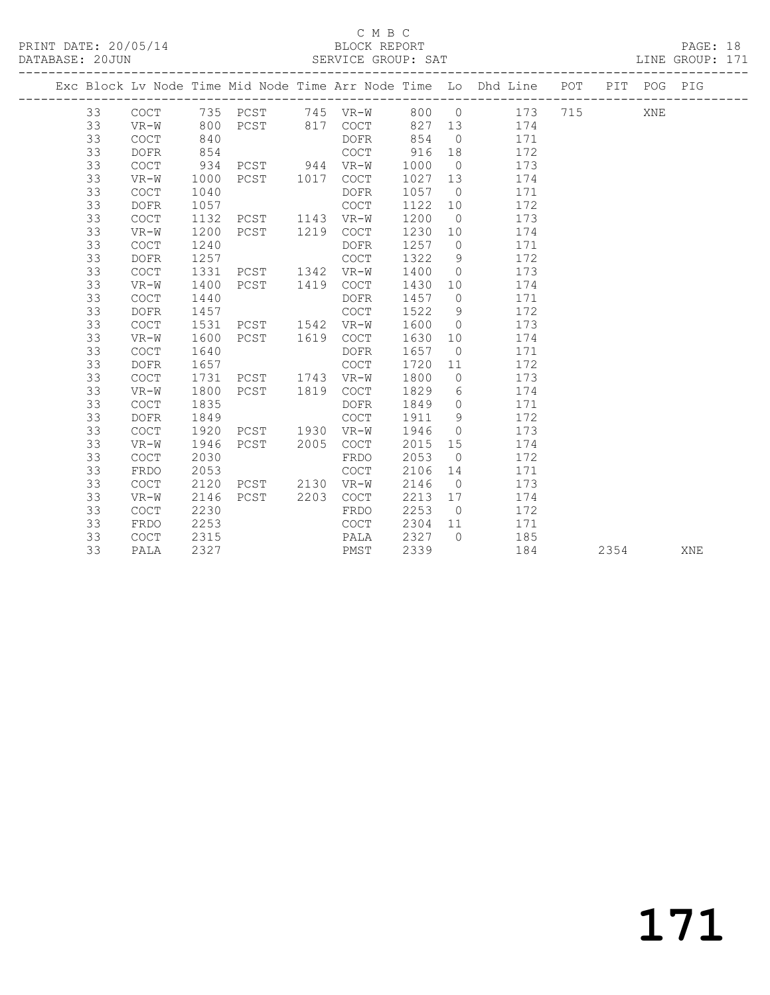#### C M B C<br>BLOCK REPORT DATABASE: 2012<br>SERVICE GROUP: SAT

|  |    |             |      |                   |      |             |        |                 | Exc Block Lv Node Time Mid Node Time Arr Node Time Lo Dhd Line POT PIT POG PIG |      |     |     |
|--|----|-------------|------|-------------------|------|-------------|--------|-----------------|--------------------------------------------------------------------------------|------|-----|-----|
|  | 33 | COCT        |      | 735 PCST 745 VR-W |      |             |        |                 | 800 0 173 715                                                                  |      | XNE |     |
|  | 33 | VR-W        | 800  | PCST 817 COCT     |      |             | 827 13 |                 | 174                                                                            |      |     |     |
|  | 33 | <b>COCT</b> | 840  |                   |      | DOFR        | 854    | $\overline{0}$  | 171                                                                            |      |     |     |
|  | 33 | <b>DOFR</b> | 854  |                   |      | COCT        | 916    | 18              | 172                                                                            |      |     |     |
|  | 33 | COCT        | 934  | PCST 944 VR-W     |      |             | 1000   | $\overline{0}$  | 173                                                                            |      |     |     |
|  | 33 | VR-W        | 1000 | PCST              | 1017 | COCT        | 1027   | 13              | 174                                                                            |      |     |     |
|  | 33 | COCT        | 1040 |                   |      | DOFR        | 1057   | $\overline{0}$  | 171                                                                            |      |     |     |
|  | 33 | <b>DOFR</b> | 1057 |                   |      | COCT        | 1122   | 10              | 172                                                                            |      |     |     |
|  | 33 | COCT        | 1132 | PCST              | 1143 | VR-W        | 1200   | $\overline{0}$  | 173                                                                            |      |     |     |
|  | 33 | VR-W        | 1200 | PCST              | 1219 | COCT        | 1230   | 10              | 174                                                                            |      |     |     |
|  | 33 | COCT        | 1240 |                   |      | DOFR        | 1257   | $\overline{0}$  | 171                                                                            |      |     |     |
|  | 33 | <b>DOFR</b> | 1257 |                   |      | COCT        | 1322   | 9               | 172                                                                            |      |     |     |
|  | 33 | COCT        | 1331 | PCST              | 1342 | $VR-W$      | 1400   | $\circ$         | 173                                                                            |      |     |     |
|  | 33 | VR-W        | 1400 | PCST              | 1419 | COCT        | 1430   | 10              | 174                                                                            |      |     |     |
|  | 33 | COCT        | 1440 |                   |      | <b>DOFR</b> | 1457   | $\overline{0}$  | 171                                                                            |      |     |     |
|  | 33 | <b>DOFR</b> | 1457 |                   |      | <b>COCT</b> | 1522   | 9               | 172                                                                            |      |     |     |
|  | 33 | <b>COCT</b> | 1531 | PCST 1542         |      | VR-W        | 1600   | $\overline{0}$  | 173                                                                            |      |     |     |
|  | 33 | VR-W        | 1600 | PCST              | 1619 | COCT        | 1630   | 10 <sup>°</sup> | 174                                                                            |      |     |     |
|  | 33 | <b>COCT</b> | 1640 |                   |      | <b>DOFR</b> | 1657   | $\overline{0}$  | 171                                                                            |      |     |     |
|  | 33 | <b>DOFR</b> | 1657 |                   |      | <b>COCT</b> | 1720   | 11              | 172                                                                            |      |     |     |
|  | 33 | <b>COCT</b> | 1731 | PCST 1743         |      | $VR-W$      | 1800   | $\overline{0}$  | 173                                                                            |      |     |     |
|  | 33 | $VR-W$      | 1800 | PCST              | 1819 | COCT        | 1829   | 6               | 174                                                                            |      |     |     |
|  | 33 | COCT        | 1835 |                   |      | <b>DOFR</b> | 1849   | $\overline{0}$  | 171                                                                            |      |     |     |
|  | 33 | <b>DOFR</b> | 1849 |                   |      | <b>COCT</b> | 1911   | 9               | 172                                                                            |      |     |     |
|  | 33 | COCT        | 1920 | PCST              | 1930 | VR-W        | 1946   | $\overline{0}$  | 173                                                                            |      |     |     |
|  | 33 | VR-W        | 1946 | PCST              | 2005 | COCT        | 2015   | 15              | 174                                                                            |      |     |     |
|  | 33 | COCT        | 2030 |                   |      | FRDO        | 2053   | $\overline{0}$  | 172                                                                            |      |     |     |
|  | 33 | FRDO        | 2053 |                   |      | <b>COCT</b> | 2106   | 14              | 171                                                                            |      |     |     |
|  | 33 | COCT        | 2120 | PCST              | 2130 | VR-W        | 2146   | $\overline{0}$  | 173                                                                            |      |     |     |
|  | 33 | $VR-W$      | 2146 | PCST              | 2203 | COCT        | 2213   | 17              | 174                                                                            |      |     |     |
|  | 33 | COCT        | 2230 |                   |      | FRDO        | 2253   | $\overline{0}$  | 172                                                                            |      |     |     |
|  | 33 | FRDO        | 2253 |                   |      | COCT        | 2304   | 11              | 171                                                                            |      |     |     |
|  | 33 | COCT        | 2315 |                   |      | PALA        | 2327   | $\bigcirc$      | 185                                                                            |      |     |     |
|  | 33 | PALA        | 2327 |                   |      | PMST        | 2339   |                 | 184                                                                            | 2354 |     | XNE |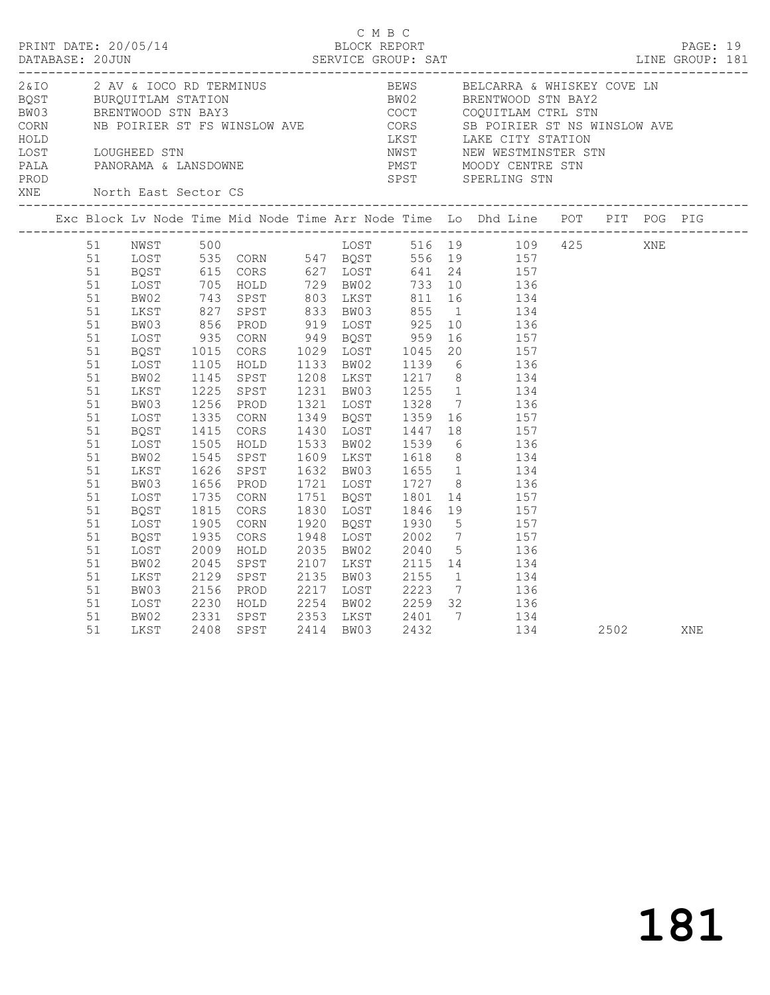| XNE |                                                                                        | North East Sector CS                                                                                                 |                                                                                                                              |                                                                                                                   |           |  | $\begin{tabular}{lllllllllllllllllll} \multicolumn{3}{c}{2 AU & 2 AU & 10 CO & 80000 & 100000 & 100000 & 100000 & 100000 & 100000 & 100000 & 100000 & 100000 & 100000 & 100000 & 100000 & 100000 & 100000 & 100000 & 100000 & 100000 & 100000 & 100000 & 100000 & 100000 & 100000 & 100000 &$                                                                                                                                                                 |      |     |  |
|-----|----------------------------------------------------------------------------------------|----------------------------------------------------------------------------------------------------------------------|------------------------------------------------------------------------------------------------------------------------------|-------------------------------------------------------------------------------------------------------------------|-----------|--|---------------------------------------------------------------------------------------------------------------------------------------------------------------------------------------------------------------------------------------------------------------------------------------------------------------------------------------------------------------------------------------------------------------------------------------------------------------|------|-----|--|
|     |                                                                                        |                                                                                                                      |                                                                                                                              |                                                                                                                   |           |  |                                                                                                                                                                                                                                                                                                                                                                                                                                                               |      |     |  |
|     | 51<br>51<br>51<br>51<br>51<br>51<br>51<br>51<br>51<br>51<br>51<br>51<br>51<br>51       | 51 NWST 500<br>BW03<br>LOST<br>BQST<br>LOST<br>BW02<br>LKST<br>BW03<br>LOST<br>BQST                                  | 1105<br>1145<br>1256<br>1335                                                                                                 | 856 PROD<br>935 CORN<br>1015 CORS<br>HOLD<br>SPST<br>1225 SPST<br>PROD<br>CORN<br>CORS                            |           |  | LOST 516 19 109 425 XNE<br>LOST 535 CORN 547 BQST 556 19 157<br>BQST 615 CORS 627 LOST 641 24 157<br>LOST 705 HOLD 729 BW02 733 10 136<br>BW02 743 SPST 803 LKST 811 16 134<br>LKST 827 SPST 833 BW03 855 1 134<br>PROD 919 LOST 925 10 136<br>CORN 949 BQST 959 16 157<br>CORS 1029 LOST 1045 20 157<br>1133 BW02 1139 6 136<br>1208 LKST 1217 8 134<br>$1231$ BW03 $1255$ 1 $134$<br>1321 LOST 1328 7 136<br>1349 BQST 1359 16 157<br>1430 LOST 1447 18 157 |      |     |  |
|     | 51<br>51<br>51<br>51<br>51<br>51<br>51<br>51<br>51<br>51<br>51<br>51<br>51<br>51<br>51 | LOST<br>BW02<br>LKST<br>BW03<br>LOST<br>BQST<br>LOST<br>BQST<br>LOST<br>BW02<br>LKST<br>BW03<br>LOST<br>BW02<br>LKST | 1415<br>1505<br>1545<br>1626<br>1656<br>1735<br>1815<br>1905<br>1935<br>2009<br>2045<br>2129<br>2156<br>2230<br>2331<br>2408 | HOLD<br>SPST<br>SPST<br>PROD<br>CORN<br>CORS<br>CORN<br>CORS<br>HOLD<br>SPST<br>SPST<br>PROD<br>HOLD<br>2408 SPST | 1948 LOST |  | 1533 BW02 1539 6 136<br>1609 LKST 1618 8 134<br>1632 BW03 1655 1 134<br>1721 LOST 1727 8 136<br>1751 BOST 1801 14 157<br>1830 LOST 1846 19 157<br>1920 BQST 1930 5 157<br>2002 7 157<br>2035 BW02 2040 5 136<br>2107 LKST 2115 14 134<br>2135 BW03 2155 1 134<br>2217 LOST 2223 7 136<br>2254 BW02 2259 32 136<br>SPST 2353 LKST 2401 7 134<br>SPST 2414 BW03 2432 134<br>134                                                                                 | 2502 | XNE |  |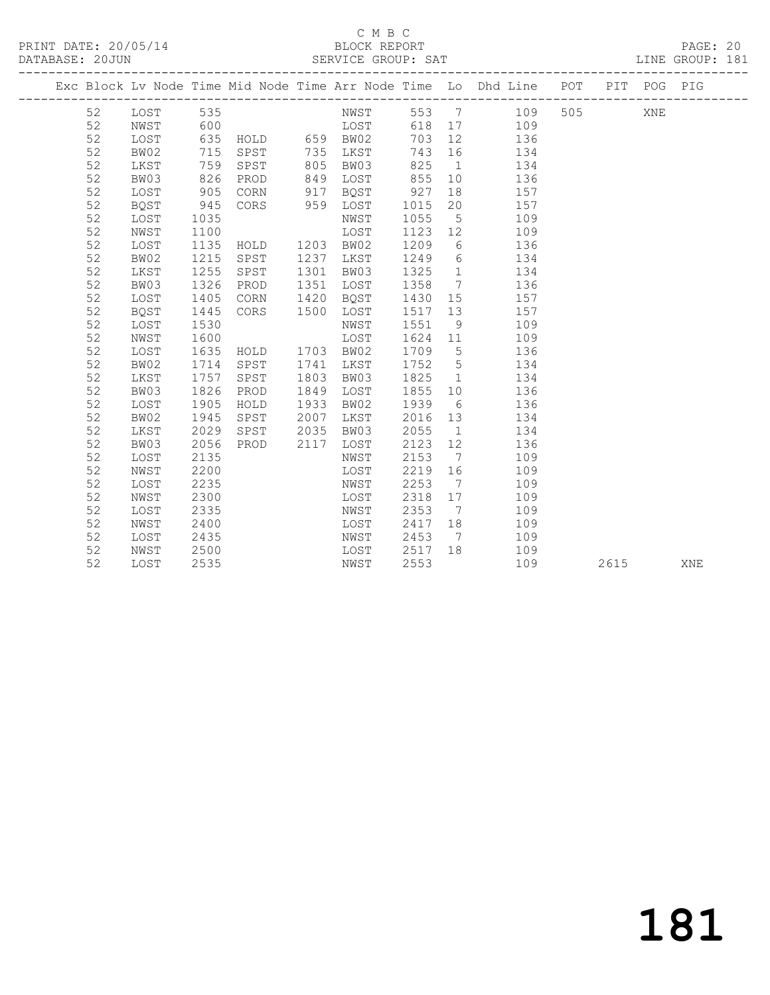## C M B C<br>BLOCK REPORT

PAGE: 20<br>LINE GROUP: 181

|  |    |      |      |               |      |           |      |                 | Exc Block Lv Node Time Mid Node Time Arr Node Time Lo Dhd Line POT PIT POG PIG |     |      |     |            |
|--|----|------|------|---------------|------|-----------|------|-----------------|--------------------------------------------------------------------------------|-----|------|-----|------------|
|  | 52 | LOST | 535  |               |      | NWST      |      |                 | 553 7<br>109                                                                   | 505 |      | XNE |            |
|  | 52 | NWST | 600  |               |      | LOST      |      |                 | 618 17<br>109                                                                  |     |      |     |            |
|  | 52 | LOST | 635  | HOLD 659 BW02 |      |           | 703  | 12              | 136                                                                            |     |      |     |            |
|  | 52 | BW02 | 715  | SPST          |      | 735 LKST  | 743  | 16              | 134                                                                            |     |      |     |            |
|  | 52 | LKST | 759  | SPST          | 805  | BW03      | 825  | $\overline{1}$  | 134                                                                            |     |      |     |            |
|  | 52 | BW03 | 826  | PROD          | 849  | LOST      | 855  | 10              | 136                                                                            |     |      |     |            |
|  | 52 | LOST | 905  | CORN          | 917  | BQST      | 927  | 18              | 157                                                                            |     |      |     |            |
|  | 52 | BQST | 945  | CORS          | 959  | LOST      | 1015 | 20              | 157                                                                            |     |      |     |            |
|  | 52 | LOST | 1035 |               |      | NWST      | 1055 | $5\overline{)}$ | 109                                                                            |     |      |     |            |
|  | 52 | NWST | 1100 |               |      | LOST      | 1123 | 12              | 109                                                                            |     |      |     |            |
|  | 52 | LOST | 1135 | HOLD          |      | 1203 BW02 | 1209 | 6               | 136                                                                            |     |      |     |            |
|  | 52 | BW02 | 1215 | SPST          | 1237 | LKST      | 1249 | 6               | 134                                                                            |     |      |     |            |
|  | 52 | LKST | 1255 | SPST          | 1301 | BW03      | 1325 | $\overline{1}$  | 134                                                                            |     |      |     |            |
|  | 52 | BW03 | 1326 | PROD          | 1351 | LOST      | 1358 | $\overline{7}$  | 136                                                                            |     |      |     |            |
|  | 52 | LOST | 1405 | CORN          | 1420 | BQST      | 1430 | 15              | 157                                                                            |     |      |     |            |
|  | 52 | BQST | 1445 | CORS          | 1500 | LOST      | 1517 | 13              | 157                                                                            |     |      |     |            |
|  | 52 | LOST | 1530 |               |      | NWST      | 1551 | 9               | 109                                                                            |     |      |     |            |
|  | 52 | NWST | 1600 |               |      | LOST      | 1624 | 11              | 109                                                                            |     |      |     |            |
|  | 52 | LOST | 1635 | HOLD          | 1703 | BW02      | 1709 | $5\overline{)}$ | 136                                                                            |     |      |     |            |
|  | 52 | BW02 | 1714 | SPST          | 1741 | LKST      | 1752 | 5 <sup>5</sup>  | 134                                                                            |     |      |     |            |
|  | 52 | LKST | 1757 | SPST          | 1803 | BW03      | 1825 |                 | $1 \qquad \qquad$<br>134                                                       |     |      |     |            |
|  | 52 | BW03 | 1826 | PROD          | 1849 | LOST      | 1855 |                 | 136<br>10                                                                      |     |      |     |            |
|  | 52 | LOST | 1905 | HOLD          | 1933 | BW02      | 1939 |                 | 136<br>$6\degree$                                                              |     |      |     |            |
|  | 52 | BW02 | 1945 | SPST          | 2007 | LKST      | 2016 | 13              | 134                                                                            |     |      |     |            |
|  | 52 | LKST | 2029 | SPST          | 2035 | BW03      | 2055 | $\overline{1}$  | 134                                                                            |     |      |     |            |
|  | 52 | BW03 | 2056 | PROD          | 2117 | LOST      | 2123 | 12              | 136                                                                            |     |      |     |            |
|  | 52 | LOST | 2135 |               |      | NWST      | 2153 | $\overline{7}$  | 109                                                                            |     |      |     |            |
|  | 52 | NWST | 2200 |               |      | LOST      | 2219 | 16              | 109                                                                            |     |      |     |            |
|  | 52 | LOST | 2235 |               |      | NWST      | 2253 | $\overline{7}$  | 109                                                                            |     |      |     |            |
|  | 52 | NWST | 2300 |               |      | LOST      | 2318 | 17              | 109                                                                            |     |      |     |            |
|  | 52 | LOST | 2335 |               |      | NWST      | 2353 | $\overline{7}$  | 109                                                                            |     |      |     |            |
|  | 52 | NWST | 2400 |               |      | LOST      | 2417 | 18              | 109                                                                            |     |      |     |            |
|  | 52 | LOST | 2435 |               |      | NWST      | 2453 | $\overline{7}$  | 109                                                                            |     |      |     |            |
|  | 52 | NWST | 2500 |               |      | LOST      | 2517 | 18              | 109                                                                            |     |      |     |            |
|  | 52 | LOST | 2535 |               |      | NWST      | 2553 |                 | 109                                                                            |     | 2615 |     | <b>XNE</b> |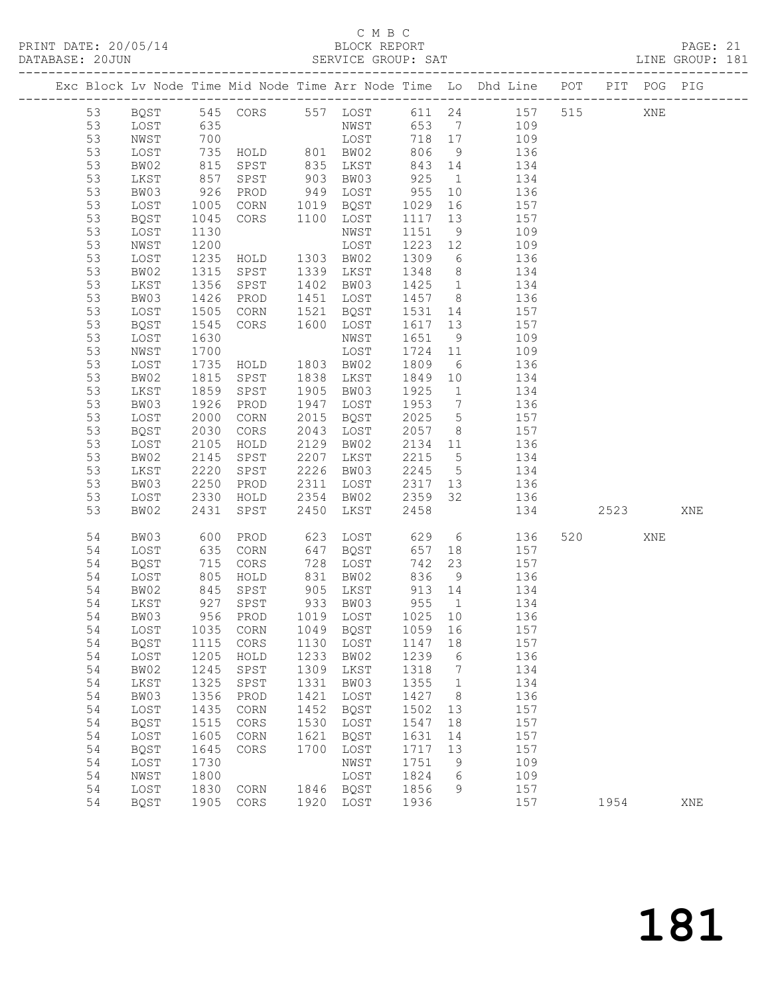#### C M B C<br>BLOCK REPORT SERVICE GROUP: SAT

|          |                                  |                 |                      |              |                      |                 |                                   | Exc Block Lv Node Time Mid Node Time Arr Node Time Lo Dhd Line POT PIT POG PIG |         |     |     |
|----------|----------------------------------|-----------------|----------------------|--------------|----------------------|-----------------|-----------------------------------|--------------------------------------------------------------------------------|---------|-----|-----|
| 53       |                                  |                 |                      |              |                      |                 |                                   | BQST 545 CORS 557 LOST 611 24 157                                              | 515     | XNE |     |
| 53       | LOST                             | 635             |                      |              |                      |                 |                                   | NWST 653 7 109                                                                 |         |     |     |
| 53       | NWST                             | 700             |                      |              | LOST                 |                 | 718 17                            | 109                                                                            |         |     |     |
| 53       | LOST                             | $\frac{1}{815}$ | $HOLD$ 801 BW02      |              |                      | 806             | 9                                 | 136                                                                            |         |     |     |
| 53       | BW02                             |                 | SPST                 |              |                      |                 | 843 14                            | 134                                                                            |         |     |     |
| 53       | LKST                             | 857             | SPST                 |              | 835 LKST<br>903 BW03 | 843<br>925      |                                   | $\frac{1}{1}$ $\frac{1}{134}$                                                  |         |     |     |
| 53       | BW03                             | 926             | PROD                 |              | 949 LOST             | 955             | 10                                | 136                                                                            |         |     |     |
| 53       | LOST                             | 1005            | CORN                 |              | 1019 BQST            | 1029            | 16                                | 157                                                                            |         |     |     |
| 53       | BQST                             | 1045            | CORS                 |              | 1100 LOST            | 1117            | 13                                | 157                                                                            |         |     |     |
| 53       | LOST                             | 1130            |                      |              | NWST                 | 1151            | 9                                 | 109                                                                            |         |     |     |
| 53       | NWST                             | 1200            |                      |              | LOST                 | 1223 12         |                                   | 109                                                                            |         |     |     |
| 53       | LOST                             | 1235            | HOLD 1303 BW02       |              |                      | 1309            | $6\overline{6}$                   | 136                                                                            |         |     |     |
| 53       | BW02                             | 1315            | SPST                 |              | 1339 LKST            | 1348            | 8 <sup>8</sup>                    | 134                                                                            |         |     |     |
| 53       | LKST                             | 1356            | SPST                 |              | 1402 BW03            | 1425            | 1                                 | 134                                                                            |         |     |     |
| 53       | BW03                             | 1426            | PROD                 |              | 1451 LOST            | 1457            | 8 <sup>8</sup>                    | 136                                                                            |         |     |     |
| 53       | LOST                             | 1505            | CORN                 |              | 1521 BQST            | 1531            | 14                                | 157                                                                            |         |     |     |
| 53       | BQST                             | 1545            | CORS                 |              | 1600 LOST            | 1617 13         |                                   | 157                                                                            |         |     |     |
| 53       | LOST                             | 1630            |                      |              | NWST                 | 1651 9          |                                   | 109                                                                            |         |     |     |
| 53       | NWST                             | 1700            |                      |              | LOST                 | 1724 11         |                                   | 109                                                                            |         |     |     |
| 53       | LOST                             | 1735            | HOLD 1803 BW02       |              |                      | 1809            | 6                                 | 136                                                                            |         |     |     |
| 53       | BW02                             | 1815            | SPST                 |              | 1838 LKST            | 1849            | 10                                | 134                                                                            |         |     |     |
| 53       | LKST                             | 1859            | SPST                 |              | 1905 BW03            | 1925            | 1                                 | 134                                                                            |         |     |     |
| 53       | BW03                             | 1926            | PROD                 |              | 1947 LOST            | 1953            | $7\overline{ }$                   | 136                                                                            |         |     |     |
| 53       | LOST                             | 2000            | CORN                 | 2015         | BQST                 | 2025            | $5\overline{)}$                   | 157                                                                            |         |     |     |
| 53       | BQST                             | 2030            | CORS                 | 2043         | LOST                 | 2057            | 8 <sup>8</sup>                    | 157                                                                            |         |     |     |
| 53       | LOST                             | 2105            | HOLD                 |              | 2129 BW02            | 2134 11         |                                   | 136                                                                            |         |     |     |
| 53       | BW02                             | 2145            | SPST                 | 2207         | LKST                 | 2215 5          |                                   | 134                                                                            |         |     |     |
| 53       | LKST                             | 2220            | SPST                 | 2226         | BW03                 | 2245 5          |                                   | 134                                                                            |         |     |     |
| 53       | BW03                             | 2250            | PROD                 | 2311         | LOST                 | 2317            | 13                                | 136                                                                            |         |     |     |
| 53       | LOST                             | 2330            | HOLD                 |              | 2354 BW02            | 2359 32<br>2458 |                                   | 136                                                                            |         |     |     |
| 53       | BW02                             | 2431            | SPST                 | 2450         | LKST                 |                 |                                   | 134                                                                            | 2523    |     | XNE |
| 54       | BW03                             | 600             | PROD                 |              | 623 LOST             | 629             |                                   | $6\overline{6}$<br>136                                                         | 520 320 | XNE |     |
| 54       | LOST                             | 635<br>715      | CORN                 |              | 647 BQST             | 657             | 18                                | 157                                                                            |         |     |     |
| 54       | BQST                             |                 | CORS                 |              | 728 LOST             | 742             | 23                                | 157                                                                            |         |     |     |
| 54       | LOST                             | 805             | HOLD                 | 831          | BW02                 | 836             | 9                                 | 136                                                                            |         |     |     |
| 54       | BW02                             | 845             | SPST                 |              | 905 LKST             |                 | 913 14                            | 134                                                                            |         |     |     |
| 54       | LKST                             |                 | 927 SPST<br>956 PROD |              | 933 BW03             | $955$<br>1025   | $\overline{1}$                    | 134                                                                            |         |     |     |
| 54       | BW03                             |                 |                      |              | 1019 LOST            | 1025 10         |                                   | 136                                                                            |         |     |     |
| 54       | LOST 1035 CORN 1049 BQST 1059 16 |                 |                      |              |                      |                 |                                   | 157                                                                            |         |     |     |
| 54       | <b>BOST</b>                      | 1115            | CORS                 | 1130<br>1233 | LOST<br>BW02         | 1147            | 18                                | 157<br>136                                                                     |         |     |     |
| 54<br>54 | LOST<br>BW02                     | 1205<br>1245    | HOLD<br>SPST         | 1309         | LKST                 | 1239<br>1318    | $6\overline{6}$<br>$\overline{7}$ | 134                                                                            |         |     |     |
| 54       | LKST                             | 1325            | SPST                 | 1331         | BW03                 | 1355            | $\overline{1}$                    | 134                                                                            |         |     |     |
| 54       | BW03                             | 1356            | PROD                 | 1421         | LOST                 | 1427            | 8                                 | 136                                                                            |         |     |     |
| 54       | LOST                             | 1435            | CORN                 | 1452         | BQST                 | 1502            | 13                                | 157                                                                            |         |     |     |
| 54       | <b>BQST</b>                      | 1515            | CORS                 | 1530         | LOST                 | 1547            | 18                                | 157                                                                            |         |     |     |
| 54       | LOST                             | 1605            | CORN                 | 1621         | BQST                 | 1631            | 14                                | 157                                                                            |         |     |     |
| 54       | BQST                             | 1645            | CORS                 | 1700         | LOST                 | 1717            | 13                                | 157                                                                            |         |     |     |
| 54       | LOST                             | 1730            |                      |              | NWST                 | 1751            | 9                                 | 109                                                                            |         |     |     |
| 54       | NWST                             | 1800            |                      |              | LOST                 | 1824            | 6                                 | 109                                                                            |         |     |     |
| 54       | LOST                             | 1830            | CORN                 |              | 1846 BQST            | 1856            | 9                                 | 157                                                                            |         |     |     |

54 BQST 1905 CORS 1920 LOST 1936 157 1954 XNE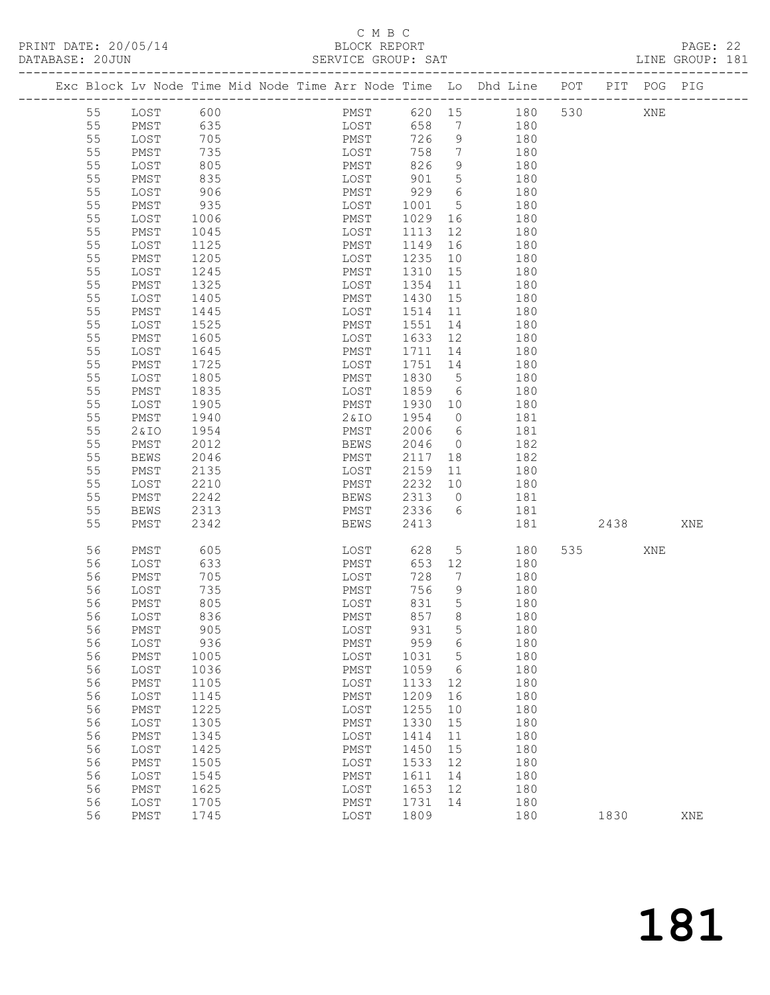## C M B C<br>BLOCK REPORT

PAGE: 22<br>LINE GROUP: 181

|  |          |              |              |  |                |                   |                      | Exc Block Lv Node Time Mid Node Time Arr Node Time Lo Dhd Line POT |     |       | PIT POG PIG |     |
|--|----------|--------------|--------------|--|----------------|-------------------|----------------------|--------------------------------------------------------------------|-----|-------|-------------|-----|
|  | 55       | LOST 600     |              |  |                |                   |                      | PMST 620 15 180                                                    | 530 |       | XNE         |     |
|  | 55       | PMST         | 635          |  | LOST           | 658 7             |                      | 180                                                                |     |       |             |     |
|  | 55       | LOST         | 705          |  | PMST           | 726               | 9                    | 180                                                                |     |       |             |     |
|  | 55       | PMST         | 735          |  | LOST           | 758               | $\overline{7}$       | 180                                                                |     |       |             |     |
|  | 55       | LOST         | 805          |  | PMST           | 826               | 9                    | 180                                                                |     |       |             |     |
|  | 55       | PMST         | 835          |  | LOST           | 901               | $5\overline{)}$      | 180                                                                |     |       |             |     |
|  | 55       | LOST         | 906          |  | PMST           | 929               | $6\overline{6}$      | 180                                                                |     |       |             |     |
|  | 55       | PMST         | 935          |  | LOST           | 1001              | $5\overline{)}$      | 180                                                                |     |       |             |     |
|  | 55<br>55 | LOST<br>PMST | 1006<br>1045 |  | PMST<br>LOST   | 1029<br>1113      | 16<br>12             | 180<br>180                                                         |     |       |             |     |
|  | 55       | LOST         | 1125         |  | PMST           | 1149              | 16                   | 180                                                                |     |       |             |     |
|  | 55       | PMST         | 1205         |  | LOST           | 1235              | 10                   | 180                                                                |     |       |             |     |
|  | 55       | LOST         | 1245         |  | PMST           | 1310              | 15                   | 180                                                                |     |       |             |     |
|  | 55       | PMST         | 1325         |  | LOST           | 1354              | 11                   | 180                                                                |     |       |             |     |
|  | 55       | LOST         | 1405         |  | PMST           | 1430              | 15                   | 180                                                                |     |       |             |     |
|  | 55       | PMST         | 1445         |  | LOST           | 1514              | 11                   | 180                                                                |     |       |             |     |
|  | 55       | LOST         | 1525         |  | PMST           | 1551              | 14                   | 180                                                                |     |       |             |     |
|  | 55       | PMST         | 1605         |  | LOST           | 1633 12           |                      | 180                                                                |     |       |             |     |
|  | 55       | LOST         | 1645         |  | PMST           | 1711 14           |                      | 180                                                                |     |       |             |     |
|  | 55       | PMST         | 1725         |  | LOST           | 1751 14           |                      | 180                                                                |     |       |             |     |
|  | 55       | LOST         | 1805         |  | PMST           | 1830              | $5\overline{)}$      | 180                                                                |     |       |             |     |
|  | 55<br>55 | PMST         | 1835<br>1905 |  | LOST           | 1859 6<br>1930 10 |                      | 180                                                                |     |       |             |     |
|  | 55       | LOST<br>PMST | 1940         |  | PMST<br>2 & IO | 1954              | $\overline{0}$       | 180<br>181                                                         |     |       |             |     |
|  | 55       | 2& IO        | 1954         |  | PMST           | 2006              | $6\overline{6}$      | 181                                                                |     |       |             |     |
|  | 55       | PMST         | 2012         |  | BEWS           | 2046              | $\overline{0}$       | 182                                                                |     |       |             |     |
|  | 55       | BEWS         | 2046         |  | PMST           | 2117              | 18                   | 182                                                                |     |       |             |     |
|  | 55       | PMST         | 2135         |  | LOST           | 2159              | 11                   | 180                                                                |     |       |             |     |
|  | 55       | LOST         | 2210         |  | PMST           | 2232              | 10                   | 180                                                                |     |       |             |     |
|  | 55       | PMST         | 2242         |  | BEWS           | 2313              | $\overline{0}$       | 181                                                                |     |       |             |     |
|  | 55       | BEWS         | 2313         |  | PMST           | 2336              | 6                    | 181                                                                |     |       |             |     |
|  | 55       | PMST         | 2342         |  | BEWS           | 2413              |                      | 181                                                                |     | 2438  |             | XNE |
|  | 56       | PMST         | 605          |  | LOST<br>PMST   | 628               | 5 <sup>5</sup>       | 180                                                                |     | 535 7 | XNE         |     |
|  | 56       | LOST         | 633          |  | PMST           | 653 12            |                      | 180                                                                |     |       |             |     |
|  | 56       | PMST         | 705          |  | LOST           | 728               | $\overline{7}$       | 180                                                                |     |       |             |     |
|  | 56       | LOST         | 735          |  | PMST           | 756               | 9                    | 180                                                                |     |       |             |     |
|  | 56<br>56 | PMST<br>LOST | 805<br>836   |  | LOST<br>PMST   | 831<br>857        | $5\overline{)}$<br>8 | 180<br>180                                                         |     |       |             |     |
|  | 56       | PMST         | 905          |  | LOST           | 931               | 5 <sup>5</sup>       | 180                                                                |     |       |             |     |
|  | 56       | LOST         | 936          |  | PMST           | 959               | 6                    | 180                                                                |     |       |             |     |
|  | 56       | PMST         | 1005         |  | LOST           | 1031              | $5\phantom{.0}$      | 180                                                                |     |       |             |     |
|  | 56       | LOST         | 1036         |  | PMST           | 1059              | - 6                  | 180                                                                |     |       |             |     |
|  | 56       | PMST         | 1105         |  | LOST           | 1133              | 12                   | 180                                                                |     |       |             |     |
|  | 56       | LOST         | 1145         |  | PMST           | 1209              | 16                   | 180                                                                |     |       |             |     |
|  | 56       | PMST         | 1225         |  | LOST           | 1255              | 10                   | 180                                                                |     |       |             |     |
|  | 56       | LOST         | 1305         |  | PMST           | 1330              | 15                   | 180                                                                |     |       |             |     |
|  | 56       | PMST         | 1345         |  | LOST           | 1414              | 11                   | 180                                                                |     |       |             |     |
|  | 56       | LOST         | 1425         |  | PMST           | 1450              | 15                   | 180                                                                |     |       |             |     |
|  | 56       | PMST         | 1505         |  | LOST           | 1533              | 12                   | 180                                                                |     |       |             |     |
|  | 56       | LOST         | 1545         |  | PMST           | 1611              | 14                   | 180                                                                |     |       |             |     |
|  | 56<br>56 | PMST<br>LOST | 1625<br>1705 |  | LOST<br>PMST   | 1653<br>1731      | 12<br>14             | 180<br>180                                                         |     |       |             |     |
|  | 56       | PMST         | 1745         |  | LOST           | 1809              |                      | 180                                                                |     | 1830  |             | XNE |
|  |          |              |              |  |                |                   |                      |                                                                    |     |       |             |     |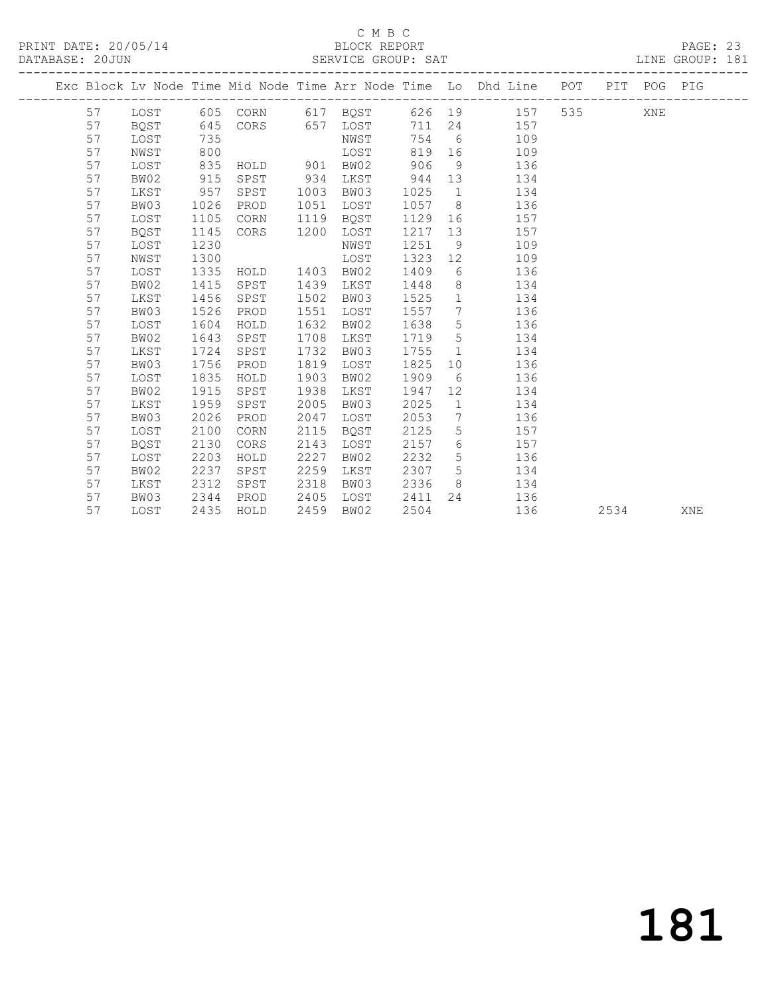#### C M B C<br>BLOCK REPORT

#### PAGE: 23<br>LINE GROUP: 181

|  |    |      |      |          |      |          |      |                 | Exc Block Lv Node Time Mid Node Time Arr Node Time Lo Dhd Line POT |     |      | PIT POG PIG |            |
|--|----|------|------|----------|------|----------|------|-----------------|--------------------------------------------------------------------|-----|------|-------------|------------|
|  | 57 | LOST |      | 605 CORN |      | 617 BQST |      |                 | 626 19<br>157                                                      | 535 |      | XNE         |            |
|  | 57 | BQST | 645  | CORS     | 657  | LOST     | 711  | 24              | 157                                                                |     |      |             |            |
|  | 57 | LOST | 735  |          |      | NWST     | 754  | 6               | 109                                                                |     |      |             |            |
|  | 57 | NWST | 800  |          |      | LOST     | 819  | 16              | 109                                                                |     |      |             |            |
|  | 57 | LOST | 835  | HOLD     | 901  | BW02     | 906  | 9               | 136                                                                |     |      |             |            |
|  | 57 | BW02 | 915  | SPST     | 934  | LKST     | 944  | 13              | 134                                                                |     |      |             |            |
|  | 57 | LKST | 957  | SPST     | 1003 | BW03     | 1025 | $\mathbf{1}$    | 134                                                                |     |      |             |            |
|  | 57 | BW03 | 1026 | PROD     | 1051 | LOST     | 1057 | 8 <sup>8</sup>  | 136                                                                |     |      |             |            |
|  | 57 | LOST | 1105 | CORN     | 1119 | BQST     | 1129 | 16              | 157                                                                |     |      |             |            |
|  | 57 | BQST | 1145 | CORS     | 1200 | LOST     | 1217 | 13              | 157                                                                |     |      |             |            |
|  | 57 | LOST | 1230 |          |      | NWST     | 1251 | 9               | 109                                                                |     |      |             |            |
|  | 57 | NWST | 1300 |          |      | LOST     | 1323 | 12 <sup>°</sup> | 109                                                                |     |      |             |            |
|  | 57 | LOST | 1335 | HOLD     | 1403 | BW02     | 1409 | 6               | 136                                                                |     |      |             |            |
|  | 57 | BW02 | 1415 | SPST     | 1439 | LKST     | 1448 | 8               | 134                                                                |     |      |             |            |
|  | 57 | LKST | 1456 | SPST     | 1502 | BW03     | 1525 | $\mathbf{1}$    | 134                                                                |     |      |             |            |
|  | 57 | BW03 | 1526 | PROD     | 1551 | LOST     | 1557 | $7\phantom{.0}$ | 136                                                                |     |      |             |            |
|  | 57 | LOST | 1604 | HOLD     | 1632 | BW02     | 1638 | $5\phantom{.0}$ | 136                                                                |     |      |             |            |
|  | 57 | BW02 | 1643 | SPST     | 1708 | LKST     | 1719 | $5\phantom{.0}$ | 134                                                                |     |      |             |            |
|  | 57 | LKST | 1724 | SPST     | 1732 | BW03     | 1755 | 1               | 134                                                                |     |      |             |            |
|  | 57 | BW03 | 1756 | PROD     | 1819 | LOST     | 1825 | 10              | 136                                                                |     |      |             |            |
|  | 57 | LOST | 1835 | HOLD     | 1903 | BW02     | 1909 | 6               | 136                                                                |     |      |             |            |
|  | 57 | BW02 | 1915 | SPST     | 1938 | LKST     | 1947 | 12              | 134                                                                |     |      |             |            |
|  | 57 | LKST | 1959 | SPST     | 2005 | BW03     | 2025 | $\mathbf{1}$    | 134                                                                |     |      |             |            |
|  | 57 | BW03 | 2026 | PROD     | 2047 | LOST     | 2053 | 7               | 136                                                                |     |      |             |            |
|  | 57 | LOST | 2100 | CORN     | 2115 | BQST     | 2125 | 5               | 157                                                                |     |      |             |            |
|  | 57 | BQST | 2130 | CORS     | 2143 | LOST     | 2157 | 6               | 157                                                                |     |      |             |            |
|  | 57 | LOST | 2203 | HOLD     | 2227 | BW02     | 2232 | $5\phantom{.0}$ | 136                                                                |     |      |             |            |
|  | 57 | BW02 | 2237 | SPST     | 2259 | LKST     | 2307 | 5               | 134                                                                |     |      |             |            |
|  | 57 | LKST | 2312 | SPST     | 2318 | BW03     | 2336 | 8               | 134                                                                |     |      |             |            |
|  | 57 | BW03 | 2344 | PROD     | 2405 | LOST     | 2411 | 24              | 136                                                                |     |      |             |            |
|  | 57 | LOST | 2435 | HOLD     | 2459 | BW02     | 2504 |                 | 136                                                                |     | 2534 |             | <b>XNE</b> |
|  |    |      |      |          |      |          |      |                 |                                                                    |     |      |             |            |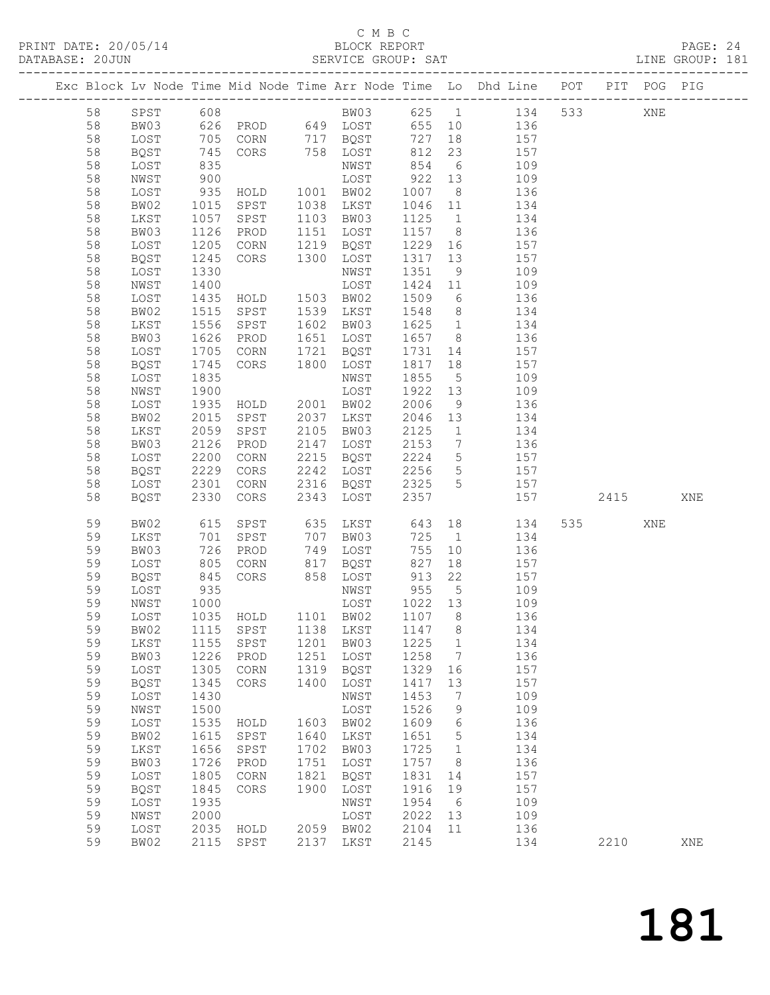#### C M B C<br>BLOCK REPORT

PAGE: 24<br>LINE GROUP: 181

|  |          |              |              |                                    |              |                     |              |                 | Exc Block Lv Node Time Mid Node Time Arr Node Time Lo Dhd Line POT PIT POG PIG |        |       |     |     |
|--|----------|--------------|--------------|------------------------------------|--------------|---------------------|--------------|-----------------|--------------------------------------------------------------------------------|--------|-------|-----|-----|
|  | 58       | SPST         | 608          |                                    |              |                     |              |                 | BW03 625 1 134                                                                 | 533 64 |       | XNE |     |
|  | 58       | BW03         |              |                                    |              |                     | 655 10       |                 | 136                                                                            |        |       |     |     |
|  | 58       | LOST         |              |                                    |              |                     | 727          | 18              | 157                                                                            |        |       |     |     |
|  | 58       | BQST         | 745          |                                    |              | CORS 758 LOST       | 812          | 23              | 157                                                                            |        |       |     |     |
|  | 58       | LOST         | 835          |                                    |              | NWST                | 854          | 6               | 109                                                                            |        |       |     |     |
|  | 58       | NWST         |              |                                    |              | LOST                | 922 13       |                 | 109                                                                            |        |       |     |     |
|  | 58       | LOST         | 900<br>935   | HOLD                               |              | 1001 BW02           | 1007         | 8 <sup>8</sup>  | 136                                                                            |        |       |     |     |
|  | 58       | BW02         | 1015         | SPST                               |              | 1038 LKST           | 1046         | 11              | 134                                                                            |        |       |     |     |
|  | 58       | LKST         | 1057         | SPST                               |              | 1103 BW03           | 1125         | $\overline{1}$  | 134                                                                            |        |       |     |     |
|  | 58       | BW03         | 1126         | PROD                               | 1151         | LOST                | 1157         | 8 <sup>8</sup>  | 136                                                                            |        |       |     |     |
|  | 58       | LOST         | 1205         | CORN                               |              | 1219 BQST           | 1229         | 16              | 157                                                                            |        |       |     |     |
|  | 58       | BQST         | 1245         | CORS                               | 1300         | LOST                | 1317         | 13              | 157                                                                            |        |       |     |     |
|  | 58       | LOST         | 1330         |                                    |              | NWST                | 1351         | 9               | 109                                                                            |        |       |     |     |
|  | 58       | NWST         | 1400         |                                    |              | LOST                | 1424         | 11              | 109                                                                            |        |       |     |     |
|  | 58       | LOST         | 1435         | HOLD                               |              | 1503 BW02           | 1509         | 6               | 136                                                                            |        |       |     |     |
|  | 58       | BW02         | 1515         | SPST                               |              | 1539 LKST           | 1548         | 8 <sup>8</sup>  | 134                                                                            |        |       |     |     |
|  | 58       | LKST         | 1556         | SPST                               |              | 1602 BW03           | 1625         |                 | 1 134                                                                          |        |       |     |     |
|  | 58       | BW03         | 1626         | PROD                               |              | 1651 LOST           | 1657         | 8 <sup>8</sup>  | 136                                                                            |        |       |     |     |
|  | 58       | LOST         | 1705         | CORN                               |              | 1721 BQST           | 1731         | 14              | 157                                                                            |        |       |     |     |
|  | 58       | BQST         | 1745         | CORS                               |              | 1800 LOST           | 1817         | 18              | 157                                                                            |        |       |     |     |
|  | 58       | LOST         | 1835         |                                    |              | NWST                | 1855         | $5\overline{)}$ | 109                                                                            |        |       |     |     |
|  | 58       | NWST         | 1900         |                                    |              | LOST                | 1922         | 13              | 109                                                                            |        |       |     |     |
|  | 58       | LOST         | 1935         | HOLD 2001 BW02                     |              |                     | 2006         | 9               | 136                                                                            |        |       |     |     |
|  | 58       | BW02         | 2015         | SPST                               |              | 2037 LKST           | 2046         | 13              | 134                                                                            |        |       |     |     |
|  | 58       | LKST         | 2059         | SPST                               |              | 2105 BW03           | 2125         | $\mathbf{1}$    | 134                                                                            |        |       |     |     |
|  | 58       | BW03         | 2126         | PROD                               |              | 2147 LOST           | 2153         | $\overline{7}$  | 136                                                                            |        |       |     |     |
|  | 58       | LOST         | 2200         | CORN                               |              | 2215 BQST           | 2224         | $5\overline{)}$ | 157                                                                            |        |       |     |     |
|  | 58       | BQST         | 2229         | CORS                               |              | 2242 LOST           | 2256         | 5 <sup>5</sup>  | 157                                                                            |        |       |     |     |
|  | 58       | LOST         | 2301         | CORN                               | 2316         | BQST                | 2325         | 5 <sup>5</sup>  | 157                                                                            |        |       |     |     |
|  | 58       | BQST         | 2330         | CORS                               | 2343         | LOST                | 2357         |                 | 157                                                                            |        | 2415  |     | XNE |
|  | 59       | BW02         | 615          | SPST                               |              | 635 LKST            | 643          |                 | 18 18<br>134                                                                   |        | 535 7 | XNE |     |
|  | 59       | LKST         | 701          | SPST                               | 707          | BW03                | 725          | 1               | 134                                                                            |        |       |     |     |
|  | 59       | BW03         | 726          | PROD                               |              | 749 LOST            | 755          | 10              | 136                                                                            |        |       |     |     |
|  | 59       | LOST         | 805          | CORN                               | 817          | BQST                | 827          | 18              | 157                                                                            |        |       |     |     |
|  | 59       | <b>BOST</b>  | 845          | CORS                               |              | 858 LOST            | 913          | 22              | 157                                                                            |        |       |     |     |
|  | 59       | LOST         | 935          |                                    |              | NWST                | 955          | $5\overline{)}$ | 109                                                                            |        |       |     |     |
|  | 59       | NWST         | 1000         |                                    |              | LOST                | 1022 13      |                 | 109                                                                            |        |       |     |     |
|  | 59       | LOST         |              | 1035 HOLD 1101 BW02                |              |                     | 1107 8       |                 | 136                                                                            |        |       |     |     |
|  |          |              |              | 59 BW02 1115 SPST 1138 LKST 1147 8 |              |                     |              |                 | 134                                                                            |        |       |     |     |
|  | 59       | LKST         | 1155         | SPST                               | 1201         | BW03                | 1225<br>1258 | $\mathbf{1}$    | 134                                                                            |        |       |     |     |
|  | 59<br>59 | BW03<br>LOST | 1226<br>1305 | PROD                               | 1251<br>1319 | LOST                |              | $7\phantom{.0}$ | 136<br>157                                                                     |        |       |     |     |
|  | 59       | <b>BQST</b>  | 1345         | CORN<br>CORS                       | 1400         | <b>BQST</b><br>LOST | 1329<br>1417 | 16<br>13        | 157                                                                            |        |       |     |     |
|  | 59       | LOST         | 1430         |                                    |              | NWST                | 1453         | 7               | 109                                                                            |        |       |     |     |
|  | 59       | NWST         | 1500         |                                    |              | LOST                | 1526         | 9               | 109                                                                            |        |       |     |     |
|  | 59       | LOST         | 1535         | HOLD                               | 1603         | BW02                | 1609         | 6               | 136                                                                            |        |       |     |     |
|  | 59       | BW02         | 1615         | SPST                               | 1640         | LKST                | 1651         | 5               | 134                                                                            |        |       |     |     |
|  | 59       | LKST         | 1656         | SPST                               | 1702         | BW03                | 1725         | $\mathbf{1}$    | 134                                                                            |        |       |     |     |
|  | 59       | BW03         | 1726         | PROD                               | 1751         | LOST                | 1757         | 8               | 136                                                                            |        |       |     |     |
|  | 59       | LOST         | 1805         | CORN                               | 1821         | <b>BQST</b>         | 1831         | 14              | 157                                                                            |        |       |     |     |
|  | 59       | <b>BQST</b>  | 1845         | CORS                               | 1900         | LOST                | 1916         | 19              | 157                                                                            |        |       |     |     |
|  | 59       | LOST         | 1935         |                                    |              | NWST                | 1954         | 6               | 109                                                                            |        |       |     |     |
|  | 59       | NWST         | 2000         |                                    |              | LOST                | 2022         | 13              | 109                                                                            |        |       |     |     |
|  | 59       | LOST         | 2035         | HOLD                               | 2059         | BW02                | 2104         | 11              | 136                                                                            |        |       |     |     |
|  | 59       | BW02         | 2115         | SPST                               | 2137         | LKST                | 2145         |                 | 134                                                                            |        | 2210  |     | XNE |
|  |          |              |              |                                    |              |                     |              |                 |                                                                                |        |       |     |     |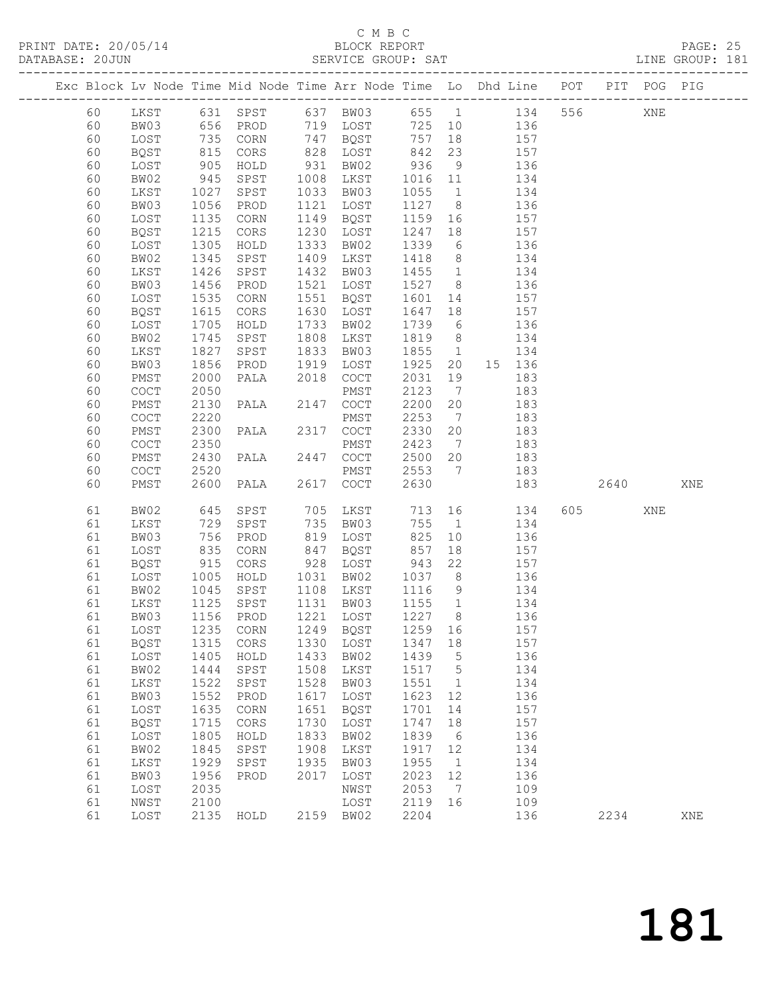PRINT DATE: 20/05/14 BLOCK REPORT<br>DATABASE: 20JUN SERVICE GROUP: SAT

## C M B C<br>BLOCK REPORT

PAGE: 25<br>LINE GROUP: 181

|    |                                            |            |           |      |             |            |                 | ----------------------                                                         |     |        |     |     |
|----|--------------------------------------------|------------|-----------|------|-------------|------------|-----------------|--------------------------------------------------------------------------------|-----|--------|-----|-----|
|    |                                            |            |           |      |             |            |                 | Exc Block Lv Node Time Mid Node Time Arr Node Time Lo Dhd Line POT PIT POG PIG |     |        |     |     |
| 60 | LKST                                       |            | 631 SPST  |      | 637 BW03    | 655 1      |                 | 134                                                                            |     | 556 35 | XNE |     |
| 60 | BW03                                       | 656        | PROD      |      | 719 LOST    | 725 10     |                 | 136                                                                            |     |        |     |     |
| 60 | LOST                                       | 735        | CORN      |      | 747 BQST    | 757        | 18              | 157                                                                            |     |        |     |     |
| 60 | BQST                                       |            | CORS      |      | 828 LOST    |            | 23              | 157                                                                            |     |        |     |     |
| 60 | LOST                                       | 815<br>905 | HOLD      |      | 931 BW02    | 842<br>936 | 9               | 136                                                                            |     |        |     |     |
| 60 | BW02                                       | 945        | SPST      | 1008 | LKST        | 1016 11    |                 | 134                                                                            |     |        |     |     |
| 60 | LKST                                       | 1027       | SPST      |      | 1033 BW03   | 1055       | $\overline{1}$  | 134                                                                            |     |        |     |     |
| 60 | BW03                                       | 1056       | PROD      | 1121 | LOST        | 1127       | 8 <sup>8</sup>  | 136                                                                            |     |        |     |     |
| 60 | LOST                                       | 1135       | CORN      |      | 1149 BQST   | 1159       | 16              | 157                                                                            |     |        |     |     |
| 60 | BQST                                       | 1215       | CORS      | 1230 | LOST        | 1247       | 18              | 157                                                                            |     |        |     |     |
| 60 | LOST                                       | 1305       | HOLD      | 1333 | BW02        | 1339       | 6               | 136                                                                            |     |        |     |     |
| 60 | BW02                                       | 1345       | SPST      | 1409 | LKST        | 1418       | 8 <sup>8</sup>  | 134                                                                            |     |        |     |     |
| 60 | LKST                                       | 1426       | SPST      |      | 1432 BW03   | 1455       | 1               | 134                                                                            |     |        |     |     |
| 60 | BW03                                       | 1456       | PROD      | 1521 | LOST        | 1527       | 8 <sup>8</sup>  | 136                                                                            |     |        |     |     |
| 60 | LOST                                       | 1535       | CORN      | 1551 | BQST        | 1601 14    |                 | 157                                                                            |     |        |     |     |
| 60 | BQST                                       | 1615       | CORS      | 1630 | LOST        | 1647       | 18              | 157                                                                            |     |        |     |     |
| 60 | LOST                                       | 1705       | HOLD      | 1733 | BW02        | 1739       | 6               | 136                                                                            |     |        |     |     |
| 60 | BW02                                       | 1745       | SPST      | 1808 | LKST        | 1819       | 8 <sup>8</sup>  | 134                                                                            |     |        |     |     |
| 60 | LKST                                       | 1827       | SPST      | 1833 | BW03        | 1855       | $\overline{1}$  | 134                                                                            |     |        |     |     |
| 60 | BW03                                       | 1856       | PROD      | 1919 | LOST        | 1925       | 20              | 15 136                                                                         |     |        |     |     |
| 60 | PMST                                       | 2000       | PALA      | 2018 | COCT        | 2031       | 19              | 183                                                                            |     |        |     |     |
| 60 | COCT                                       | 2050       |           |      | PMST        | 2123       | $\overline{7}$  | 183                                                                            |     |        |     |     |
| 60 | PMST                                       | 2130       | PALA      | 2147 | COCT        | 2200       | 20              | 183                                                                            |     |        |     |     |
| 60 | $\mathtt{C}\mathtt{O}\mathtt{C}\mathtt{T}$ | 2220       |           |      | PMST        | 2253       | $\overline{7}$  | 183                                                                            |     |        |     |     |
| 60 | PMST                                       | 2300       | PALA      | 2317 | COCT        | 2330       | 20              | 183                                                                            |     |        |     |     |
| 60 | COCT                                       | 2350       |           |      | PMST        | 2423       | $\overline{7}$  | 183                                                                            |     |        |     |     |
| 60 | PMST                                       | 2430       | PALA      | 2447 | COCT        | 2500       | 20              | 183                                                                            |     |        |     |     |
| 60 | COCT                                       | 2520       |           |      | PMST        | 2553       | 7               | 183                                                                            |     |        |     |     |
| 60 | PMST                                       | 2600       | PALA      | 2617 | COCT        | 2630       |                 | 183                                                                            |     | 2640   |     | XNE |
|    |                                            |            |           |      |             |            |                 |                                                                                |     |        |     |     |
| 61 | BW02                                       | 645        | SPST      | 705  | LKST        | 713        |                 | 16<br>134                                                                      | 605 |        | XNE |     |
| 61 | LKST                                       | 729        | SPST      | 735  | BW03        | 755        | $\overline{1}$  | 134                                                                            |     |        |     |     |
| 61 | BW03                                       | 756        | PROD      |      | 819 LOST    | 825        | 10              | 136                                                                            |     |        |     |     |
| 61 | LOST                                       | 835        | CORN      | 847  | BQST        | 857        | 18              | 157                                                                            |     |        |     |     |
| 61 | BQST                                       | 915        | CORS      |      | 928 LOST    | 943        | 22              | 157                                                                            |     |        |     |     |
| 61 | LOST                                       | 1005       | HOLD      |      | 1031 BW02   | 1037       | 8 <sup>8</sup>  | 136                                                                            |     |        |     |     |
| 61 | BW02                                       | 1045       | SPST      |      | 1108 LKST   | 1116       | 9               | 134                                                                            |     |        |     |     |
| 61 | LKST                                       | 1125       | SPST      |      | 1131 BW03   | 1155       | $\overline{1}$  | 134                                                                            |     |        |     |     |
| 61 | BW03                                       |            | 1156 PROD | 1221 | LOST        | 1227       | 8               | 136                                                                            |     |        |     |     |
| 61 | LOST                                       | 1235       | CORN      | 1249 | <b>BQST</b> | 1259       | 16              | 157                                                                            |     |        |     |     |
| 61 | <b>BQST</b>                                | 1315       | CORS      | 1330 | LOST        | 1347       | 18              | 157                                                                            |     |        |     |     |
| 61 | LOST                                       | 1405       | HOLD      | 1433 | BW02        | 1439       | 5               | 136                                                                            |     |        |     |     |
| 61 | BW02                                       | 1444       | SPST      | 1508 | LKST        | 1517       | 5               | 134                                                                            |     |        |     |     |
| 61 | LKST                                       | 1522       | SPST      | 1528 | BW03        | 1551       | $\mathbf 1$     | 134                                                                            |     |        |     |     |
| 61 | BW03                                       | 1552       | PROD      | 1617 | LOST        | 1623       | 12              | 136                                                                            |     |        |     |     |
| 61 | LOST                                       | 1635       | CORN      | 1651 | <b>BQST</b> | 1701       | 14              | 157                                                                            |     |        |     |     |
| 61 | <b>BQST</b>                                | 1715       | CORS      | 1730 | LOST        | 1747       | 18              | 157                                                                            |     |        |     |     |
| 61 | LOST                                       | 1805       | HOLD      | 1833 | BW02        | 1839       | 6               | 136                                                                            |     |        |     |     |
| 61 | BW02                                       | 1845       | SPST      | 1908 | LKST        | 1917       | 12              | 134                                                                            |     |        |     |     |
| 61 | LKST                                       | 1929       | SPST      | 1935 | BW03        | 1955       | $\mathbf{1}$    | 134                                                                            |     |        |     |     |
| 61 | BW03                                       | 1956       | PROD      | 2017 | LOST        | 2023       | 12              | 136                                                                            |     |        |     |     |
| 61 | LOST                                       | 2035       |           |      | NWST        | 2053       | $7\phantom{.0}$ | 109                                                                            |     |        |     |     |
| 61 | NWST                                       | 2100       |           |      | LOST        | 2119       | 16              | 109                                                                            |     |        |     |     |
| 61 | LOST                                       | 2135       | HOLD      | 2159 | BW02        | 2204       |                 | 136                                                                            |     | 2234   |     | XNE |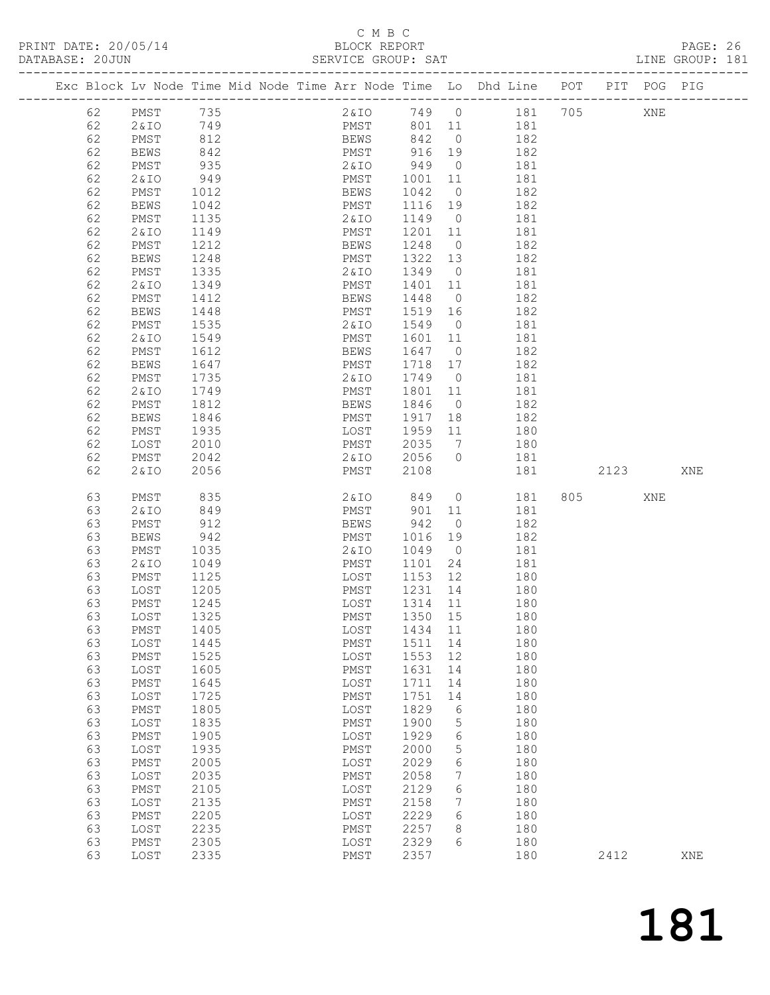### C M B C<br>BLOCK REPORT

|          |              |                                                        |              |                   |                | PRINT DATE: 20/05/14 BLOCK REPORT<br>DATABASE: 20JUN SERVICE GROUP: SAT        |       |         |     | PAGE: 26<br>LINE GROUP: 181 |  |
|----------|--------------|--------------------------------------------------------|--------------|-------------------|----------------|--------------------------------------------------------------------------------|-------|---------|-----|-----------------------------|--|
|          |              |                                                        |              |                   |                | Exc Block Lv Node Time Mid Node Time Arr Node Time Lo Dhd Line POT PIT POG PIG |       |         |     |                             |  |
|          |              | 62 PMST 735<br>$71$<br>$749$<br>$812$<br>$842$<br>$35$ |              |                   |                | 2&IO 749 0 181 705 XNE                                                         |       |         |     |                             |  |
| 62       |              | 2&IO 749                                               |              |                   |                | PMST 801 11 181                                                                |       |         |     |                             |  |
| 62       | PMST         |                                                        | BEWS 842 0   |                   |                | 182                                                                            |       |         |     |                             |  |
| 62       | BEWS         |                                                        | PMST         |                   |                |                                                                                |       |         |     |                             |  |
| 62       | PMST         |                                                        | 2 & I O      | 916 19<br>949 0   |                | 182<br>181                                                                     |       |         |     |                             |  |
| 62       | 2&IO         | 949                                                    | PMST         | 1001              | 11             | 181                                                                            |       |         |     |                             |  |
| 62       | PMST         | 1012                                                   | BEWS         | 1042              | $\overline{0}$ | 182                                                                            |       |         |     |                             |  |
| 62       | BEWS         | 1042                                                   | PMST         |                   |                | 182                                                                            |       |         |     |                             |  |
| 62       | PMST         | 1135                                                   | 2 & I O      | 1116 19<br>1149 0 |                | 181                                                                            |       |         |     |                             |  |
| 62       | 2 & I O      | 1149                                                   | PMST         | 1201              | 11             | 181                                                                            |       |         |     |                             |  |
|          | PMST         |                                                        |              |                   | $\overline{0}$ | 182                                                                            |       |         |     |                             |  |
| 62       | <b>BEWS</b>  | 1212<br>1248                                           | BEWS         | 1248              |                |                                                                                |       |         |     |                             |  |
| 62       |              |                                                        | PMST         | 1322<br>1349      | 13             | 182                                                                            |       |         |     |                             |  |
| 62       | PMST         | 1335                                                   | 2 & I O      |                   | $\overline{0}$ | 181<br>181                                                                     |       |         |     |                             |  |
| 62       | 2 & IO       | 1349                                                   | PMST         | 1401              | 11             |                                                                                |       |         |     |                             |  |
| 62       | PMST         | 1412                                                   | BEWS         | 1448              | $\overline{0}$ | 182                                                                            |       |         |     |                             |  |
| 62       | BEWS         | 1448                                                   | PMST         | 1519 16           |                | 182                                                                            |       |         |     |                             |  |
| 62       | PMST         | $1549$<br>$161^{\circ}$                                | 2 & I O      | 1549              | $\overline{0}$ | 181                                                                            |       |         |     |                             |  |
| 62       | 2 & IO       |                                                        | PMST         | 1601              | 11             | 181                                                                            |       |         |     |                             |  |
| 62       | PMST         | 1612                                                   | BEWS         | 1647              | $\overline{0}$ | 182                                                                            |       |         |     |                             |  |
| 62       | BEWS         | 1647                                                   | PMST         | 1718 17<br>1749 0 |                | 182                                                                            |       |         |     |                             |  |
| 62       | PMST         | 1735                                                   | 2 & IO       |                   |                | 181                                                                            |       |         |     |                             |  |
| 62       | 2 & IO       | 1749                                                   | PMST         | 1801              | 11             | 181                                                                            |       |         |     |                             |  |
| 62       | PMST         | 1812                                                   | BEWS         | 1846              | $\overline{0}$ | 182                                                                            |       |         |     |                             |  |
| 62       | <b>BEWS</b>  | 1846                                                   | PMST         | 1917              | 18             | 182                                                                            |       |         |     |                             |  |
| 62       | PMST         | 1935                                                   | LOST         |                   | 11             | 180                                                                            |       |         |     |                             |  |
| 62       | LOST         | 2010                                                   | PMST         | 1959<br>2035      |                | $\frac{1}{7}$ 180                                                              |       |         |     |                             |  |
| 62       | PMST         | 2042                                                   | 2&IO 2056    |                   | $\overline{0}$ | 181                                                                            |       |         |     |                             |  |
| 62       | 2&10         | 2056                                                   | PMST         | 2108              |                |                                                                                | 181 7 | 2123    |     | XNE                         |  |
| 63       | PMST         | 835                                                    | 2&IO 849     |                   |                | $\overline{O}$<br>181                                                          |       | 805 700 | XNE |                             |  |
| 63       | 2&10         | 849                                                    | PMST         | 901               | 11             | 181                                                                            |       |         |     |                             |  |
| 63       | PMST         | 912                                                    | BEWS         | 942               | $\overline{0}$ | 182                                                                            |       |         |     |                             |  |
| 63       | BEWS         | 942                                                    | PMST         |                   | 19             | 182                                                                            |       |         |     |                             |  |
| 63       | PMST         | 1035                                                   | 2 & I O      | 1016<br>1049      | $\overline{0}$ | 181                                                                            |       |         |     |                             |  |
| 63       | 2 & I O      | 1049                                                   | PMST         | 1101 24           |                | 181                                                                            |       |         |     |                             |  |
| 63       | PMST         | 1125                                                   | LOST         | 1153 12           |                | 180                                                                            |       |         |     |                             |  |
| 63       | LOST         | 1205                                                   | PMST         | 1231 14           |                | 180                                                                            |       |         |     |                             |  |
| 63 PMST  |              | 1245                                                   | LOST 1314 11 |                   |                | 180                                                                            |       |         |     |                             |  |
| 63       | LOST         | 1325                                                   | PMST         | 1350              | 15             | 180                                                                            |       |         |     |                             |  |
| 63       | PMST         | 1405                                                   | LOST         | 1434              | 11             | 180                                                                            |       |         |     |                             |  |
| 63       | LOST         | 1445                                                   | PMST         | 1511              | 14             | 180                                                                            |       |         |     |                             |  |
| 63       | PMST         | 1525                                                   | LOST         | 1553              | 12             | 180                                                                            |       |         |     |                             |  |
| 63       | LOST         | 1605                                                   | PMST         | 1631              | 14             | 180                                                                            |       |         |     |                             |  |
| 63       | PMST         | 1645                                                   | LOST         | 1711              | 14             | 180                                                                            |       |         |     |                             |  |
| 63       | LOST         | 1725                                                   | PMST         | 1751              | 14             | 180                                                                            |       |         |     |                             |  |
| 63       | PMST         | 1805                                                   | LOST         | 1829              | 6              | 180                                                                            |       |         |     |                             |  |
|          |              |                                                        |              |                   |                |                                                                                |       |         |     |                             |  |
| 63<br>63 | LOST<br>PMST | 1835<br>1905                                           | PMST<br>LOST | 1900<br>1929      | 5              | 180<br>180                                                                     |       |         |     |                             |  |
|          | LOST         |                                                        |              |                   | 6              |                                                                                |       |         |     |                             |  |
| 63       |              | 1935                                                   | PMST         | 2000              | 5              | 180                                                                            |       |         |     |                             |  |
| 63       | PMST         | 2005                                                   | LOST         | 2029              | 6              | 180                                                                            |       |         |     |                             |  |
| 63       | LOST         | 2035                                                   | PMST         | 2058              | 7              | 180                                                                            |       |         |     |                             |  |
| 63       | PMST         | 2105                                                   | LOST         | 2129              | 6              | 180                                                                            |       |         |     |                             |  |
| 63       | LOST         | 2135                                                   | PMST         | 2158              | 7              | 180                                                                            |       |         |     |                             |  |
| 63       | PMST         | 2205                                                   | LOST         | 2229              | 6              | 180                                                                            |       |         |     |                             |  |
| 63       | LOST         | 2235                                                   | PMST         | 2257              | 8              | 180                                                                            |       |         |     |                             |  |

63 PMST 2305 LOST 2329 6 180

63 LOST 2335 PMST 2357 180 2412 XNE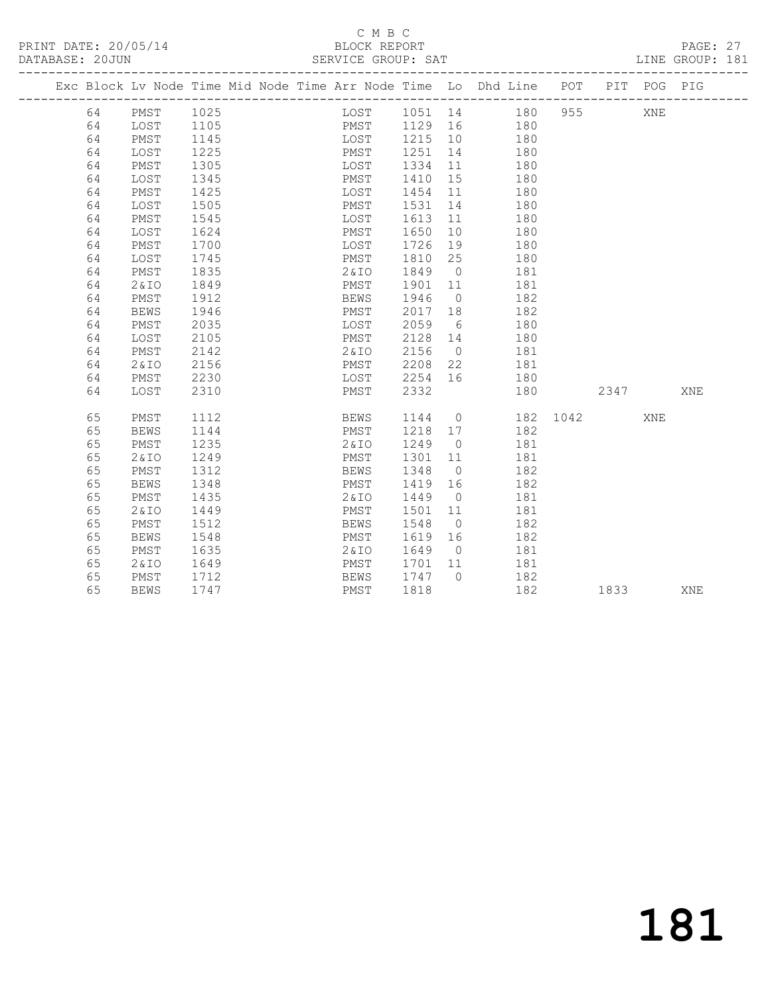### C M B C<br>BLOCK REPORT

PAGE: 27<br>LINE GROUP: 181

|  |    |             |      |  |             |         |                | Exc Block Lv Node Time Mid Node Time Arr Node Time Lo Dhd Line POT |          |                                                                                                                                                                                                                               | PIT POG PIG |     |
|--|----|-------------|------|--|-------------|---------|----------------|--------------------------------------------------------------------|----------|-------------------------------------------------------------------------------------------------------------------------------------------------------------------------------------------------------------------------------|-------------|-----|
|  | 64 | PMST        | 1025 |  |             |         |                | LOST 1051 14 180                                                   | 955      |                                                                                                                                                                                                                               | XNE         |     |
|  | 64 | LOST        | 1105 |  |             |         |                | PMST 1129 16 180                                                   |          |                                                                                                                                                                                                                               |             |     |
|  | 64 | PMST        | 1145 |  | LOST        | 1215    | 10             | 180                                                                |          |                                                                                                                                                                                                                               |             |     |
|  | 64 | LOST        | 1225 |  | PMST        | 1251    | 14             | 180                                                                |          |                                                                                                                                                                                                                               |             |     |
|  | 64 | PMST        | 1305 |  | LOST        | 1334    | 11             | 180                                                                |          |                                                                                                                                                                                                                               |             |     |
|  | 64 | LOST        | 1345 |  | PMST        | 1410    | 15             | 180                                                                |          |                                                                                                                                                                                                                               |             |     |
|  | 64 | PMST        | 1425 |  | LOST        | 1454    | 11             | 180                                                                |          |                                                                                                                                                                                                                               |             |     |
|  | 64 | LOST        | 1505 |  | PMST        | 1531    | 14             | 180                                                                |          |                                                                                                                                                                                                                               |             |     |
|  | 64 | PMST        | 1545 |  | LOST        | 1613    | 11             | 180                                                                |          |                                                                                                                                                                                                                               |             |     |
|  | 64 | LOST        | 1624 |  | PMST        | 1650    | 10             | 180                                                                |          |                                                                                                                                                                                                                               |             |     |
|  | 64 | PMST        | 1700 |  | LOST        | 1726    | 19             | 180                                                                |          |                                                                                                                                                                                                                               |             |     |
|  | 64 | LOST        | 1745 |  | PMST        | 1810    | 25             | 180                                                                |          |                                                                                                                                                                                                                               |             |     |
|  | 64 | PMST        | 1835 |  | 2&IO        | 1849    | $\overline{0}$ | 181                                                                |          |                                                                                                                                                                                                                               |             |     |
|  | 64 | 2& IO       | 1849 |  | PMST        | 1901    | 11             | 181                                                                |          |                                                                                                                                                                                                                               |             |     |
|  | 64 | PMST        | 1912 |  | <b>BEWS</b> | 1946    | $\overline{0}$ | 182                                                                |          |                                                                                                                                                                                                                               |             |     |
|  | 64 | <b>BEWS</b> | 1946 |  | PMST        | 2017    | 18             | 182                                                                |          |                                                                                                                                                                                                                               |             |     |
|  | 64 | PMST        | 2035 |  | LOST        | 2059    | 6              | 180                                                                |          |                                                                                                                                                                                                                               |             |     |
|  | 64 | LOST        | 2105 |  | PMST        | 2128    | 14             | 180                                                                |          |                                                                                                                                                                                                                               |             |     |
|  | 64 | PMST        | 2142 |  | 2 & I O     | 2156    | $\overline{0}$ | 181                                                                |          |                                                                                                                                                                                                                               |             |     |
|  | 64 | 2&10        | 2156 |  | PMST        | 2208    | 22             | 181                                                                |          |                                                                                                                                                                                                                               |             |     |
|  | 64 | PMST        | 2230 |  | LOST        | 2254 16 |                | 180                                                                |          |                                                                                                                                                                                                                               |             |     |
|  | 64 | LOST        | 2310 |  | PMST        | 2332    |                | 180                                                                |          | 2347                                                                                                                                                                                                                          |             | XNE |
|  | 65 | PMST        | 1112 |  | BEWS        | 1144    |                | $\overline{0}$                                                     | 182 1042 |                                                                                                                                                                                                                               | XNE         |     |
|  | 65 | <b>BEWS</b> | 1144 |  | PMST        | 1218    | 17             | 182                                                                |          |                                                                                                                                                                                                                               |             |     |
|  | 65 | PMST        | 1235 |  | 2 & I O     | 1249    | $\overline{0}$ | 181                                                                |          |                                                                                                                                                                                                                               |             |     |
|  | 65 | 2&10        | 1249 |  | PMST        | 1301    | 11             | 181                                                                |          |                                                                                                                                                                                                                               |             |     |
|  | 65 | PMST        | 1312 |  | BEWS        | 1348    | $\overline{0}$ | 182                                                                |          |                                                                                                                                                                                                                               |             |     |
|  | 65 | <b>BEWS</b> | 1348 |  | PMST        | 1419    | 16             | 182                                                                |          |                                                                                                                                                                                                                               |             |     |
|  | 65 | PMST        | 1435 |  | 2&IO        | 1449    | $\overline{0}$ | 181                                                                |          |                                                                                                                                                                                                                               |             |     |
|  | 65 | 2& IO       | 1449 |  | PMST        | 1501    | 11             | 181                                                                |          |                                                                                                                                                                                                                               |             |     |
|  | 65 | PMST        | 1512 |  | <b>BEWS</b> | 1548    | $\overline{0}$ | 182                                                                |          |                                                                                                                                                                                                                               |             |     |
|  | 65 | <b>BEWS</b> | 1548 |  | PMST        | 1619    | 16             | 182                                                                |          |                                                                                                                                                                                                                               |             |     |
|  | 65 | PMST        | 1635 |  | 2&IO        | 1649    | $\overline{0}$ | 181                                                                |          |                                                                                                                                                                                                                               |             |     |
|  | 65 | 2&10        | 1649 |  | PMST        | 1701 11 |                | 181                                                                |          |                                                                                                                                                                                                                               |             |     |
|  | 65 | PMST        | 1712 |  | BEWS        | 1747    | $\bigcirc$     | 182                                                                |          |                                                                                                                                                                                                                               |             |     |
|  | 65 | <b>BEWS</b> | 1747 |  | PMST        | 1818    |                | 182                                                                |          | 1833   1834   1845   1846   1847   1848   1858   1858   1858   1858   1858   1858   1858   1858   1858   1858   1858   1858   1858   1858   1858   1858   1858   1858   1858   1858   1858   1858   1858   1858   1858   1858 |             | XNE |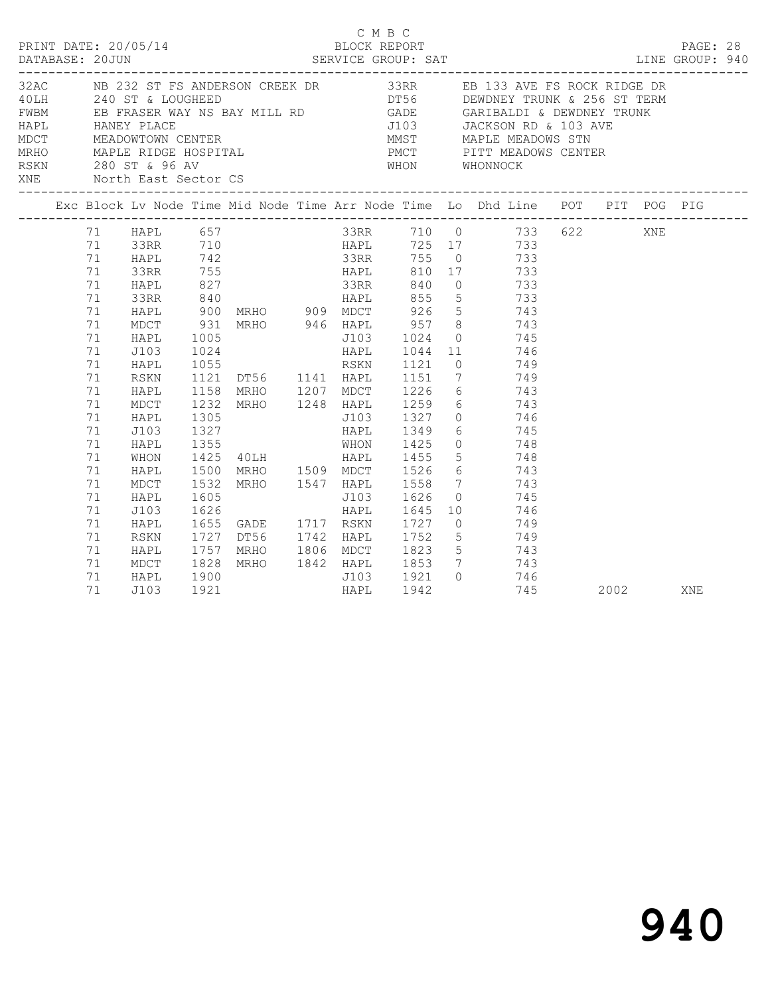|                                                    |                                                                             |                      |          | C M B C |      |                                                                                                                                                                                                                                                                                                                                                                                                                                 |      |            |  |
|----------------------------------------------------|-----------------------------------------------------------------------------|----------------------|----------|---------|------|---------------------------------------------------------------------------------------------------------------------------------------------------------------------------------------------------------------------------------------------------------------------------------------------------------------------------------------------------------------------------------------------------------------------------------|------|------------|--|
|                                                    |                                                                             |                      |          |         |      | 32AC NB 232 ST FS ANDERSON CREEK DR 33RR EB 133 AVE FS ROCK RIDGE DR<br>A COLLECTER TRUNK OF THE MESSAGE CONTROLLER TRUNK A SUBSERVED BE SOURCE OF THE MARKET OF THE MARKET CONTROLLER<br>TRIME TRANSPORT ON THE MARKET CONTROLLER TRUNK A SUBSERVED OF THE MARKET CONTROLLER TRUNK A SUBSERVED OF THE M<br>MRHO MAPLE RIDGE HOSPITAL PMCT PITT MEADOWS CENTER<br>RSKN 280 ST & 96 AV WHON WHONNOCK<br>XNE North East Sector CS |      |            |  |
|                                                    |                                                                             |                      |          |         |      | Exc Block Lv Node Time Mid Node Time Arr Node Time Lo Dhd Line POT PIT POG PIG                                                                                                                                                                                                                                                                                                                                                  |      |            |  |
| 71<br>71<br>71<br>71<br>71<br>71<br>71<br>71<br>71 | 71 HAPL 657<br>HAPL<br>33RR<br>HAPL<br>33RR<br>HAPL<br>MDCT<br>HAPL<br>J103 | 1024                 | 33RR 710 |         |      | 33RR 710 0 733 622 XNE<br>HAPL 725 17 733<br>900 MRHO 909 MDCT 926 5 743<br>931 MRHO 946 HAPL 957 8 743<br>1005 1003 1024 0 745<br>HAPL 1044 11 746                                                                                                                                                                                                                                                                             |      |            |  |
| 71<br>71<br>71<br>71<br>71<br>71<br>71<br>71       | HAPL<br>RSKN<br>HAPL<br>MDCT<br>HAPL<br>J103<br>HAPL<br>WHON                | 1305<br>1327<br>1355 |          |         |      | 1232 MRHO 1248 HAPL 1259 6 743<br>J103 1327 0 746<br>HAPL 1349 6 745<br>WHON 1425 0 748<br>1425 40LH HAPL 1455 5 748                                                                                                                                                                                                                                                                                                            |      |            |  |
| 71<br>71<br>71<br>71<br>71                         | HAPL<br>MDCT<br>HAPL<br>J103<br>HAPL                                        | 1500                 |          |         |      | MRHO 1509 MDCT 1526 6 743<br>1532 MRHO 1547 HAPL 1558 7 743<br>1605 1626 0 745<br>1626 HAPL 1645 10 746<br>1655 GADE 1717 RSKN 1727 0 749                                                                                                                                                                                                                                                                                       |      |            |  |
| 71<br>71<br>71<br>71<br>71                         | RSKN<br>HAPL<br>MDCT<br>HAPL<br>J103                                        | 1900<br>1921         |          | HAPL    | 1942 | 1828 MRHO 1842 HAPL 1853 7 743<br>J103 1921 0 746<br>745                                                                                                                                                                                                                                                                                                                                                                        | 2002 | <b>XNE</b> |  |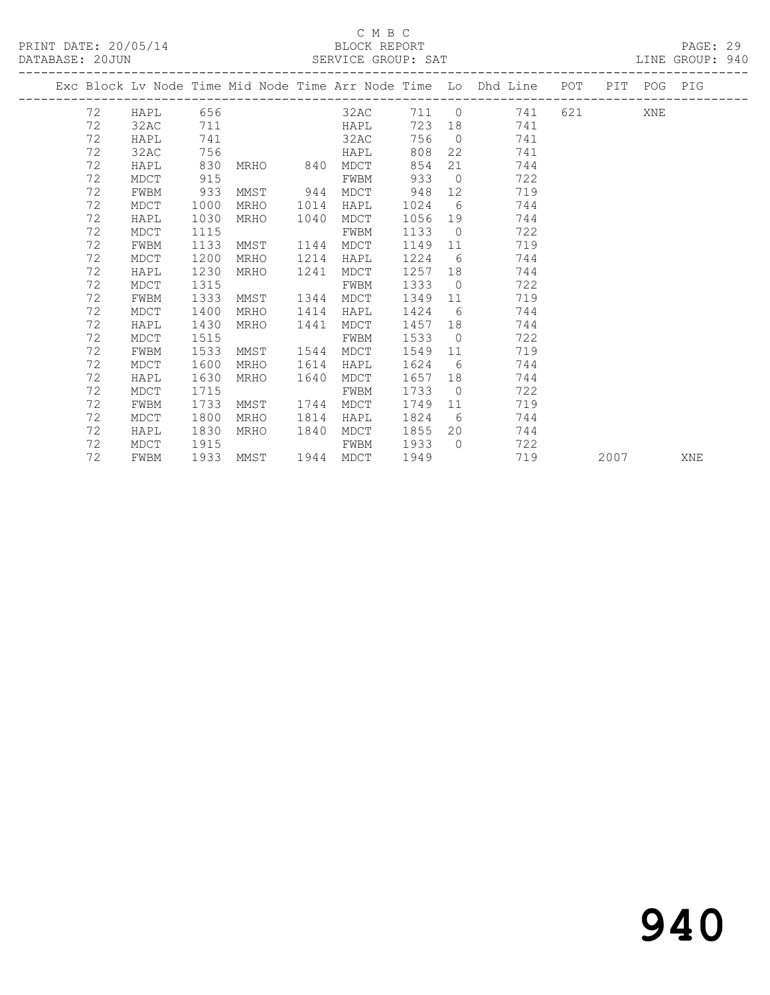#### C M B C<br>BLOCK REPORT SERVICE GROUP: SAT

|  |    |      |      |          |      |           |      |                | Exc Block Lv Node Time Mid Node Time Arr Node Time Lo Dhd Line POT |           |      | PIT POG PIG |     |
|--|----|------|------|----------|------|-----------|------|----------------|--------------------------------------------------------------------|-----------|------|-------------|-----|
|  | 72 | HAPL | 656  |          |      | 32AC      | 711  |                | $\overline{0}$<br>741                                              | 621 — 100 |      | XNE         |     |
|  | 72 | 32AC | 711  |          |      | HAPL      | 723  |                | 741                                                                |           |      |             |     |
|  | 72 | HAPL | 741  |          |      | 32AC      | 756  | $\overline{0}$ | 741                                                                |           |      |             |     |
|  | 72 | 32AC | 756  |          |      | HAPL      | 808  |                | 22<br>741                                                          |           |      |             |     |
|  | 72 | HAPL | 830  | MRHO 840 |      | MDCT      | 854  | 21             | 744                                                                |           |      |             |     |
|  | 72 | MDCT | 915  |          |      | FWBM      | 933  | $\overline{0}$ | 722                                                                |           |      |             |     |
|  | 72 | FWBM | 933  | MMST     | 944  | MDCT      | 948  | 12             | 719                                                                |           |      |             |     |
|  | 72 | MDCT | 1000 | MRHO     | 1014 | HAPL      | 1024 | 6              | 744                                                                |           |      |             |     |
|  | 72 | HAPL | 1030 | MRHO     | 1040 | MDCT      | 1056 | 19             | 744                                                                |           |      |             |     |
|  | 72 | MDCT | 1115 |          |      | FWBM      | 1133 | $\overline{0}$ | 722                                                                |           |      |             |     |
|  | 72 | FWBM | 1133 | MMST     | 1144 | MDCT      | 1149 | 11             | 719                                                                |           |      |             |     |
|  | 72 | MDCT | 1200 | MRHO     | 1214 | HAPL      | 1224 | 6              | 744                                                                |           |      |             |     |
|  | 72 | HAPL | 1230 | MRHO     | 1241 | MDCT      | 1257 | 18             | 744                                                                |           |      |             |     |
|  | 72 | MDCT | 1315 |          |      | FWBM      | 1333 | $\overline{0}$ | 722                                                                |           |      |             |     |
|  | 72 | FWBM | 1333 | MMST     | 1344 | MDCT      | 1349 | 11             | 719                                                                |           |      |             |     |
|  | 72 | MDCT | 1400 | MRHO     | 1414 | HAPL      | 1424 | 6              | 744                                                                |           |      |             |     |
|  | 72 | HAPL | 1430 | MRHO     | 1441 | MDCT      | 1457 | 18             | 744                                                                |           |      |             |     |
|  | 72 | MDCT | 1515 |          |      | FWBM      | 1533 | $\overline{0}$ | 722                                                                |           |      |             |     |
|  | 72 | FWBM | 1533 | MMST     | 1544 | MDCT      | 1549 | 11             | 719                                                                |           |      |             |     |
|  | 72 | MDCT | 1600 | MRHO     | 1614 | HAPL      | 1624 | 6              | 744                                                                |           |      |             |     |
|  | 72 | HAPL | 1630 | MRHO     | 1640 | MDCT      | 1657 | 18             | 744                                                                |           |      |             |     |
|  | 72 | MDCT | 1715 |          |      | FWBM      | 1733 | $\overline{0}$ | 722                                                                |           |      |             |     |
|  | 72 | FWBM | 1733 | MMST     | 1744 | MDCT      | 1749 | 11             | 719                                                                |           |      |             |     |
|  | 72 | MDCT | 1800 | MRHO     | 1814 | HAPL      | 1824 | 6              | 744                                                                |           |      |             |     |
|  | 72 | HAPL | 1830 | MRHO     | 1840 | MDCT      | 1855 | 20             | 744                                                                |           |      |             |     |
|  | 72 | MDCT | 1915 |          |      | FWBM      | 1933 | $\bigcirc$     | 722                                                                |           |      |             |     |
|  | 72 | FWBM | 1933 | MMST     |      | 1944 MDCT | 1949 |                | 719                                                                |           | 2007 |             | XNE |

# 940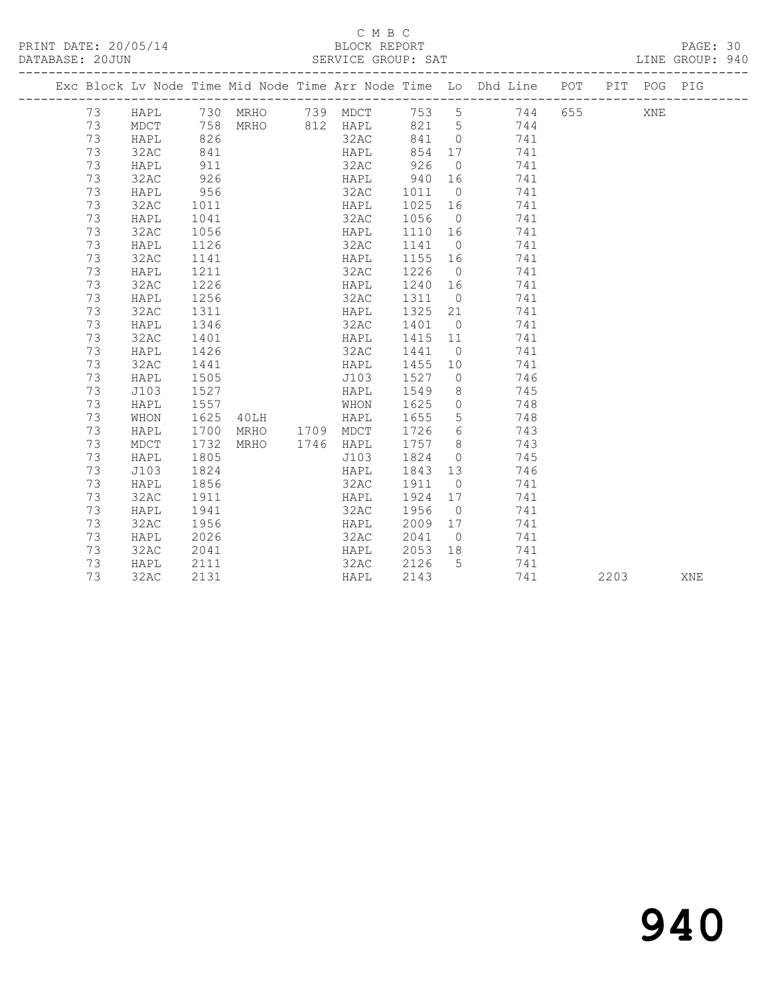## C M B C<br>BLOCK REPORT

PAGE: 30<br>LINE GROUP: 940

|  |    |      |      |          |           |      |                 | Exc Block Lv Node Time Mid Node Time Arr Node Time Lo Dhd Line POT |     |      | PIT POG PIG |     |
|--|----|------|------|----------|-----------|------|-----------------|--------------------------------------------------------------------|-----|------|-------------|-----|
|  | 73 | HAPL |      | 730 MRHO | 739 MDCT  | 753  | 5               | 744                                                                | 655 |      | XNE         |     |
|  | 73 | MDCT | 758  | MRHO     | 812 HAPL  | 821  | $5\overline{)}$ | 744                                                                |     |      |             |     |
|  | 73 | HAPL | 826  |          | 32AC      | 841  | $\overline{0}$  | 741                                                                |     |      |             |     |
|  | 73 | 32AC | 841  |          | HAPL      | 854  | 17              | 741                                                                |     |      |             |     |
|  | 73 | HAPL | 911  |          | 32AC      | 926  | $\overline{0}$  | 741                                                                |     |      |             |     |
|  | 73 | 32AC | 926  |          | HAPL      | 940  | 16              | 741                                                                |     |      |             |     |
|  | 73 | HAPL | 956  |          | 32AC      | 1011 | $\overline{0}$  | 741                                                                |     |      |             |     |
|  | 73 | 32AC | 1011 |          | HAPL      | 1025 | 16              | 741                                                                |     |      |             |     |
|  | 73 | HAPL | 1041 |          | 32AC      | 1056 | $\overline{0}$  | 741                                                                |     |      |             |     |
|  | 73 | 32AC | 1056 |          | HAPL      | 1110 | 16              | 741                                                                |     |      |             |     |
|  | 73 | HAPL | 1126 |          | 32AC      | 1141 | $\overline{0}$  | 741                                                                |     |      |             |     |
|  | 73 | 32AC | 1141 |          | HAPL      | 1155 | 16              | 741                                                                |     |      |             |     |
|  | 73 | HAPL | 1211 |          | 32AC      | 1226 | $\overline{0}$  | 741                                                                |     |      |             |     |
|  | 73 | 32AC | 1226 |          | HAPL      | 1240 | 16              | 741                                                                |     |      |             |     |
|  | 73 | HAPL | 1256 |          | 32AC      | 1311 | $\overline{0}$  | 741                                                                |     |      |             |     |
|  | 73 | 32AC | 1311 |          | HAPL      | 1325 | 21              | 741                                                                |     |      |             |     |
|  | 73 | HAPL | 1346 |          | 32AC      | 1401 | $\overline{0}$  | 741                                                                |     |      |             |     |
|  | 73 | 32AC | 1401 |          | HAPL      | 1415 | 11              | 741                                                                |     |      |             |     |
|  | 73 | HAPL | 1426 |          | 32AC      | 1441 | $\overline{0}$  | 741                                                                |     |      |             |     |
|  | 73 | 32AC | 1441 |          | HAPL      | 1455 | 10              | 741                                                                |     |      |             |     |
|  | 73 | HAPL | 1505 |          | J103      | 1527 | $\overline{0}$  | 746                                                                |     |      |             |     |
|  | 73 | J103 | 1527 |          | HAPL      | 1549 | 8               | 745                                                                |     |      |             |     |
|  | 73 | HAPL | 1557 |          | WHON      | 1625 | $\circ$         | 748                                                                |     |      |             |     |
|  | 73 | WHON | 1625 | 40LH     | HAPL      | 1655 | $5\phantom{.0}$ | 748                                                                |     |      |             |     |
|  | 73 | HAPL | 1700 | MRHO     | 1709 MDCT | 1726 | 6               | 743                                                                |     |      |             |     |
|  | 73 | MDCT | 1732 | MRHO     | 1746 HAPL | 1757 | 8               | 743                                                                |     |      |             |     |
|  | 73 | HAPL | 1805 |          | J103      | 1824 | $\overline{0}$  | 745                                                                |     |      |             |     |
|  | 73 | J103 | 1824 |          | HAPL      | 1843 | 13              | 746                                                                |     |      |             |     |
|  | 73 | HAPL | 1856 |          | 32AC      | 1911 | $\bigcirc$      | 741                                                                |     |      |             |     |
|  | 73 | 32AC | 1911 |          | HAPL      | 1924 | 17              | 741                                                                |     |      |             |     |
|  | 73 | HAPL | 1941 |          | 32AC      | 1956 | $\overline{0}$  | 741                                                                |     |      |             |     |
|  | 73 | 32AC | 1956 |          | HAPL      | 2009 | 17              | 741                                                                |     |      |             |     |
|  | 73 | HAPL | 2026 |          | 32AC      | 2041 | $\overline{0}$  | 741                                                                |     |      |             |     |
|  | 73 | 32AC | 2041 |          | HAPL      | 2053 | 18              | 741                                                                |     |      |             |     |
|  | 73 | HAPL | 2111 |          | 32AC      | 2126 | 5               | 741                                                                |     |      |             |     |
|  | 73 | 32AC | 2131 |          | HAPL      | 2143 |                 | 741                                                                |     | 2203 |             | XNE |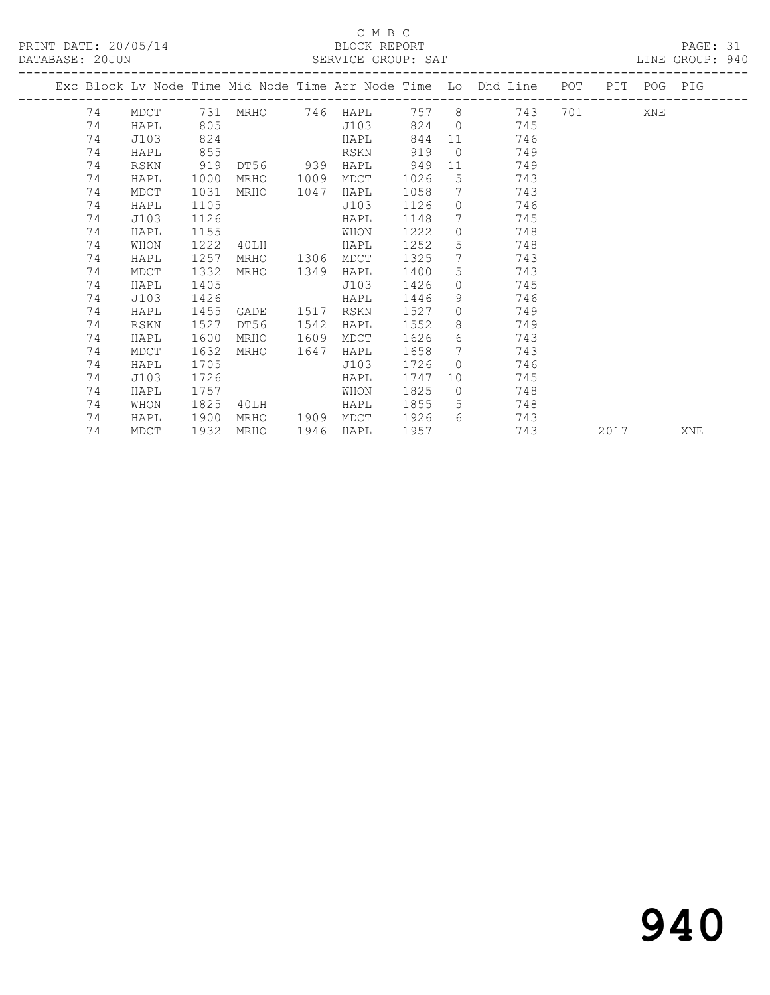#### $\begin{tabular}{lllll} \multicolumn{2}{c}{\multicolumn{2}{c}{\textbf{C} M B C}}\\ \multicolumn{2}{c}{\multicolumn{2}{c}{\textbf{P}\textbf{R} \textbf{I} N} \textbf{T} \textbf{D} \textbf{A} \textbf{T} \textbf{E}: & $20/05/14$ & & & & & & & & \multicolumn{2}{c}{\textbf{C} M} \end{tabular}$

| DATABASE: 20JUN |    |      |      | _______________________ |      |                   |      |                 | SERVICE GROUP: SAT                                                                                                                                                                                                                    |      | LINE GROUP: 940 |
|-----------------|----|------|------|-------------------------|------|-------------------|------|-----------------|---------------------------------------------------------------------------------------------------------------------------------------------------------------------------------------------------------------------------------------|------|-----------------|
|                 |    |      |      |                         |      |                   |      |                 | Exc Block Lv Node Time Mid Node Time Arr Node Time Lo Dhd Line POT PIT POG PIG                                                                                                                                                        |      |                 |
|                 | 74 |      |      |                         |      |                   |      |                 | MDCT 731 MRHO 746 HAPL 757 8 743 701 XNE                                                                                                                                                                                              |      |                 |
|                 | 74 | HAPL | 805  |                         |      | J103              |      |                 | 824 0<br>745                                                                                                                                                                                                                          |      |                 |
|                 | 74 | J103 | 824  |                         |      | HAPL              | 844  |                 | 746<br>11 7                                                                                                                                                                                                                           |      |                 |
|                 | 74 | HAPL | 855  |                         |      | RSKN              | 919  | $\bigcirc$      | 749                                                                                                                                                                                                                                   |      |                 |
|                 | 74 | RSKN | 919  |                         |      | DT56 939 HAPL 949 |      |                 | 11 — 11 — 11 — 11 — 11 — 11 — 11 — 11 — 11 — 11 — 11 — 11 — 11 — 11 — 11 — 11 — 11 — 11 — 11 — 11 — 11 — 11 — 11 — 11 — 11 — 11 — 11 — 11 — 11 — 11 — 11 — 11 — 11 — 11 — 11 — 11 — 11 — 11 — 11 — 11 — 11 — 11 — 11 — 11 — 11<br>749 |      |                 |
|                 | 74 | HAPL | 1000 | MRHO 1009               |      | MDCT              | 1026 | 5 <sub>5</sub>  | 743                                                                                                                                                                                                                                   |      |                 |
|                 | 74 | MDCT | 1031 | MRHO 1047               |      | HAPL              | 1058 | $7\overline{ }$ | 743                                                                                                                                                                                                                                   |      |                 |
|                 | 74 | HAPL | 1105 |                         |      | J103              | 1126 |                 | $\overline{0}$<br>746                                                                                                                                                                                                                 |      |                 |
|                 | 74 | J103 | 1126 |                         |      | HAPL              | 1148 | $7\overline{ }$ | 745                                                                                                                                                                                                                                   |      |                 |
|                 | 74 | HAPL | 1155 |                         |      | WHON              | 1222 | $\overline{0}$  | 748                                                                                                                                                                                                                                   |      |                 |
|                 | 74 | WHON | 1222 | 40LH                    |      | HAPL              | 1252 | $5 -$           | 748                                                                                                                                                                                                                                   |      |                 |
|                 | 74 | HAPL | 1257 | MRHO 1306 MDCT          |      |                   | 1325 | $7\overline{ }$ | 743                                                                                                                                                                                                                                   |      |                 |
|                 | 74 | MDCT | 1332 | MRHO                    | 1349 | HAPL              | 1400 | 5               | 743                                                                                                                                                                                                                                   |      |                 |
|                 | 74 | HAPL | 1405 |                         |      | J103              | 1426 | $\overline{0}$  | 745                                                                                                                                                                                                                                   |      |                 |
|                 | 74 | J103 | 1426 |                         |      | HAPL              | 1446 | 9               | 746                                                                                                                                                                                                                                   |      |                 |
|                 | 74 | HAPL | 1455 | GADE 1517               |      | RSKN              | 1527 | $\Omega$        | 749                                                                                                                                                                                                                                   |      |                 |
|                 | 74 | RSKN | 1527 | DT56                    | 1542 | HAPL              | 1552 |                 | $8 - 8$<br>749                                                                                                                                                                                                                        |      |                 |
|                 | 74 | HAPL | 1600 | MRHO                    | 1609 | MDCT              | 1626 |                 | $6\degree$<br>743                                                                                                                                                                                                                     |      |                 |
|                 | 74 | MDCT | 1632 | MRHO                    | 1647 | HAPL              | 1658 | $7\phantom{0}$  | 743                                                                                                                                                                                                                                   |      |                 |
|                 | 74 | HAPL | 1705 |                         |      | J103              | 1726 | $\Omega$        | 746                                                                                                                                                                                                                                   |      |                 |
|                 | 74 | J103 | 1726 |                         |      | HAPL              | 1747 | 10              | 745                                                                                                                                                                                                                                   |      |                 |
|                 | 74 | HAPL | 1757 |                         |      | WHON              | 1825 |                 | $\overline{0}$<br>748                                                                                                                                                                                                                 |      |                 |
|                 | 74 | WHON | 1825 | 40LH                    |      | HAPL              | 1855 |                 | $5^{\circ}$<br>748                                                                                                                                                                                                                    |      |                 |
|                 | 74 | HAPL | 1900 | MRHO 1909 MDCT          |      |                   | 1926 |                 | 6 743                                                                                                                                                                                                                                 |      |                 |
|                 | 74 | MDCT | 1932 | MRHO                    |      | 1946 HAPL         | 1957 |                 | 743                                                                                                                                                                                                                                   | 2017 | XNE             |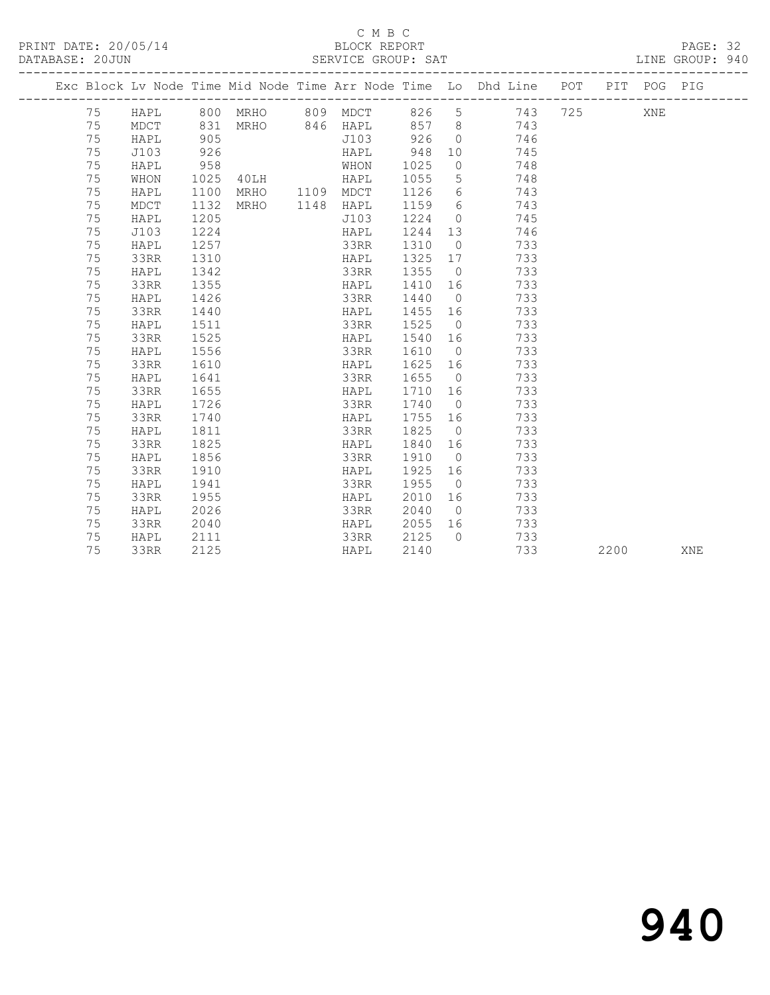#### C M B C<br>BLOCK REPORT

PAGE: 32<br>LINE GROUP: 940

|  |    |      |      |                |                              |                    |                 | Exc Block Lv Node Time Mid Node Time Arr Node Time Lo Dhd Line POT PIT POG PIG |      |     |     |
|--|----|------|------|----------------|------------------------------|--------------------|-----------------|--------------------------------------------------------------------------------|------|-----|-----|
|  | 75 |      |      |                | HAPL 800 MRHO 809 MDCT 826 5 |                    |                 | 743 725                                                                        |      | XNE |     |
|  | 75 | MDCT |      |                |                              |                    |                 |                                                                                |      |     |     |
|  | 75 | HAPL |      |                |                              |                    |                 | 831 MRHO 846 HAPL 857 8 743<br>905 5103 926 0 746<br>926 HAPL 948 10 745       |      |     |     |
|  | 75 | J103 |      |                |                              |                    |                 |                                                                                |      |     |     |
|  | 75 | HAPL | 958  |                | WHON                         | $\frac{540}{1025}$ | $\overline{0}$  | 748                                                                            |      |     |     |
|  | 75 | WHON |      | 1025 40LH      | HAPL                         |                    | $5\overline{)}$ | 748                                                                            |      |     |     |
|  | 75 | HAPL | 1100 | MRHO 1109 MDCT |                              | 1126               | $6\overline{6}$ | 743                                                                            |      |     |     |
|  | 75 | MDCT | 1132 | MRHO 1148 HAPL |                              | 1159               | 6               | 743                                                                            |      |     |     |
|  | 75 | HAPL | 1205 |                | J103                         | 1224               | $\overline{0}$  | 745                                                                            |      |     |     |
|  | 75 | J103 | 1224 |                | HAPL                         | 1244               | 13              | 746                                                                            |      |     |     |
|  | 75 | HAPL | 1257 |                | 33RR                         | 1310               | $\overline{0}$  | 733                                                                            |      |     |     |
|  | 75 | 33RR | 1310 |                | HAPL                         | 1325               | 17              | 733                                                                            |      |     |     |
|  | 75 | HAPL | 1342 |                | 33RR                         | 1355               | $\overline{0}$  | 733                                                                            |      |     |     |
|  | 75 | 33RR | 1355 |                | HAPL                         | 1410               | 16              | 733                                                                            |      |     |     |
|  | 75 | HAPL | 1426 |                | 33RR                         | 1440               | $\bigcirc$      | 733                                                                            |      |     |     |
|  | 75 | 33RR | 1440 |                | HAPL                         | 1455               | 16              | 733                                                                            |      |     |     |
|  | 75 | HAPL | 1511 |                | 33RR                         | 1525               | $\overline{0}$  | 733                                                                            |      |     |     |
|  | 75 | 33RR | 1525 |                | HAPL                         | 1540               | 16              | 733                                                                            |      |     |     |
|  | 75 | HAPL | 1556 |                | 33RR                         | 1610               | $\overline{0}$  | 733                                                                            |      |     |     |
|  | 75 | 33RR | 1610 |                | HAPL                         | 1625 16            |                 | 733                                                                            |      |     |     |
|  | 75 | HAPL | 1641 |                | 33RR                         | 1655               | $\overline{0}$  | 733                                                                            |      |     |     |
|  | 75 | 33RR | 1655 |                | HAPL                         | 1710 16            |                 | 733                                                                            |      |     |     |
|  | 75 | HAPL | 1726 |                | 33RR                         | 1740               | $\overline{0}$  | 733                                                                            |      |     |     |
|  | 75 | 33RR | 1740 |                | HAPL                         | 1755               | 16              | 733                                                                            |      |     |     |
|  | 75 | HAPL | 1811 |                | 33RR                         | 1825               | $\overline{0}$  | 733                                                                            |      |     |     |
|  | 75 | 33RR | 1825 |                | HAPL                         | 1840               | 16              | 733                                                                            |      |     |     |
|  | 75 | HAPL | 1856 |                | 33RR                         | 1910               | $\overline{0}$  | 733                                                                            |      |     |     |
|  | 75 | 33RR | 1910 |                | HAPL                         | 1925               | 16              | 733                                                                            |      |     |     |
|  | 75 | HAPL | 1941 |                | 33RR                         | 1955               | $\overline{0}$  | 733                                                                            |      |     |     |
|  | 75 | 33RR | 1955 |                | HAPL                         | 2010               | 16              | 733                                                                            |      |     |     |
|  | 75 | HAPL | 2026 |                | 33RR                         | 2040               |                 | $\overline{0}$<br>733                                                          |      |     |     |
|  | 75 | 33RR | 2040 |                | HAPL                         | 2055 16            |                 | 733                                                                            |      |     |     |
|  | 75 | HAPL | 2111 |                | 33RR                         | 2125               | $\bigcirc$      | 733                                                                            |      |     |     |
|  | 75 | 33RR | 2125 |                | HAPL                         | 2140               |                 | 733                                                                            | 2200 |     | XNE |